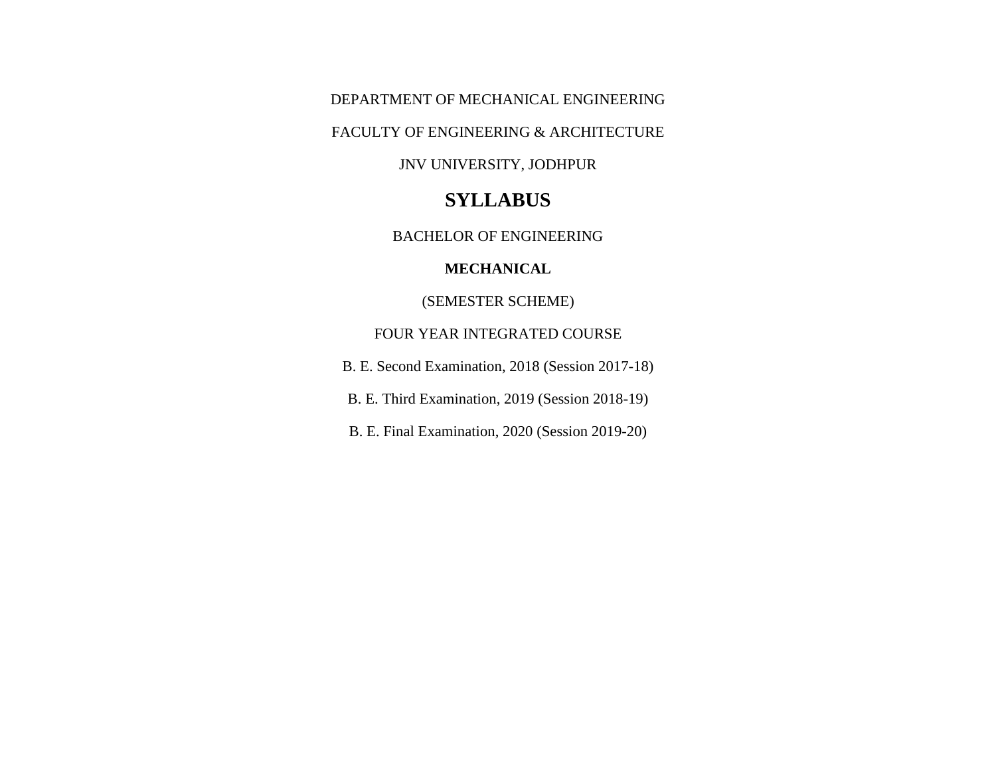DEPARTMENT OF MECHANICAL ENGINEERING

FACULTY OF ENGINEERING & ARCHITECTURE

JNV UNIVERSITY, JODHPUR

# **SYLLABUS**

BACHELOR OF ENGINEERING

#### **MECHANICAL**

(SEMESTER SCHEME)

## FOUR YEAR INTEGRATED COURSE

B. E. Second Examination, 2018 (Session 2017-18)

B. E. Third Examination, 2019 (Session 2018-19)

B. E. Final Examination, 2020 (Session 2019-20)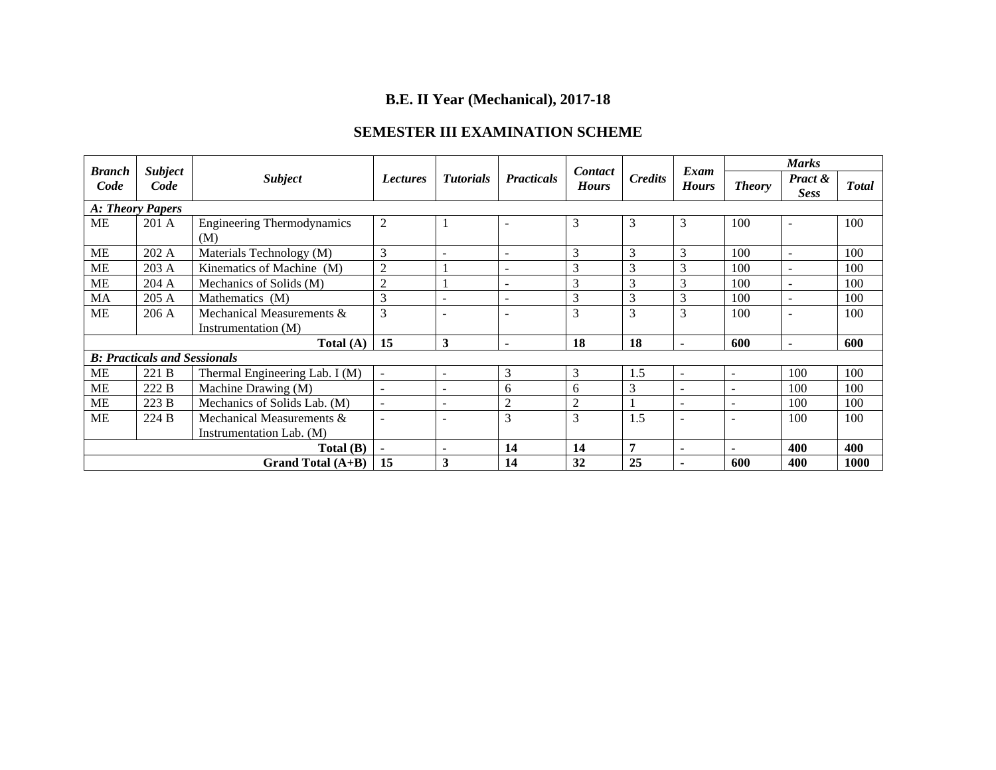# **B.E. II Year (Mechanical), 2017-18**

## **SEMESTER III EXAMINATION SCHEME**

| <b>Branch</b>    | <b>Subject</b>                      |                                          |                                                                          |                          |                          | Contact      |               | Exam                     | <b>Marks</b>             |                          |      |
|------------------|-------------------------------------|------------------------------------------|--------------------------------------------------------------------------|--------------------------|--------------------------|--------------|---------------|--------------------------|--------------------------|--------------------------|------|
| Code             | Code                                | <b>Subject</b>                           | <b>Practicals</b><br><b>Tutorials</b><br><b>Lectures</b><br><b>Hours</b> |                          | <b>Credits</b>           | <b>Hours</b> | <b>Theory</b> | Pract &<br><b>Sess</b>   | <b>Total</b>             |                          |      |
| A: Theory Papers |                                     |                                          |                                                                          |                          |                          |              |               |                          |                          |                          |      |
| <b>ME</b>        | 201 A                               | <b>Engineering Thermodynamics</b><br>(M) | $\overline{2}$                                                           | -1                       | $\overline{\phantom{0}}$ | 3            | 3             | 3                        | 100                      | $\blacksquare$           | 100  |
| <b>ME</b>        | 202 A                               | Materials Technology (M)                 | 3                                                                        | $\overline{\phantom{0}}$ | $\overline{\phantom{a}}$ | 3            | 3             | 3                        | 100                      | $\overline{\phantom{a}}$ | 100  |
| <b>ME</b>        | 203 A                               | Kinematics of Machine (M)                | $\overline{2}$                                                           |                          | $\overline{\phantom{a}}$ | 3            | 3             | 3                        | 100                      | $\sim$                   | 100  |
| <b>ME</b>        | 204 A                               | Mechanics of Solids (M)                  | $\overline{2}$                                                           |                          | $\overline{a}$           | 3            | 3             | 3                        | 100                      | $\sim$                   | 100  |
| MA               | 205 A                               | Mathematics (M)                          | 3                                                                        | $\overline{\phantom{a}}$ | $\overline{\phantom{a}}$ | 3            | 3             | 3                        | 100                      | $\overline{\phantom{a}}$ | 100  |
| <b>ME</b>        | 206A                                | Mechanical Measurements &                | 3                                                                        | $\overline{\phantom{a}}$ |                          | 3            | 3             | 3                        | 100                      |                          | 100  |
|                  |                                     | Instrumentation (M)                      |                                                                          |                          |                          |              |               |                          |                          |                          |      |
|                  |                                     | Total $(A)$                              | 15                                                                       | 3                        | $\blacksquare$           | 18           | 18            | $\blacksquare$           | 600                      | $\blacksquare$           | 600  |
|                  | <b>B: Practicals and Sessionals</b> |                                          |                                                                          |                          |                          |              |               |                          |                          |                          |      |
| ME               | 221 B                               | Thermal Engineering Lab. I (M)           | $\overline{\phantom{a}}$                                                 | $\sim$                   | 3                        | 3            | 1.5           | $\sim$                   | $\sim$                   | 100                      | 100  |
| ME               | 222 B                               | Machine Drawing (M)                      | $\overline{\phantom{a}}$                                                 | ۰                        | 6                        | 6            | 3             | $\overline{\phantom{a}}$ | $\overline{\phantom{0}}$ | 100                      | 100  |
| ME               | 223B                                | Mechanics of Solids Lab. (M)             | $\sim$                                                                   | $\overline{\phantom{a}}$ | $\overline{2}$           | 2            |               | $\sim$                   | $\sim$                   | 100                      | 100  |
| <b>ME</b>        | 224 B                               | Mechanical Measurements &                |                                                                          | $\overline{\phantom{a}}$ | 3                        | 3            | 1.5           | $\overline{\phantom{a}}$ | $\sim$                   | 100                      | 100  |
|                  |                                     | Instrumentation Lab. (M)                 |                                                                          |                          |                          |              |               |                          |                          |                          |      |
|                  |                                     | Total(B)                                 | $\blacksquare$                                                           | $\blacksquare$           | 14                       | 14           | 7             | $\blacksquare$           | $\overline{\phantom{a}}$ | 400                      | 400  |
|                  |                                     | Grand Total (A+B)                        | 15                                                                       | 3                        | 14                       | 32           | 25            |                          | 600                      | 400                      | 1000 |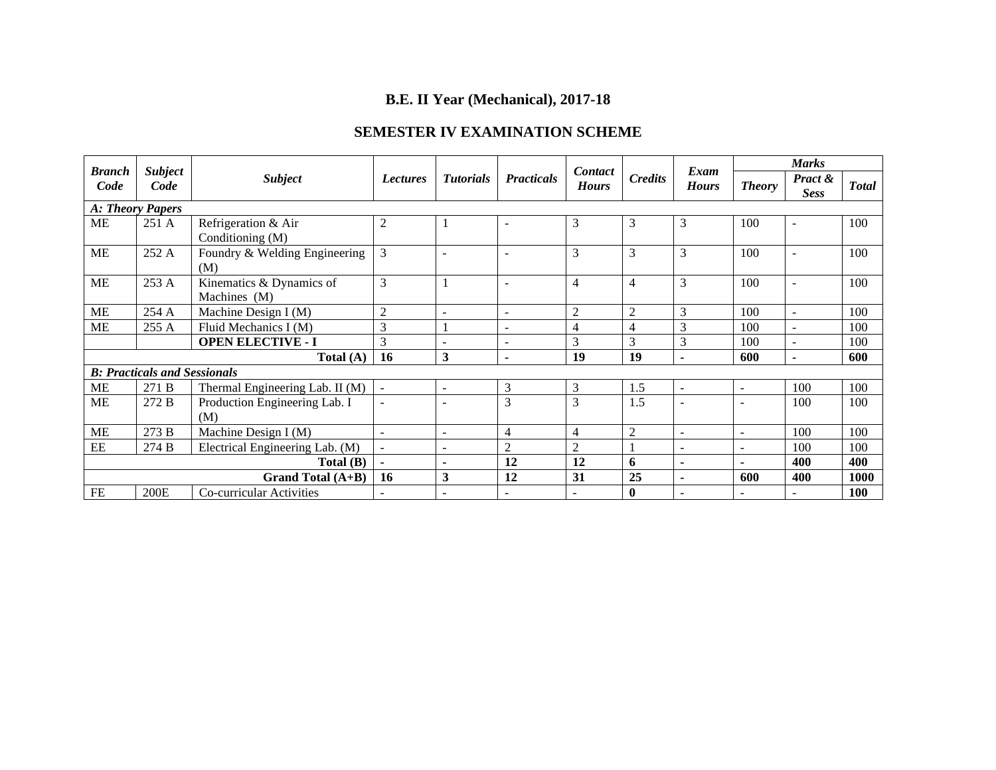# **B.E. II Year (Mechanical), 2017-18**

## **SEMESTER IV EXAMINATION SCHEME**

| <b>Branch</b>     | <b>Subject</b>                      |                                          |                 |                          |                          | Contact        |                | Exam                     | <b>Marks</b>             |                          |              |
|-------------------|-------------------------------------|------------------------------------------|-----------------|--------------------------|--------------------------|----------------|----------------|--------------------------|--------------------------|--------------------------|--------------|
| Code              | Code                                | <b>Subject</b>                           | <b>Lectures</b> | <b>Tutorials</b>         | <b>Practicals</b>        | <b>Hours</b>   | <b>Credits</b> | <b>Hours</b>             | <b>Theory</b>            | Pract &<br><b>Sess</b>   | <b>Total</b> |
| A: Theory Papers  |                                     |                                          |                 |                          |                          |                |                |                          |                          |                          |              |
| <b>ME</b>         | 251 A                               | Refrigeration & Air<br>Conditioning (M)  | $\overline{2}$  | $\mathbf{1}$             |                          | 3              | 3              | 3                        | 100                      | $\overline{\phantom{a}}$ | 100          |
| <b>ME</b>         | 252 A                               | Foundry & Welding Engineering<br>(M)     | 3               | $\overline{\phantom{a}}$ | $\blacksquare$           | 3              | 3              | 3                        | 100                      | $\overline{\phantom{a}}$ | 100          |
| <b>ME</b>         | 253 A                               | Kinematics & Dynamics of<br>Machines (M) | 3               | 1                        | $\blacksquare$           | $\overline{4}$ | $\overline{4}$ | 3                        | 100                      | $\overline{\phantom{a}}$ | 100          |
| ME                | 254 A                               | Machine Design I (M)                     | $\overline{2}$  | $\blacksquare$           | $\overline{\phantom{a}}$ | $\overline{2}$ | $\overline{2}$ | 3                        | 100                      | $\sim$                   | 100          |
| <b>ME</b>         | 255 A                               | Fluid Mechanics I (M)                    | 3               |                          | $\overline{a}$           | 4              | $\overline{4}$ | 3                        | 100                      | $\overline{\phantom{a}}$ | 100          |
|                   |                                     | <b>OPEN ELECTIVE - I</b>                 | 3               | ÷,                       | $\overline{a}$           | 3              | 3              | 3                        | 100                      | $\sim$                   | 100          |
|                   |                                     | Total (A)                                | 16              | $\mathbf{3}$             | $\blacksquare$           | 19             | 19             | $\blacksquare$           | 600                      | $\blacksquare$           | 600          |
|                   | <b>B: Practicals and Sessionals</b> |                                          |                 |                          |                          |                |                |                          |                          |                          |              |
| <b>ME</b>         | 271 B                               | Thermal Engineering Lab. II (M)          | $\sim$          | $\blacksquare$           | 3                        | 3              | 1.5            | $\sim$                   | $\overline{\phantom{a}}$ | 100                      | 100          |
| <b>ME</b>         | 272 B                               | Production Engineering Lab. I<br>(M)     | $\sim$          | $\overline{\phantom{a}}$ | 3                        | 3              | 1.5            |                          | $\overline{a}$           | 100                      | 100          |
| <b>ME</b>         | 273 B                               | Machine Design I (M)                     | $\sim$          | $\sim$                   | 4                        | $\overline{4}$ | $\overline{2}$ | $\sim$                   | $\overline{\phantom{a}}$ | 100                      | 100          |
| $\rm{EE}$         | 274 B                               | Electrical Engineering Lab. (M)          | $\sim$          | ÷.                       | 2                        | $\overline{2}$ |                | $\sim$                   | $\overline{a}$           | 100                      | 100          |
|                   |                                     | Total(B)                                 |                 | $\blacksquare$           | 12                       | 12             | 6              | $\blacksquare$           |                          | 400                      | 400          |
| Grand Total (A+B) |                                     |                                          | <b>16</b>       | 3                        | 12                       | 31             | 25             | $\blacksquare$           | 600                      | 400                      | 1000         |
| FE                | 200E                                | Co-curricular Activities                 |                 | $\overline{\phantom{a}}$ | $\overline{\phantom{m}}$ |                | $\bf{0}$       | $\overline{\phantom{0}}$ | $\overline{\phantom{0}}$ | $\overline{\phantom{0}}$ | 100          |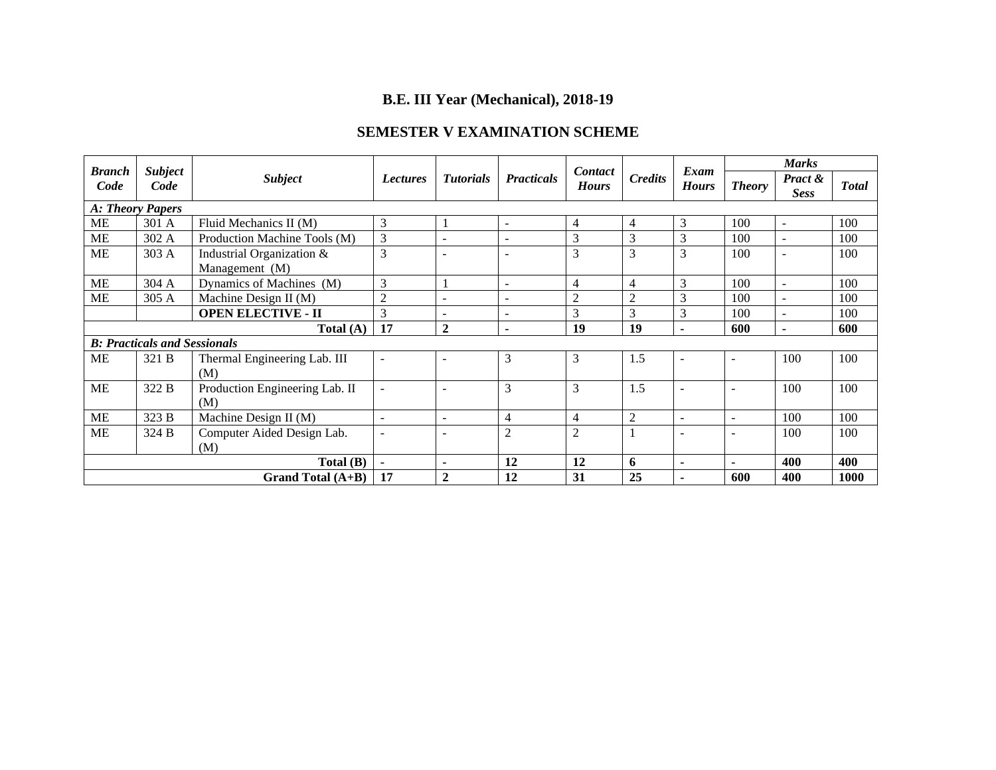# **B.E. III Year (Mechanical), 2018-19**

## **SEMESTER V EXAMINATION SCHEME**

| <b>Branch</b>    | <b>Subject</b>                      |                                                                                            |                          |                          |                          | <b>Contact</b> |                        | Exam                     | <b>Marks</b>   |        |      |
|------------------|-------------------------------------|--------------------------------------------------------------------------------------------|--------------------------|--------------------------|--------------------------|----------------|------------------------|--------------------------|----------------|--------|------|
| Code             | Code                                | <b>Subject</b><br><b>Tutorials</b><br><b>Practicals</b><br><b>Lectures</b><br><b>Hours</b> |                          | <b>Credits</b>           | <b>Hours</b>             | <b>Theory</b>  | Pract &<br><b>Sess</b> | <b>Total</b>             |                |        |      |
| A: Theory Papers |                                     |                                                                                            |                          |                          |                          |                |                        |                          |                |        |      |
| ME               | 301 A                               | Fluid Mechanics II (M)                                                                     | 3                        |                          | $\blacksquare$           | $\overline{4}$ | 4                      | 3                        | 100            | $\sim$ | 100  |
| <b>ME</b>        | 302 A                               | Production Machine Tools (M)                                                               | $\mathfrak{Z}$           | ۰                        |                          | 3              | 3                      | 3                        | 100            | $\sim$ | 100  |
| ME               | 303 A                               | Industrial Organization &                                                                  | 3                        | $\overline{a}$           | $\sim$                   | 3              | 3                      | 3                        | 100            | $\sim$ | 100  |
|                  |                                     | Management (M)                                                                             |                          |                          |                          |                |                        |                          |                |        |      |
| <b>ME</b>        | 304 A                               | Dynamics of Machines (M)                                                                   | 3                        |                          | $\blacksquare$           | $\overline{4}$ | 4                      | 3                        | 100            | $\sim$ | 100  |
| <b>ME</b>        | 305 A                               | Machine Design II $(M)$                                                                    | $\overline{2}$           | ۰                        |                          | $\overline{2}$ | $\mathfrak{D}$         | 3                        | 100            | $\sim$ | 100  |
|                  |                                     | <b>OPEN ELECTIVE - II</b>                                                                  | 3                        | $\overline{\phantom{a}}$ | $\overline{\phantom{a}}$ | 3              | 3                      | 3                        | 100            | $\sim$ | 100  |
| Total $(A)$      |                                     |                                                                                            | 17                       | $\overline{2}$           | $\blacksquare$           | 19             | 19                     | $\blacksquare$           | 600            | ۰.     | 600  |
|                  | <b>B: Practicals and Sessionals</b> |                                                                                            |                          |                          |                          |                |                        |                          |                |        |      |
| ME               | 321 B                               | Thermal Engineering Lab. III                                                               | $\overline{\phantom{a}}$ | $\overline{\phantom{a}}$ | 3                        | 3              | 1.5                    | $\overline{\phantom{a}}$ | $\overline{a}$ | 100    | 100  |
|                  |                                     | (M)                                                                                        |                          |                          |                          |                |                        |                          |                |        |      |
| ME               | 322 B                               | Production Engineering Lab. II                                                             | $\overline{\phantom{a}}$ |                          | 3                        | 3              | 1.5                    | $\sim$                   | $\overline{a}$ | 100    | 100  |
|                  |                                     | (M)                                                                                        |                          |                          |                          |                |                        |                          |                |        |      |
| <b>ME</b>        | 323 B                               | Machine Design II $(M)$                                                                    | $\sim$                   | $\overline{\phantom{a}}$ | $\overline{4}$           | $\overline{4}$ | $\overline{c}$         | $\sim$                   | ÷              | 100    | 100  |
| <b>ME</b>        | 324 B                               | Computer Aided Design Lab.                                                                 | $\overline{\phantom{a}}$ |                          | $\overline{2}$           | $\overline{2}$ |                        |                          |                | 100    | 100  |
|                  |                                     | (M)                                                                                        |                          |                          |                          |                |                        |                          |                |        |      |
|                  |                                     | Total (B)                                                                                  | ٠                        | $\blacksquare$           | 12                       | 12             | 6                      | $\blacksquare$           |                | 400    | 400  |
|                  |                                     | Grand Total $(A+B)$                                                                        | 17                       | $\mathbf{2}$             | 12                       | 31             | 25                     | $\blacksquare$           | 600            | 400    | 1000 |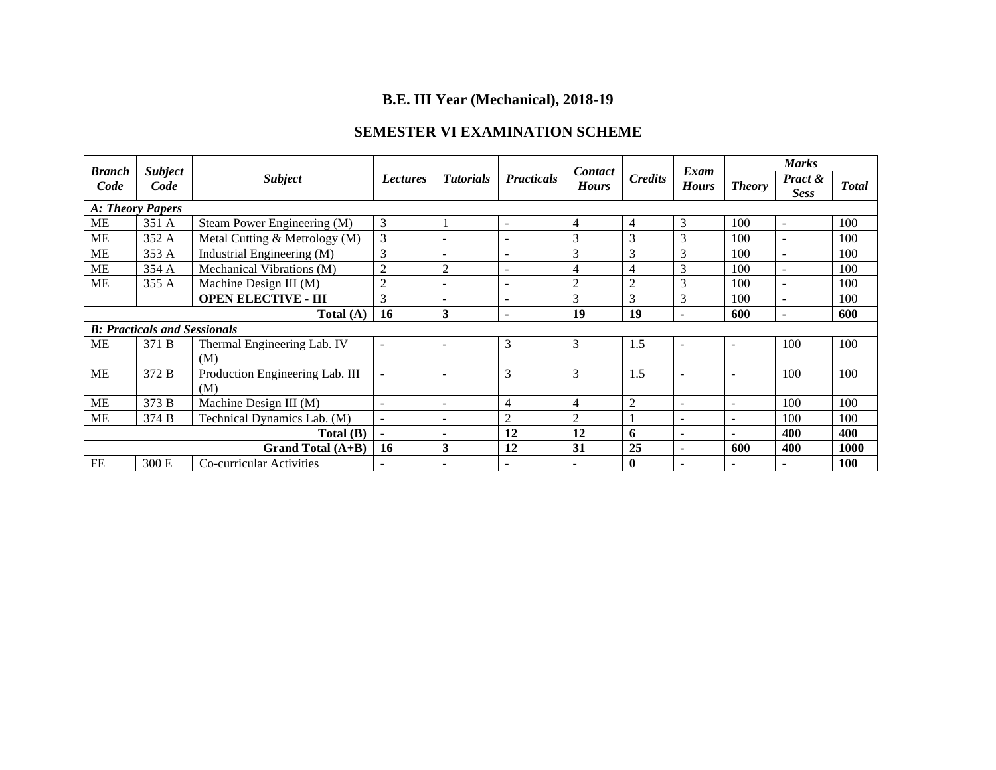# **B.E. III Year (Mechanical), 2018-19**

## **SEMESTER VI EXAMINATION SCHEME**

| <b>Branch</b>     | <b>Subject</b>                      |                                        |                                     |                          | <b>Contact</b>           |                | Exam           | <b>Marks</b>             |               |                        |              |
|-------------------|-------------------------------------|----------------------------------------|-------------------------------------|--------------------------|--------------------------|----------------|----------------|--------------------------|---------------|------------------------|--------------|
| Code              | Code                                | <b>Subject</b>                         | <b>Tutorials</b><br><b>Lectures</b> |                          | <b>Practicals</b>        | <b>Hours</b>   | <b>Credits</b> | <b>Hours</b>             | <b>Theory</b> | Pract &<br><b>Sess</b> | <b>Total</b> |
| A: Theory Papers  |                                     |                                        |                                     |                          |                          |                |                |                          |               |                        |              |
| <b>ME</b>         | 351 A                               | Steam Power Engineering (M)            | 3                                   |                          | $\overline{\phantom{a}}$ | 4              | $\overline{4}$ | 3                        | 100           | $\sim$                 | 100          |
| ME                | 352 A                               | Metal Cutting & Metrology (M)          | 3                                   |                          |                          | 3              | 3              | 3                        | 100           |                        | 100          |
| <b>ME</b>         | 353 A                               | Industrial Engineering (M)             | 3                                   | $\overline{\phantom{a}}$ | $\overline{\phantom{a}}$ | 3              | 3              | 3                        | 100           | $\sim$                 | 100          |
| <b>ME</b>         | 354 A                               | Mechanical Vibrations (M)              | $\mathfrak{2}$                      | $\overline{2}$           |                          | 4              | 4              | 3                        | 100           |                        | 100          |
| ME                | 355 A                               | Machine Design III (M)                 | $\overline{2}$                      | $\overline{\phantom{a}}$ |                          | $\overline{2}$ | $\overline{2}$ | 3                        | 100           | $\sim$                 | 100          |
|                   |                                     | <b>OPEN ELECTIVE - III</b>             | 3                                   | $\overline{\phantom{a}}$ | $\overline{\phantom{a}}$ | 3              | 3              | 3                        | 100           | $\sim$                 | 100          |
| Total $(A)$       |                                     |                                        | <b>16</b>                           | 3                        | ٠                        | 19             | 19             | $\blacksquare$           | 600           |                        | 600          |
|                   | <b>B: Practicals and Sessionals</b> |                                        |                                     |                          |                          |                |                |                          |               |                        |              |
| <b>ME</b>         | 371 B                               | Thermal Engineering Lab. IV<br>(M)     | $\overline{\phantom{a}}$            |                          | 3                        | 3              | 1.5            | $\blacksquare$           |               | 100                    | 100          |
| ME                | 372 B                               | Production Engineering Lab. III<br>(M) | $\blacksquare$                      |                          | 3                        | 3              | 1.5            | $\overline{\phantom{0}}$ | ۰             | 100                    | 100          |
| <b>ME</b>         | 373 B                               | Machine Design III (M)                 | $\overline{\phantom{a}}$            |                          | 4                        | $\overline{4}$ | $\overline{2}$ | $\blacksquare$           |               | 100                    | 100          |
| <b>ME</b>         | 374 B                               | Technical Dynamics Lab. (M)            | $\sim$                              | $\overline{\phantom{a}}$ | 2                        | $\overline{2}$ |                | $\sim$                   | $\equiv$      | 100                    | 100          |
| Total (B)         |                                     |                                        | $\blacksquare$                      | $\blacksquare$           | 12                       | 12             | 6              | $\blacksquare$           |               | 400                    | 400          |
| Grand Total (A+B) |                                     |                                        | <b>16</b>                           | 3                        | 12                       | 31             | 25             | $\blacksquare$           | 600           | 400                    | 1000         |
| FE                | 300 E                               | Co-curricular Activities               | $\equiv$                            |                          |                          | $\sim$         | $\bf{0}$       | $\overline{a}$           |               |                        | <b>100</b>   |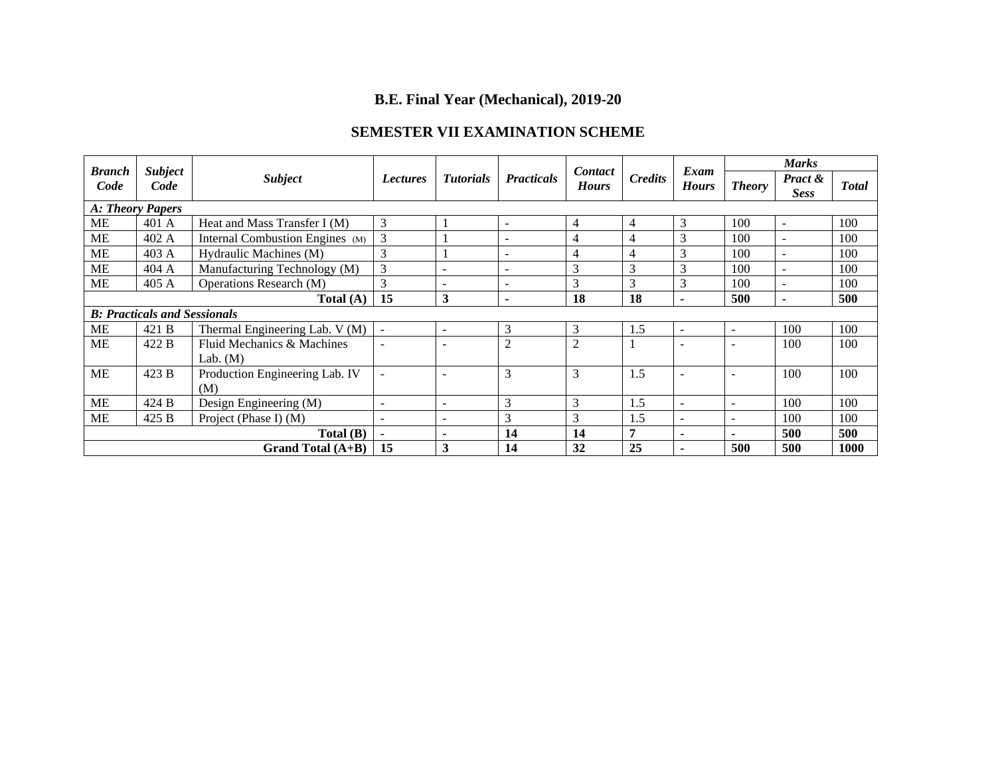# **B.E. Final Year (Mechanical), 2019-20**

## **SEMESTER VII EXAMINATION SCHEME**

| <b>Branch</b>                       | <b>Subject</b> |                                 |                          |                          |                          | <b>Contact</b> |                | Exam                     |                          | <b>Marks</b>             |              |  |
|-------------------------------------|----------------|---------------------------------|--------------------------|--------------------------|--------------------------|----------------|----------------|--------------------------|--------------------------|--------------------------|--------------|--|
| Code                                | Code           | <b>Subject</b>                  | <b>Lectures</b>          | <b>Tutorials</b>         | <b>Practicals</b>        | <b>Hours</b>   | <b>Credits</b> | <b>Hours</b>             | <b>Theory</b>            | Pract &<br><b>Sess</b>   | <b>Total</b> |  |
| A: Theory Papers                    |                |                                 |                          |                          |                          |                |                |                          |                          |                          |              |  |
| <b>ME</b>                           | 401 A          | Heat and Mass Transfer I (M)    | 3                        |                          | $\overline{\phantom{a}}$ | 4              | 4              | 3                        | 100                      | $\sim$                   | 100          |  |
| <b>ME</b>                           | 402 A          | Internal Combustion Engines (M) | 3                        |                          |                          | 4              |                | 3                        | 100                      | $\sim$                   | 100          |  |
| ME                                  | 403 A          | Hydraulic Machines (M)          | 3                        |                          | $\overline{a}$           | 4              | 4              | 3                        | 100                      | $\overline{a}$           | 100          |  |
| <b>ME</b>                           | 404 A          | Manufacturing Technology (M)    | 3                        | ۰                        | $\overline{a}$           | 3              | 3              | 3                        | 100                      | $\sim$                   | 100          |  |
| <b>ME</b>                           | 405A           | Operations Research (M)         | 3                        | -                        | $\overline{\phantom{0}}$ | 3              | 3              | 3                        | 100                      | $\overline{\phantom{a}}$ | 100          |  |
| Total $(A)$                         |                |                                 | 15                       | 3                        | $\blacksquare$           | 18             | 18             | $\blacksquare$           | 500                      | $\overline{\phantom{0}}$ | 500          |  |
| <b>B: Practicals and Sessionals</b> |                |                                 |                          |                          |                          |                |                |                          |                          |                          |              |  |
| <b>ME</b>                           | 421 B          | Thermal Engineering Lab. V (M)  | $\sim$                   | ۰                        | 3                        | 3              | 1.5            | $\overline{\phantom{a}}$ | $\overline{\phantom{a}}$ | 100                      | 100          |  |
| <b>ME</b>                           | 422 B          | Fluid Mechanics & Machines      |                          |                          | 2                        | $\overline{c}$ |                |                          |                          | 100                      | 100          |  |
|                                     |                | Lab. $(M)$                      |                          |                          |                          |                |                |                          |                          |                          |              |  |
| ME                                  | 423 B          | Production Engineering Lab. IV  | $\overline{\phantom{a}}$ | $\equiv$                 | 3                        | 3              | 1.5            | $\overline{\phantom{a}}$ | $\overline{\phantom{0}}$ | 100                      | 100          |  |
|                                     |                | (M)                             |                          |                          |                          |                |                |                          |                          |                          |              |  |
| <b>ME</b>                           | 424 B          | Design Engineering (M)          | ÷                        | ۰                        | 3                        | 3              | 1.5            | $\sim$                   | $\overline{\phantom{0}}$ | 100                      | 100          |  |
| <b>ME</b>                           | 425 B          | Project (Phase I) $(M)$         | $\blacksquare$           | $\overline{\phantom{0}}$ | 3                        | 3              | 1.5            | $\sim$                   | $\overline{\phantom{a}}$ | 100                      | 100          |  |
|                                     |                | Total (B)                       | $\blacksquare$           | ۰                        | 14                       | 14             | −              | $\blacksquare$           | $\overline{\phantom{0}}$ | 500                      | 500          |  |
|                                     |                | Grand Total (A+B)               | 15                       | 3                        | 14                       | 32             | 25             | $\blacksquare$           | 500                      | 500                      | 1000         |  |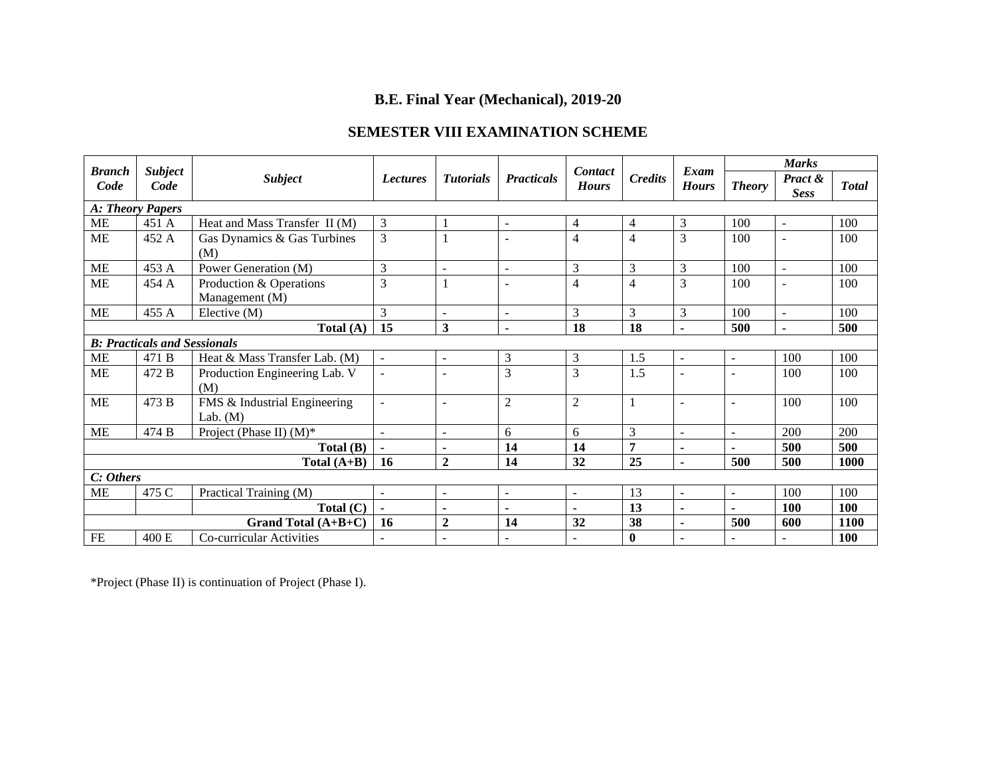## **B.E. Final Year (Mechanical), 2019-20**

## **SEMESTER VIII EXAMINATION SCHEME**

| <b>Branch</b>                                            | <b>Subject</b> |                                                                                            |                          |                          |                          | Contact        |                        | Exam                     | <b>Marks</b>             |                |      |
|----------------------------------------------------------|----------------|--------------------------------------------------------------------------------------------|--------------------------|--------------------------|--------------------------|----------------|------------------------|--------------------------|--------------------------|----------------|------|
| Code                                                     | Code           | <b>Subject</b><br><b>Tutorials</b><br><b>Practicals</b><br><b>Lectures</b><br><b>Hours</b> |                          | <b>Credits</b>           | <b>Hours</b>             | <b>Theory</b>  | Pract &<br><b>Sess</b> | <b>Total</b>             |                          |                |      |
| A: Theory Papers                                         |                |                                                                                            |                          |                          |                          |                |                        |                          |                          |                |      |
| <b>ME</b>                                                | 451 A          | Heat and Mass Transfer II (M)                                                              | 3                        |                          | $\overline{\phantom{a}}$ | $\overline{4}$ | 4                      | 3                        | 100                      | $\blacksquare$ | 100  |
| <b>ME</b><br>452 A<br>Gas Dynamics & Gas Turbines<br>(M) |                | 3                                                                                          |                          | $\sim$                   | 4                        | 4              | 3                      | 100                      | $\overline{\phantom{a}}$ | 100            |      |
| ME                                                       | 453 A          | Power Generation (M)                                                                       | 3                        | $\overline{a}$           | $\overline{a}$           | 3              | 3                      | 3                        | 100                      | $\mathbf{r}$   | 100  |
| <b>ME</b>                                                | 454 A          | Production & Operations<br>Management (M)                                                  | 3                        |                          |                          | 4              | 4                      | 3                        | 100                      | $\sim$         | 100  |
| <b>ME</b>                                                | 455 A          | Elective (M)                                                                               | 3                        | $\overline{a}$           | $\blacksquare$           | 3              | 3                      | 3                        | 100                      | $\blacksquare$ | 100  |
| Total (A)                                                |                |                                                                                            | 15                       | $\mathbf{3}$             | $\blacksquare$           | 18             | 18                     | $\blacksquare$           | 500                      | ٠              | 500  |
| <b>B: Practicals and Sessionals</b>                      |                |                                                                                            |                          |                          |                          |                |                        |                          |                          |                |      |
| <b>ME</b>                                                | 471 B          | Heat & Mass Transfer Lab. (M)                                                              | $\blacksquare$           | $\overline{a}$           | 3                        | $\mathfrak{Z}$ | 1.5                    | $\sim$                   | $\overline{a}$           | 100            | 100  |
| ME                                                       | 472 B          | Production Engineering Lab. V<br>(M)                                                       | $\overline{\phantom{a}}$ | $\overline{a}$           | 3                        | 3              | 1.5                    | $\overline{a}$           | $\overline{\phantom{a}}$ | 100            | 100  |
| <b>ME</b>                                                | 473 B          | FMS & Industrial Engineering<br>Lab. $(M)$                                                 | $\overline{\phantom{a}}$ | $\overline{\phantom{a}}$ | $\overline{2}$           | $\overline{2}$ |                        | $\sim$                   | $\overline{\phantom{a}}$ | 100            | 100  |
| <b>ME</b>                                                | 474 B          | Project (Phase II) $(M)^*$                                                                 | ÷,                       | $\overline{\phantom{a}}$ | 6                        | 6              | 3                      | $\sim$                   | $\overline{\phantom{a}}$ | 200            | 200  |
|                                                          |                | Total(B)                                                                                   |                          |                          | 14                       | 14             | 7                      | $\blacksquare$           | $\blacksquare$           | 500            | 500  |
|                                                          |                | Total $(A+B)$                                                                              | <b>16</b>                | $\overline{2}$           | 14                       | 32             | 25                     | $\ddot{\phantom{1}}$     | 500                      | 500            | 1000 |
| C: Others                                                |                |                                                                                            |                          |                          |                          |                |                        |                          |                          |                |      |
| ME                                                       | 475 C          | Practical Training (M)                                                                     | $\mathbf{r}$             | $\sim$                   | $\overline{\phantom{a}}$ | $\mathbf{r}$   | 13                     | $\overline{\phantom{a}}$ | $\overline{a}$           | 100            | 100  |
|                                                          |                | Total $(C)$                                                                                | $\blacksquare$           | $\blacksquare$           | $\blacksquare$           | $\blacksquare$ | 13                     | $\blacksquare$           | ÷                        | <b>100</b>     | 100  |
|                                                          |                | Grand Total $(A+B+C)$                                                                      | 16                       | $\mathbf{2}$             | 14                       | 32             | 38                     | $\blacksquare$           | 500                      | 600            | 1100 |
| FE                                                       | 400 E          | Co-curricular Activities                                                                   |                          |                          | $\sim$                   | $\blacksquare$ | $\mathbf{0}$           | ÷.                       |                          |                | 100  |

\*Project (Phase II) is continuation of Project (Phase I).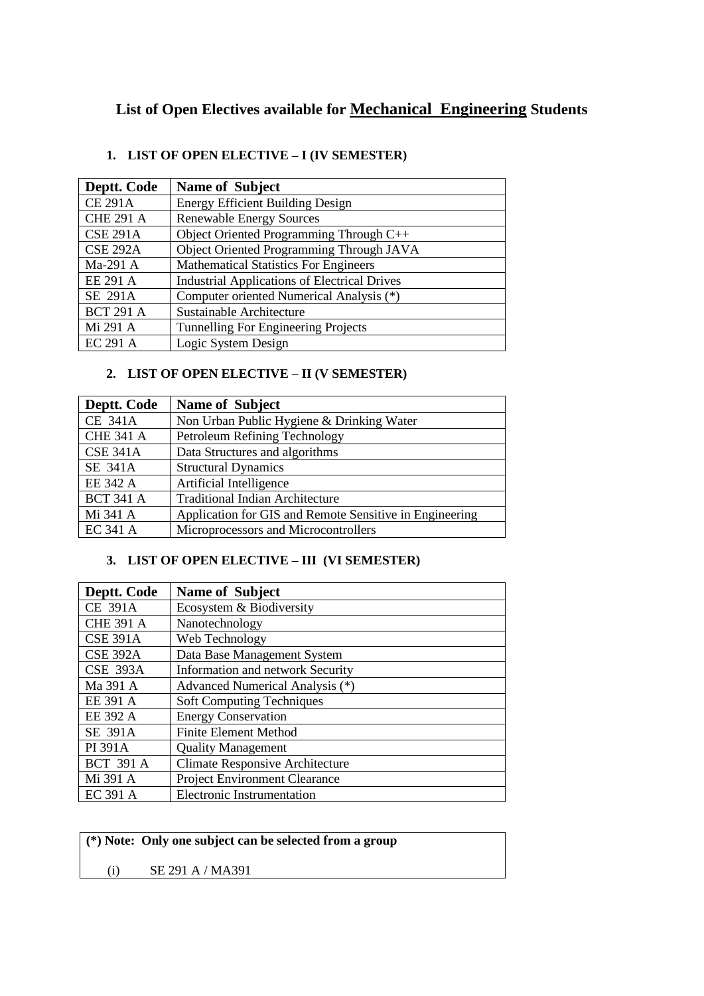# **List of Open Electives available for Mechanical Engineering Students**

## **1. LIST OF OPEN ELECTIVE – I (IV SEMESTER)**

| Deptt. Code      | <b>Name of Subject</b>                              |
|------------------|-----------------------------------------------------|
| <b>CE 291A</b>   | <b>Energy Efficient Building Design</b>             |
| <b>CHE 291 A</b> | <b>Renewable Energy Sources</b>                     |
| <b>CSE 291A</b>  | Object Oriented Programming Through C++             |
| <b>CSE 292A</b>  | Object Oriented Programming Through JAVA            |
| Ma-291 A         | <b>Mathematical Statistics For Engineers</b>        |
| EE 291 A         | <b>Industrial Applications of Electrical Drives</b> |
| SE 291A          | Computer oriented Numerical Analysis (*)            |
| <b>BCT 291 A</b> | Sustainable Architecture                            |
| Mi 291 A         | Tunnelling For Engineering Projects                 |
| <b>EC 291 A</b>  | Logic System Design                                 |

## **2. LIST OF OPEN ELECTIVE – II (V SEMESTER)**

| Deptt. Code      | <b>Name of Subject</b>                                  |
|------------------|---------------------------------------------------------|
| <b>CE 341A</b>   | Non Urban Public Hygiene & Drinking Water               |
| <b>CHE 341 A</b> | Petroleum Refining Technology                           |
| <b>CSE 341A</b>  | Data Structures and algorithms                          |
| SE 341A          | <b>Structural Dynamics</b>                              |
| EE 342 A         | Artificial Intelligence                                 |
| <b>BCT 341 A</b> | <b>Traditional Indian Architecture</b>                  |
| Mi 341 A         | Application for GIS and Remote Sensitive in Engineering |
| EC 341 A         | Microprocessors and Microcontrollers                    |

### **3. LIST OF OPEN ELECTIVE – III (VI SEMESTER)**

| Deptt. Code      | <b>Name of Subject</b>                 |
|------------------|----------------------------------------|
| <b>CE 391A</b>   | Ecosystem & Biodiversity               |
| <b>CHE 391 A</b> | Nanotechnology                         |
| <b>CSE 391A</b>  | Web Technology                         |
| <b>CSE 392A</b>  | Data Base Management System            |
| <b>CSE 393A</b>  | Information and network Security       |
| Ma 391 A         | Advanced Numerical Analysis (*)        |
| EE 391 A         | <b>Soft Computing Techniques</b>       |
| EE 392 A         | <b>Energy Conservation</b>             |
| SE 391A          | <b>Finite Element Method</b>           |
| PI 391A          | <b>Quality Management</b>              |
| <b>BCT 391 A</b> | <b>Climate Responsive Architecture</b> |
| Mi 391 A         | Project Environment Clearance          |
| EC 391 A         | <b>Electronic Instrumentation</b>      |

|     | (*) Note: Only one subject can be selected from a group |  |
|-----|---------------------------------------------------------|--|
| (i) | SE 291 A / MA391                                        |  |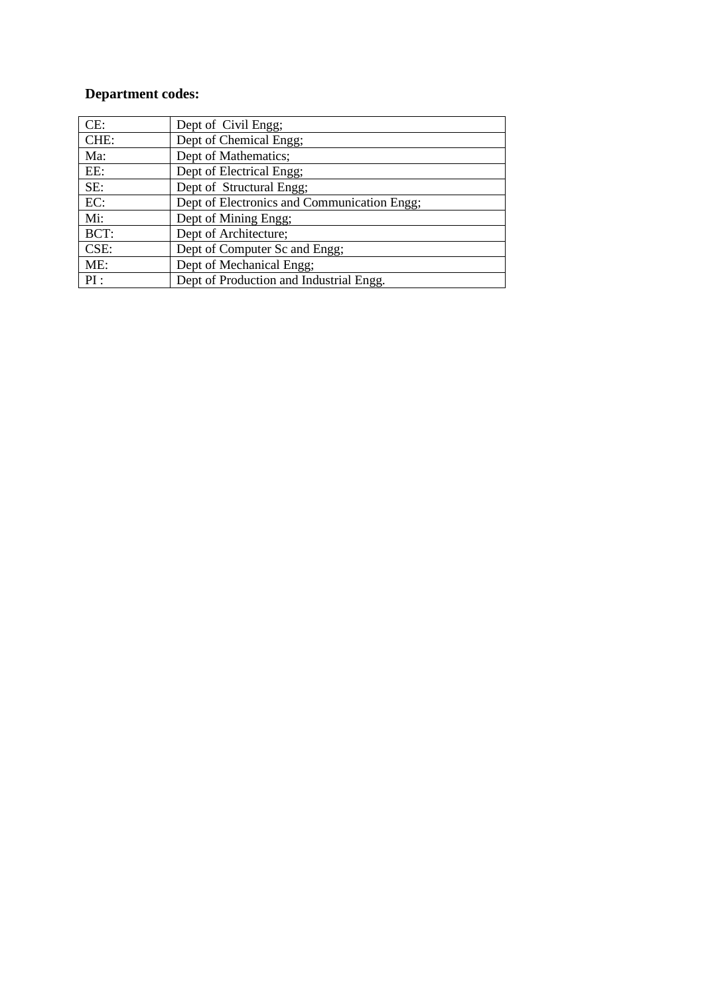# **Department codes:**

| CE:  | Dept of Civil Engg;                         |
|------|---------------------------------------------|
| CHE: | Dept of Chemical Engg;                      |
| Ma:  | Dept of Mathematics;                        |
| EE:  | Dept of Electrical Engg;                    |
| SE:  | Dept of Structural Engg;                    |
| EC:  | Dept of Electronics and Communication Engg; |
| Mi:  | Dept of Mining Engg;                        |
| BCT: | Dept of Architecture;                       |
| CSE: | Dept of Computer Sc and Engg;               |
| ME:  | Dept of Mechanical Engg;                    |
| PI:  | Dept of Production and Industrial Engg.     |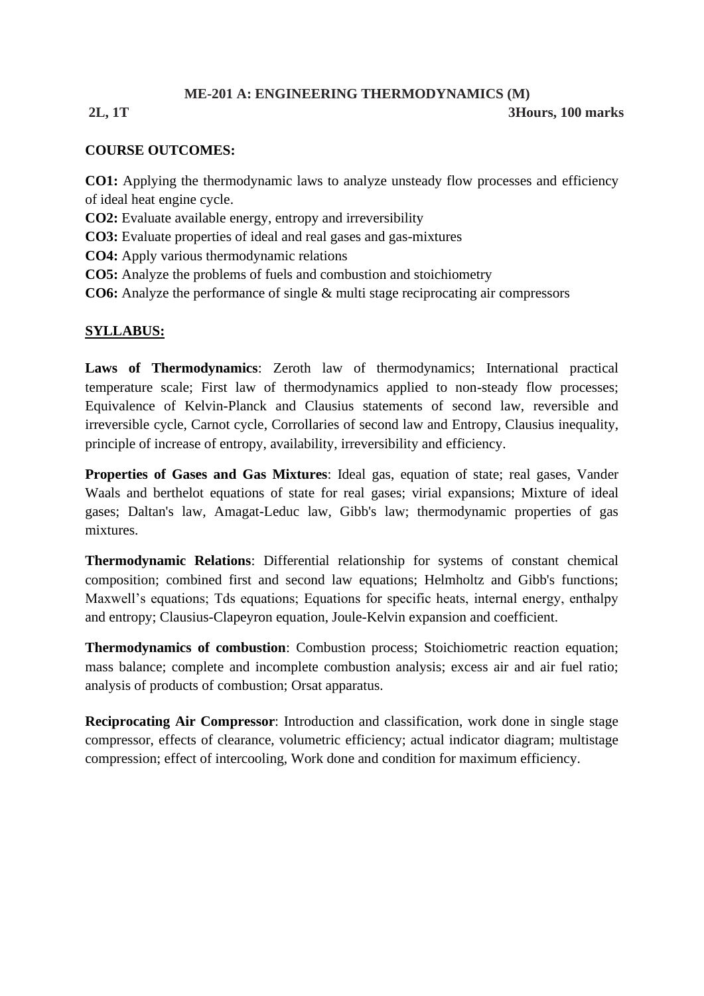## **ME-201 A: ENGINEERING THERMODYNAMICS (M)**

## **2L, 1T 3Hours, 100 marks**

## **COURSE OUTCOMES:**

**CO1:** Applying the thermodynamic laws to analyze unsteady flow processes and efficiency of ideal heat engine cycle.

**CO2:** Evaluate available energy, entropy and irreversibility

- **CO3:** Evaluate properties of ideal and real gases and gas-mixtures
- **CO4:** Apply various thermodynamic relations
- **CO5:** Analyze the problems of fuels and combustion and stoichiometry
- **CO6:** Analyze the performance of single & multi stage reciprocating air compressors

## **SYLLABUS:**

**Laws of Thermodynamics**: Zeroth law of thermodynamics; International practical temperature scale; First law of thermodynamics applied to non-steady flow processes; Equivalence of Kelvin-Planck and Clausius statements of second law, reversible and irreversible cycle, Carnot cycle, Corrollaries of second law and Entropy, Clausius inequality, principle of increase of entropy, availability, irreversibility and efficiency.

**Properties of Gases and Gas Mixtures**: Ideal gas, equation of state; real gases, Vander Waals and berthelot equations of state for real gases; virial expansions; Mixture of ideal gases; Daltan's law, Amagat-Leduc law, Gibb's law; thermodynamic properties of gas mixtures.

**Thermodynamic Relations**: Differential relationship for systems of constant chemical composition; combined first and second law equations; Helmholtz and Gibb's functions; Maxwell's equations; Tds equations; Equations for specific heats, internal energy, enthalpy and entropy; Clausius-Clapeyron equation, Joule-Kelvin expansion and coefficient.

**Thermodynamics of combustion**: Combustion process; Stoichiometric reaction equation; mass balance; complete and incomplete combustion analysis; excess air and air fuel ratio; analysis of products of combustion; Orsat apparatus.

**Reciprocating Air Compressor**: Introduction and classification, work done in single stage compressor, effects of clearance, volumetric efficiency; actual indicator diagram; multistage compression; effect of intercooling, Work done and condition for maximum efficiency.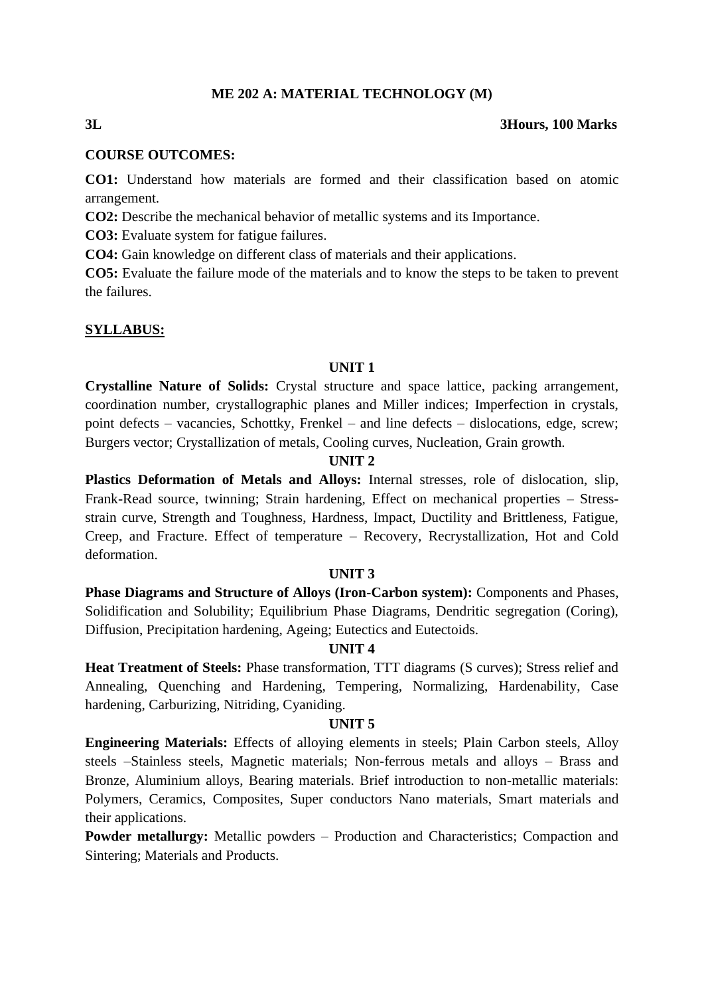#### **ME 202 A: MATERIAL TECHNOLOGY (M)**

#### **3L 3Hours, 100 Marks**

# **COURSE OUTCOMES:**

**CO1:** Understand how materials are formed and their classification based on atomic arrangement.

**CO2:** Describe the mechanical behavior of metallic systems and its Importance.

**CO3:** Evaluate system for fatigue failures.

**CO4:** Gain knowledge on different class of materials and their applications.

**CO5:** Evaluate the failure mode of the materials and to know the steps to be taken to prevent the failures.

## **SYLLABUS:**

### **UNIT 1**

**Crystalline Nature of Solids:** Crystal structure and space lattice, packing arrangement, coordination number, crystallographic planes and Miller indices; Imperfection in crystals, point defects – vacancies, Schottky, Frenkel – and line defects – dislocations, edge, screw; Burgers vector; Crystallization of metals, Cooling curves, Nucleation, Grain growth.

### **UNIT 2**

**Plastics Deformation of Metals and Alloys:** Internal stresses, role of dislocation, slip, Frank-Read source, twinning; Strain hardening, Effect on mechanical properties – Stressstrain curve, Strength and Toughness, Hardness, Impact, Ductility and Brittleness, Fatigue, Creep, and Fracture. Effect of temperature – Recovery, Recrystallization, Hot and Cold deformation.

#### **UNIT 3**

**Phase Diagrams and Structure of Alloys (Iron-Carbon system):** Components and Phases, Solidification and Solubility; Equilibrium Phase Diagrams, Dendritic segregation (Coring), Diffusion, Precipitation hardening, Ageing; Eutectics and Eutectoids.

### **UNIT 4**

**Heat Treatment of Steels:** Phase transformation, TTT diagrams (S curves); Stress relief and Annealing, Quenching and Hardening, Tempering, Normalizing, Hardenability, Case hardening, Carburizing, Nitriding, Cyaniding.

#### **UNIT 5**

**Engineering Materials:** Effects of alloying elements in steels; Plain Carbon steels, Alloy steels –Stainless steels, Magnetic materials; Non-ferrous metals and alloys – Brass and Bronze, Aluminium alloys, Bearing materials. Brief introduction to non-metallic materials: Polymers, Ceramics, Composites, Super conductors Nano materials, Smart materials and their applications.

**Powder metallurgy:** Metallic powders – Production and Characteristics; Compaction and Sintering; Materials and Products.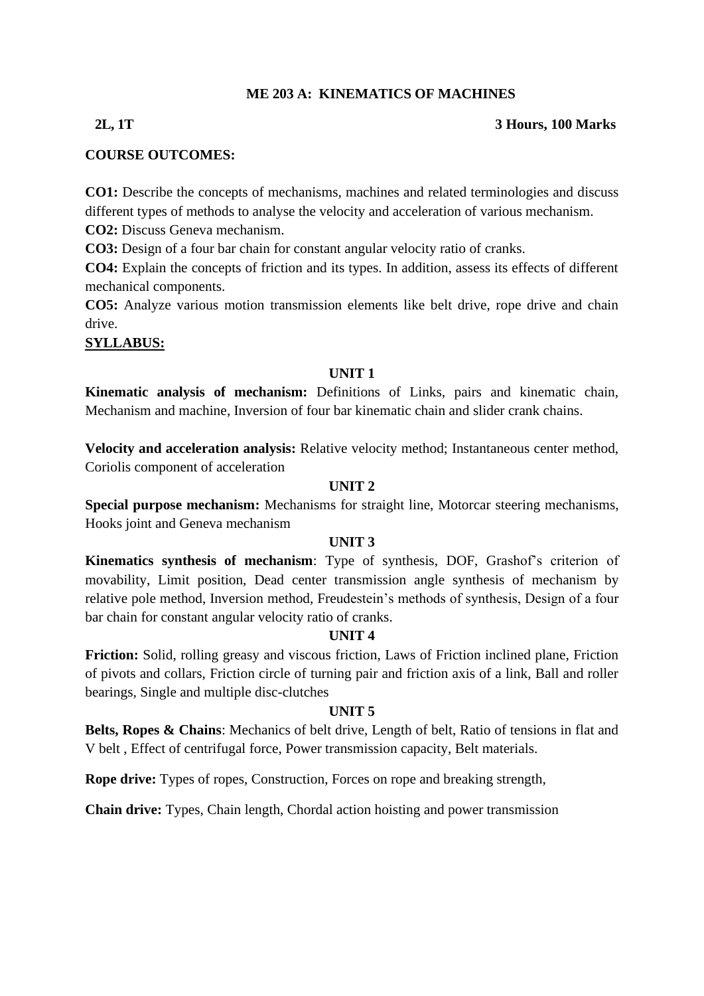## **ME 203 A: KINEMATICS OF MACHINES**

### **2L, 1T 3 Hours, 100 Marks**

## **COURSE OUTCOMES:**

**CO1:** Describe the concepts of mechanisms, machines and related terminologies and discuss different types of methods to analyse the velocity and acceleration of various mechanism.

**CO2:** Discuss Geneva mechanism.

**CO3:** Design of a four bar chain for constant angular velocity ratio of cranks.

**CO4:** Explain the concepts of friction and its types. In addition, assess its effects of different mechanical components.

**CO5:** Analyze various motion transmission elements like belt drive, rope drive and chain drive.

**SYLLABUS:**

## **UNIT 1**

**Kinematic analysis of mechanism:** Definitions of Links, pairs and kinematic chain, Mechanism and machine, Inversion of four bar kinematic chain and slider crank chains.

**Velocity and acceleration analysis:** Relative velocity method; Instantaneous center method, Coriolis component of acceleration

## **UNIT 2**

**Special purpose mechanism:** Mechanisms for straight line, Motorcar steering mechanisms, Hooks joint and Geneva mechanism

### **UNIT 3**

**Kinematics synthesis of mechanism**: Type of synthesis, DOF, Grashof's criterion of movability, Limit position, Dead center transmission angle synthesis of mechanism by relative pole method, Inversion method, Freudestein's methods of synthesis, Design of a four bar chain for constant angular velocity ratio of cranks.

### **UNIT 4**

**Friction:** Solid, rolling greasy and viscous friction, Laws of Friction inclined plane, Friction of pivots and collars, Friction circle of turning pair and friction axis of a link, Ball and roller bearings, Single and multiple disc-clutches

### **UNIT 5**

**Belts, Ropes & Chains**: Mechanics of belt drive, Length of belt, Ratio of tensions in flat and V belt , Effect of centrifugal force, Power transmission capacity, Belt materials.

**Rope drive:** Types of ropes, Construction, Forces on rope and breaking strength,

**Chain drive:** Types, Chain length, Chordal action hoisting and power transmission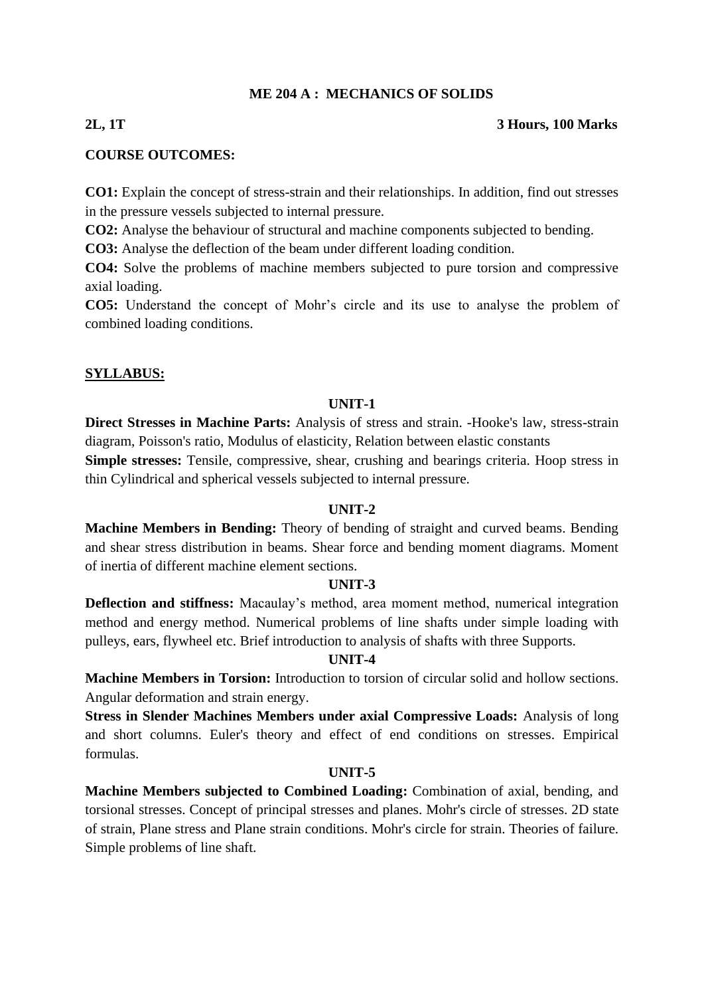## **ME 204 A : MECHANICS OF SOLIDS**

### **2L, 1T 3 Hours, 100 Marks**

### **COURSE OUTCOMES:**

**CO1:** Explain the concept of stress-strain and their relationships. In addition, find out stresses in the pressure vessels subjected to internal pressure.

**CO2:** Analyse the behaviour of structural and machine components subjected to bending.

**CO3:** Analyse the deflection of the beam under different loading condition.

**CO4:** Solve the problems of machine members subjected to pure torsion and compressive axial loading.

**CO5:** Understand the concept of Mohr's circle and its use to analyse the problem of combined loading conditions.

## **SYLLABUS:**

### **UNIT-1**

**Direct Stresses in Machine Parts:** Analysis of stress and strain. -Hooke's law, stress-strain diagram, Poisson's ratio, Modulus of elasticity, Relation between elastic constants **Simple stresses:** Tensile, compressive, shear, crushing and bearings criteria. Hoop stress in thin Cylindrical and spherical vessels subjected to internal pressure.

### **UNIT-2**

**Machine Members in Bending:** Theory of bending of straight and curved beams. Bending and shear stress distribution in beams. Shear force and bending moment diagrams. Moment of inertia of different machine element sections.

### **UNIT-3**

**Deflection and stiffness:** Macaulay's method, area moment method, numerical integration method and energy method. Numerical problems of line shafts under simple loading with pulleys, ears, flywheel etc. Brief introduction to analysis of shafts with three Supports.

### **UNIT-4**

**Machine Members in Torsion:** Introduction to torsion of circular solid and hollow sections. Angular deformation and strain energy.

**Stress in Slender Machines Members under axial Compressive Loads:** Analysis of long and short columns. Euler's theory and effect of end conditions on stresses. Empirical formulas.

### **UNIT-5**

**Machine Members subjected to Combined Loading:** Combination of axial, bending, and torsional stresses. Concept of principal stresses and planes. Mohr's circle of stresses. 2D state of strain, Plane stress and Plane strain conditions. Mohr's circle for strain. Theories of failure. Simple problems of line shaft.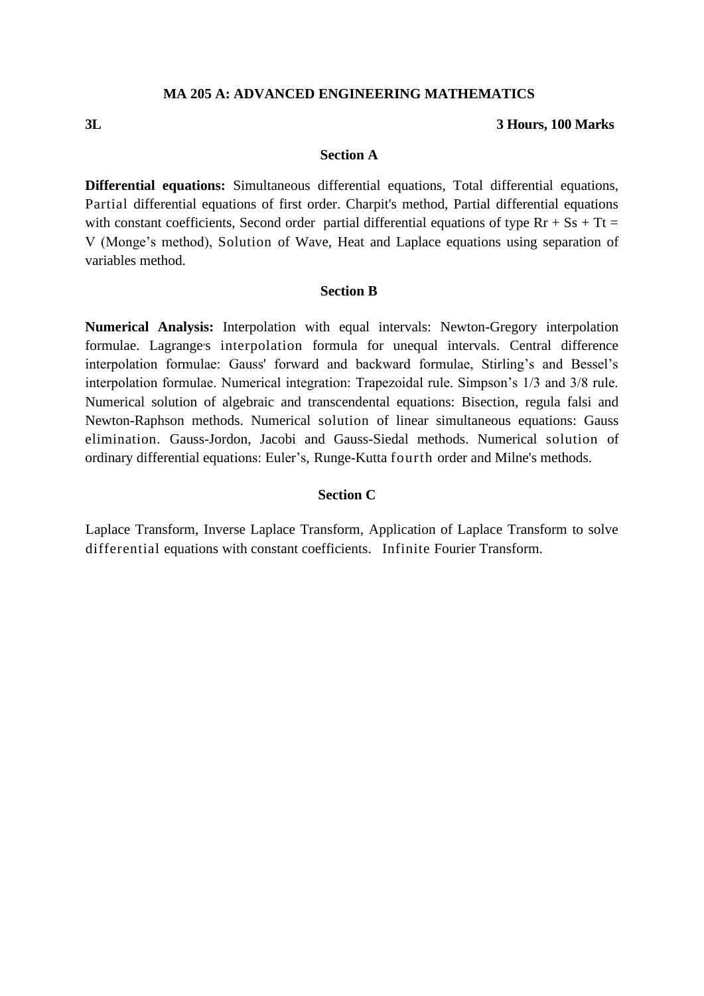#### **MA 205 A: ADVANCED ENGINEERING MATHEMATICS**

#### **3L 3 Hours, 100 Marks**

#### **Section A**

**Differential equations:** Simultaneous differential equations, Total differential equations, Partial differential equations of first order. Charpit's method, Partial differential equations with constant coefficients, Second order partial differential equations of type  $Rr + Ss + Tt =$ V (Monge's method), Solution of Wave, Heat and Laplace equations using separation of variables method.

#### **Section B**

**Numerical Analysis:** Interpolation with equal intervals: Newton-Gregory interpolation formulae. Lagrange's interpolation formula for unequal intervals. Central difference interpolation formulae: Gauss' forward and backward formulae, Stirling's and Bessel's interpolation formulae. Numerical integration: Trapezoidal rule. Simpson's 1/3 and 3/8 rule. Numerical solution of algebraic and transcendental equations: Bisection, regula falsi and Newton-Raphson methods. Numerical solution of linear simultaneous equations: Gauss elimination. Gauss-Jordon, Jacobi and Gauss-Siedal methods. Numerical solution of ordinary differential equations: Euler's, Runge-Kutta fourth order and Milne's methods.

#### **Section C**

Laplace Transform, Inverse Laplace Transform, Application of Laplace Transform to solve differential equations with constant coefficients. Infinite Fourier Transform.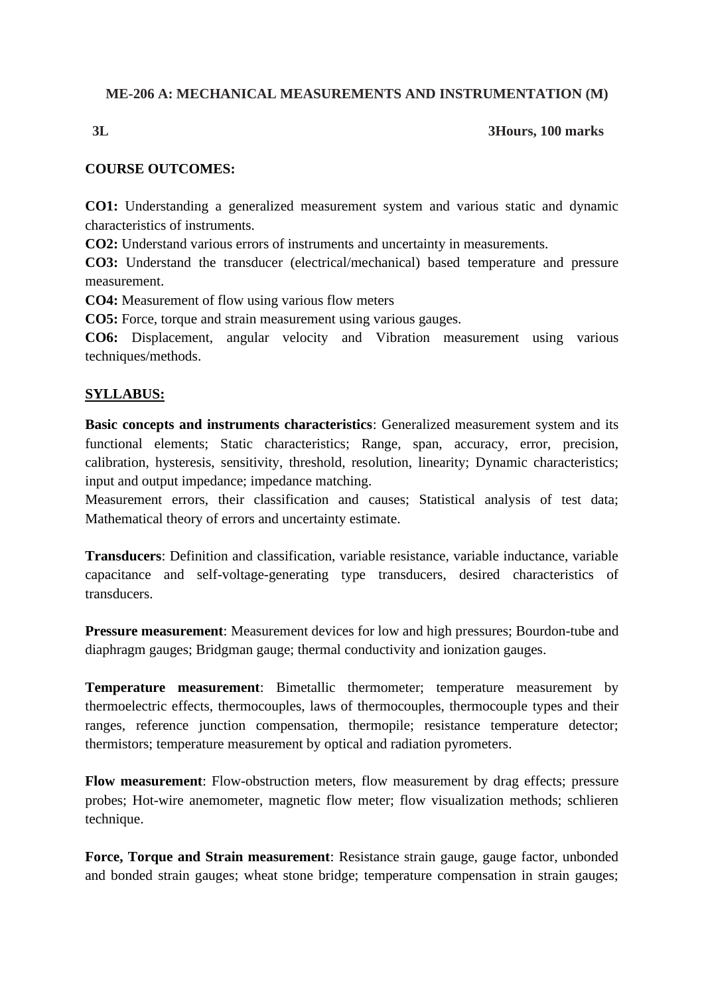## **ME-206 A: MECHANICAL MEASUREMENTS AND INSTRUMENTATION (M)**

## **3L 3Hours, 100 marks**

## **COURSE OUTCOMES:**

**CO1:** Understanding a generalized measurement system and various static and dynamic characteristics of instruments.

**CO2:** Understand various errors of instruments and uncertainty in measurements.

**CO3:** Understand the transducer (electrical/mechanical) based temperature and pressure measurement.

**CO4:** Measurement of flow using various flow meters

**CO5:** Force, torque and strain measurement using various gauges.

**CO6:** Displacement, angular velocity and Vibration measurement using various techniques/methods.

## **SYLLABUS:**

**Basic concepts and instruments characteristics**: Generalized measurement system and its functional elements; Static characteristics; Range, span, accuracy, error, precision, calibration, hysteresis, sensitivity, threshold, resolution, linearity; Dynamic characteristics; input and output impedance; impedance matching.

Measurement errors, their classification and causes; Statistical analysis of test data; Mathematical theory of errors and uncertainty estimate.

**Transducers**: Definition and classification, variable resistance, variable inductance, variable capacitance and self-voltage-generating type transducers, desired characteristics of transducers.

**Pressure measurement**: Measurement devices for low and high pressures; Bourdon-tube and diaphragm gauges; Bridgman gauge; thermal conductivity and ionization gauges.

**Temperature measurement**: Bimetallic thermometer; temperature measurement by thermoelectric effects, thermocouples, laws of thermocouples, thermocouple types and their ranges, reference junction compensation, thermopile; resistance temperature detector; thermistors; temperature measurement by optical and radiation pyrometers.

**Flow measurement**: Flow-obstruction meters, flow measurement by drag effects; pressure probes; Hot-wire anemometer, magnetic flow meter; flow visualization methods; schlieren technique.

**Force, Torque and Strain measurement**: Resistance strain gauge, gauge factor, unbonded and bonded strain gauges; wheat stone bridge; temperature compensation in strain gauges;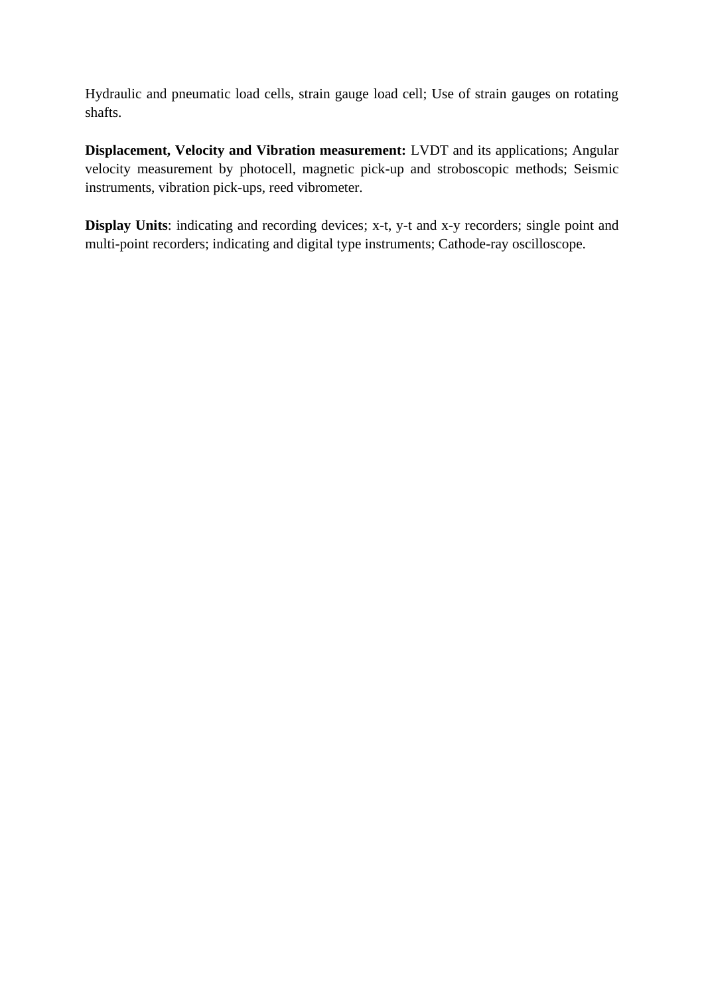Hydraulic and pneumatic load cells, strain gauge load cell; Use of strain gauges on rotating shafts.

**Displacement, Velocity and Vibration measurement:** LVDT and its applications; Angular velocity measurement by photocell, magnetic pick-up and stroboscopic methods; Seismic instruments, vibration pick-ups, reed vibrometer.

**Display Units:** indicating and recording devices; x-t, y-t and x-y recorders; single point and multi-point recorders; indicating and digital type instruments; Cathode-ray oscilloscope.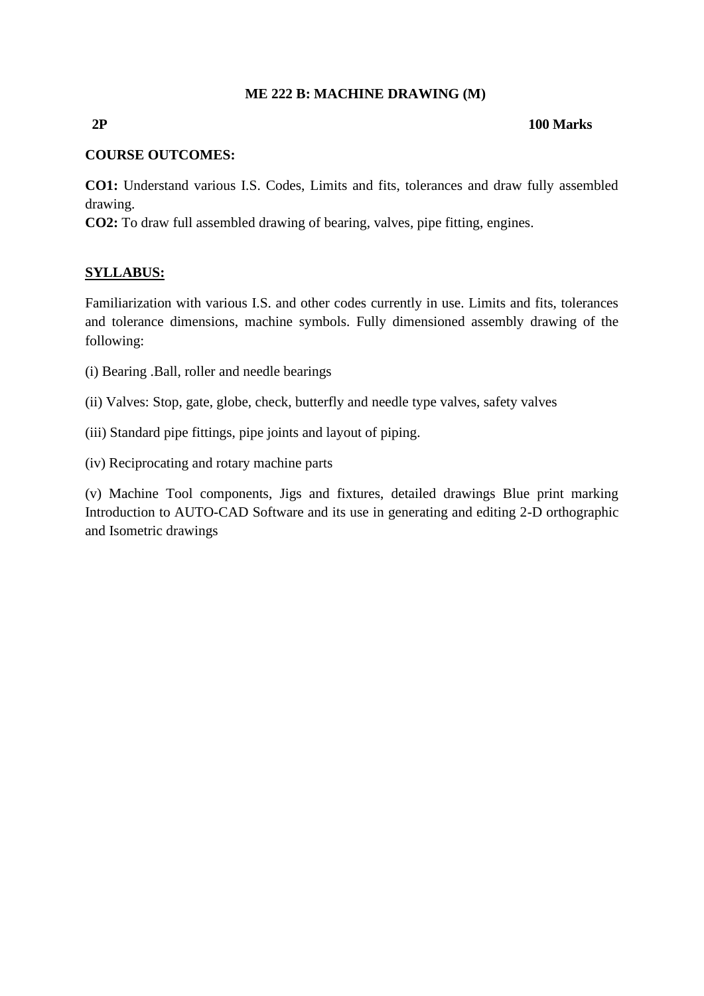## **ME 222 B: MACHINE DRAWING (M)**

### **2P 100 Marks**

## **COURSE OUTCOMES:**

**CO1:** Understand various I.S. Codes, Limits and fits, tolerances and draw fully assembled drawing.

**CO2:** To draw full assembled drawing of bearing, valves, pipe fitting, engines.

## **SYLLABUS:**

Familiarization with various I.S. and other codes currently in use. Limits and fits, tolerances and tolerance dimensions, machine symbols. Fully dimensioned assembly drawing of the following:

- (i) Bearing .Ball, roller and needle bearings
- (ii) Valves: Stop, gate, globe, check, butterfly and needle type valves, safety valves
- (iii) Standard pipe fittings, pipe joints and layout of piping.
- (iv) Reciprocating and rotary machine parts

(v) Machine Tool components, Jigs and fixtures, detailed drawings Blue print marking Introduction to AUTO-CAD Software and its use in generating and editing 2-D orthographic and Isometric drawings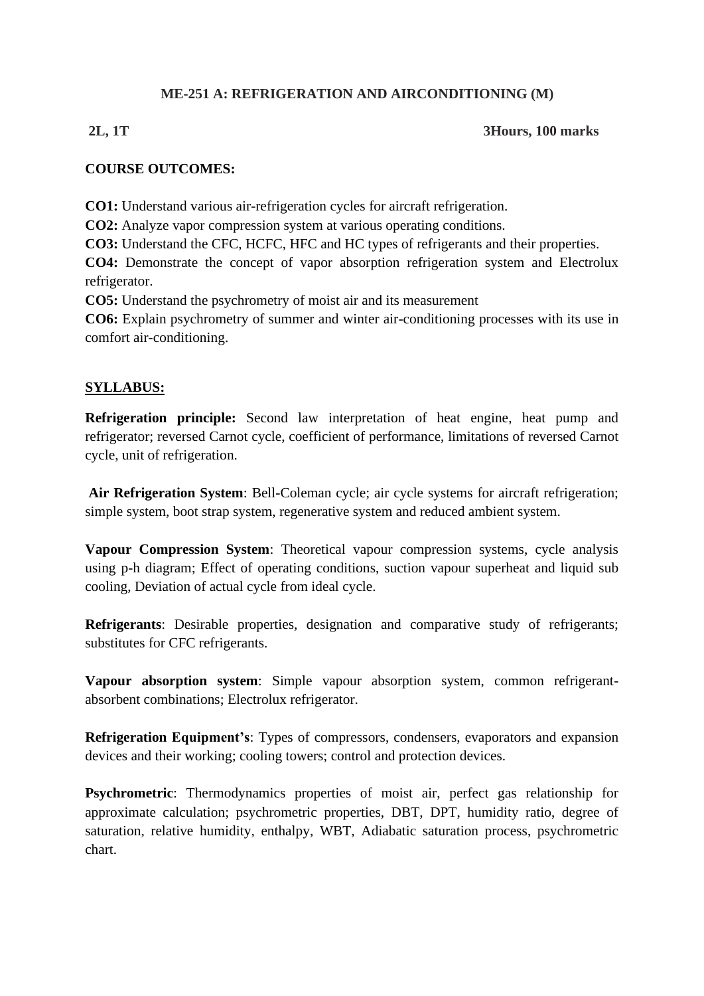## **ME-251 A: REFRIGERATION AND AIRCONDITIONING (M)**

## **2L, 1T 3Hours, 100 marks**

## **COURSE OUTCOMES:**

**CO1:** Understand various air-refrigeration cycles for aircraft refrigeration.

**CO2:** Analyze vapor compression system at various operating conditions.

**CO3:** Understand the CFC, HCFC, HFC and HC types of refrigerants and their properties.

**CO4:** Demonstrate the concept of vapor absorption refrigeration system and Electrolux refrigerator.

**CO5:** Understand the psychrometry of moist air and its measurement

**CO6:** Explain psychrometry of summer and winter air-conditioning processes with its use in comfort air-conditioning.

## **SYLLABUS:**

**Refrigeration principle:** Second law interpretation of heat engine, heat pump and refrigerator; reversed Carnot cycle, coefficient of performance, limitations of reversed Carnot cycle, unit of refrigeration.

Air Refrigeration System: Bell-Coleman cycle; air cycle systems for aircraft refrigeration; simple system, boot strap system, regenerative system and reduced ambient system.

**Vapour Compression System**: Theoretical vapour compression systems, cycle analysis using p-h diagram; Effect of operating conditions, suction vapour superheat and liquid sub cooling, Deviation of actual cycle from ideal cycle.

**Refrigerants**: Desirable properties, designation and comparative study of refrigerants; substitutes for CFC refrigerants.

**Vapour absorption system**: Simple vapour absorption system, common refrigerantabsorbent combinations; Electrolux refrigerator.

**Refrigeration Equipment's**: Types of compressors, condensers, evaporators and expansion devices and their working; cooling towers; control and protection devices.

**Psychrometric**: Thermodynamics properties of moist air, perfect gas relationship for approximate calculation; psychrometric properties, DBT, DPT, humidity ratio, degree of saturation, relative humidity, enthalpy, WBT, Adiabatic saturation process, psychrometric chart.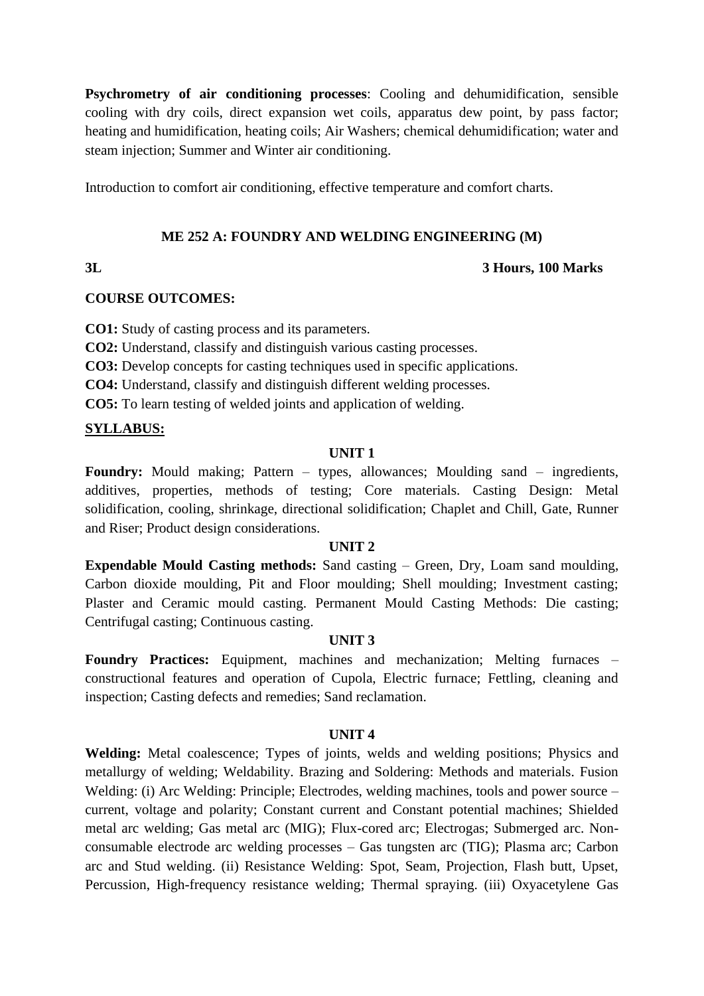**Psychrometry of air conditioning processes**: Cooling and dehumidification, sensible cooling with dry coils, direct expansion wet coils, apparatus dew point, by pass factor; heating and humidification, heating coils; Air Washers; chemical dehumidification; water and steam injection; Summer and Winter air conditioning.

Introduction to comfort air conditioning, effective temperature and comfort charts.

#### **ME 252 A: FOUNDRY AND WELDING ENGINEERING (M)**

## **3L 3 Hours, 100 Marks**

#### **COURSE OUTCOMES:**

**CO1:** Study of casting process and its parameters.

**CO2:** Understand, classify and distinguish various casting processes.

**CO3:** Develop concepts for casting techniques used in specific applications.

**CO4:** Understand, classify and distinguish different welding processes.

**CO5:** To learn testing of welded joints and application of welding.

## **SYLLABUS:**

### **UNIT 1**

**Foundry:** Mould making; Pattern – types, allowances; Moulding sand – ingredients, additives, properties, methods of testing; Core materials. Casting Design: Metal solidification, cooling, shrinkage, directional solidification; Chaplet and Chill, Gate, Runner and Riser; Product design considerations.

#### **UNIT 2**

**Expendable Mould Casting methods:** Sand casting – Green, Dry, Loam sand moulding, Carbon dioxide moulding, Pit and Floor moulding; Shell moulding; Investment casting; Plaster and Ceramic mould casting. Permanent Mould Casting Methods: Die casting; Centrifugal casting; Continuous casting.

### **UNIT 3**

**Foundry Practices:** Equipment, machines and mechanization; Melting furnaces – constructional features and operation of Cupola, Electric furnace; Fettling, cleaning and inspection; Casting defects and remedies; Sand reclamation.

### **UNIT 4**

**Welding:** Metal coalescence; Types of joints, welds and welding positions; Physics and metallurgy of welding; Weldability. Brazing and Soldering: Methods and materials. Fusion Welding: (i) Arc Welding: Principle; Electrodes, welding machines, tools and power source – current, voltage and polarity; Constant current and Constant potential machines; Shielded metal arc welding; Gas metal arc (MIG); Flux-cored arc; Electrogas; Submerged arc. Nonconsumable electrode arc welding processes – Gas tungsten arc (TIG); Plasma arc; Carbon arc and Stud welding. (ii) Resistance Welding: Spot, Seam, Projection, Flash butt, Upset, Percussion, High-frequency resistance welding; Thermal spraying. (iii) Oxyacetylene Gas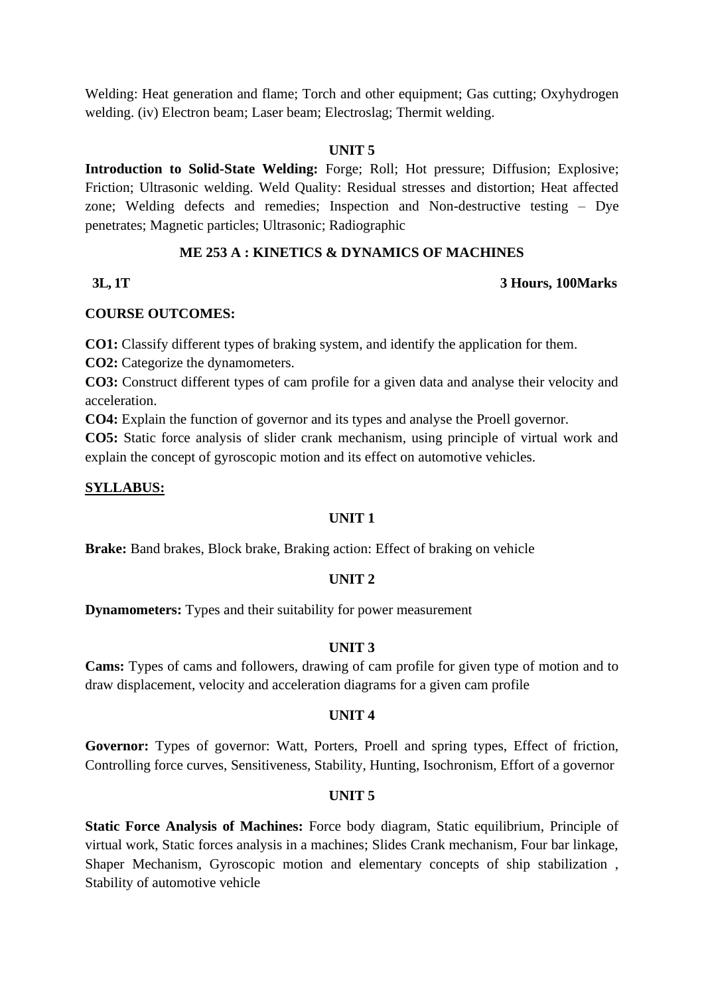Welding: Heat generation and flame; Torch and other equipment; Gas cutting; Oxyhydrogen welding. (iv) Electron beam; Laser beam; Electroslag; Thermit welding.

#### **UNIT 5**

**Introduction to Solid-State Welding:** Forge; Roll; Hot pressure; Diffusion; Explosive; Friction; Ultrasonic welding. Weld Quality: Residual stresses and distortion; Heat affected zone; Welding defects and remedies; Inspection and Non-destructive testing – Dye penetrates; Magnetic particles; Ultrasonic; Radiographic

## **ME 253 A : KINETICS & DYNAMICS OF MACHINES**

### **3L, 1T 3 Hours, 100Marks**

## **COURSE OUTCOMES:**

**CO1:** Classify different types of braking system, and identify the application for them.

**CO2:** Categorize the dynamometers.

**CO3:** Construct different types of cam profile for a given data and analyse their velocity and acceleration.

**CO4:** Explain the function of governor and its types and analyse the Proell governor.

**CO5:** Static force analysis of slider crank mechanism, using principle of virtual work and explain the concept of gyroscopic motion and its effect on automotive vehicles.

## **SYLLABUS:**

## **UNIT 1**

**Brake:** Band brakes, Block brake, Braking action: Effect of braking on vehicle

### **UNIT 2**

**Dynamometers:** Types and their suitability for power measurement

## **UNIT 3**

**Cams:** Types of cams and followers, drawing of cam profile for given type of motion and to draw displacement, velocity and acceleration diagrams for a given cam profile

### **UNIT 4**

**Governor:** Types of governor: Watt, Porters, Proell and spring types, Effect of friction, Controlling force curves, Sensitiveness, Stability, Hunting, Isochronism, Effort of a governor

## **UNIT 5**

**Static Force Analysis of Machines:** Force body diagram, Static equilibrium, Principle of virtual work, Static forces analysis in a machines; Slides Crank mechanism, Four bar linkage, Shaper Mechanism, Gyroscopic motion and elementary concepts of ship stabilization , Stability of automotive vehicle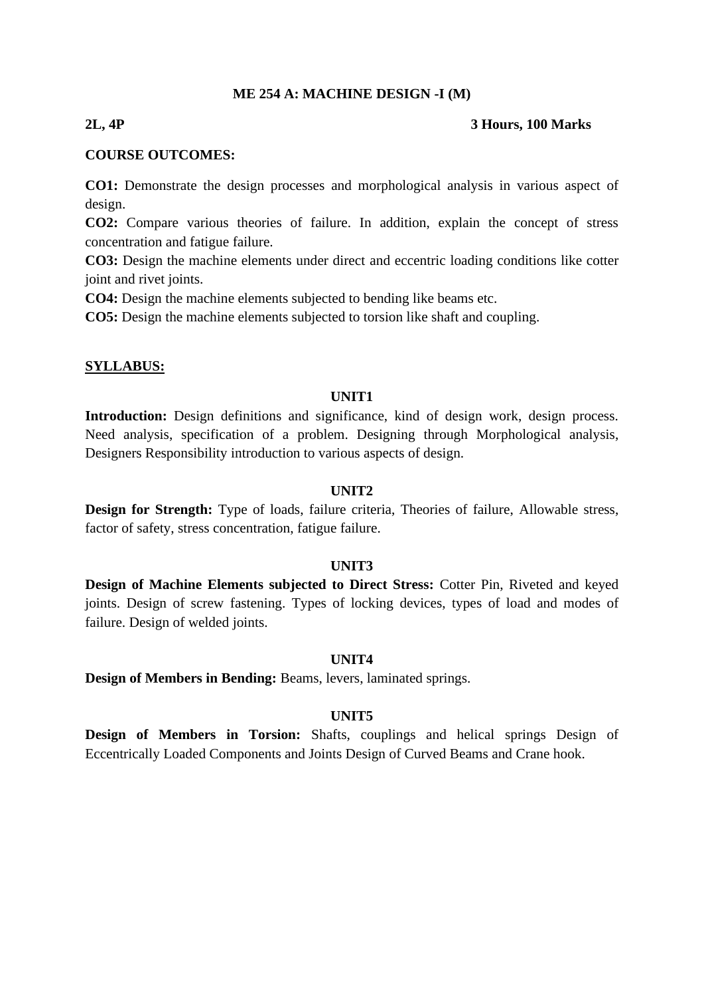#### **ME 254 A: MACHINE DESIGN -I (M)**

#### **2L, 4P 3 Hours, 100 Marks**

#### **COURSE OUTCOMES:**

**CO1:** Demonstrate the design processes and morphological analysis in various aspect of design.

**CO2:** Compare various theories of failure. In addition, explain the concept of stress concentration and fatigue failure.

**CO3:** Design the machine elements under direct and eccentric loading conditions like cotter joint and rivet joints.

**CO4:** Design the machine elements subjected to bending like beams etc.

**CO5:** Design the machine elements subjected to torsion like shaft and coupling.

#### **SYLLABUS:**

#### **UNIT1**

Introduction: Design definitions and significance, kind of design work, design process. Need analysis, specification of a problem. Designing through Morphological analysis, Designers Responsibility introduction to various aspects of design.

#### **UNIT2**

**Design for Strength:** Type of loads, failure criteria, Theories of failure, Allowable stress, factor of safety, stress concentration, fatigue failure.

#### **UNIT3**

**Design of Machine Elements subjected to Direct Stress:** Cotter Pin, Riveted and keyed joints. Design of screw fastening. Types of locking devices, types of load and modes of failure. Design of welded joints.

#### **UNIT4**

**Design of Members in Bending:** Beams, levers, laminated springs.

#### **UNIT5**

**Design of Members in Torsion:** Shafts, couplings and helical springs Design of Eccentrically Loaded Components and Joints Design of Curved Beams and Crane hook.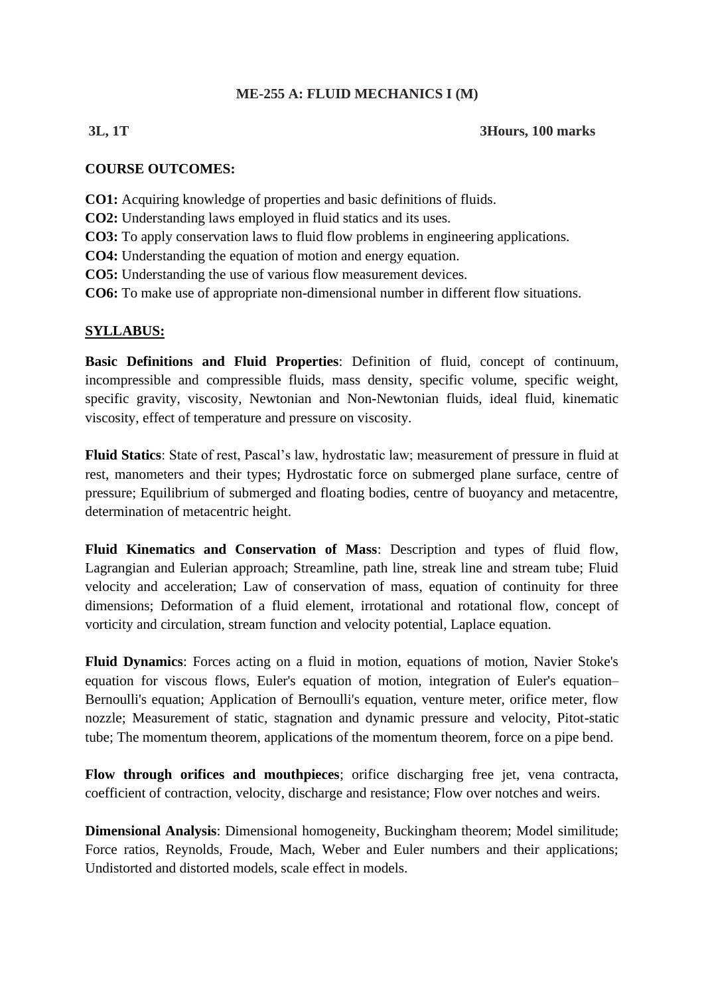## **ME-255 A: FLUID MECHANICS I (M)**

## **3L, 1T 3Hours, 100 marks**

## **COURSE OUTCOMES:**

- **CO1:** Acquiring knowledge of properties and basic definitions of fluids.
- **CO2:** Understanding laws employed in fluid statics and its uses.
- **CO3:** To apply conservation laws to fluid flow problems in engineering applications.
- **CO4:** Understanding the equation of motion and energy equation.
- **CO5:** Understanding the use of various flow measurement devices.
- **CO6:** To make use of appropriate non-dimensional number in different flow situations.

## **SYLLABUS:**

**Basic Definitions and Fluid Properties**: Definition of fluid, concept of continuum, incompressible and compressible fluids, mass density, specific volume, specific weight, specific gravity, viscosity, Newtonian and Non-Newtonian fluids, ideal fluid, kinematic viscosity, effect of temperature and pressure on viscosity.

**Fluid Statics**: State of rest, Pascal's law, hydrostatic law; measurement of pressure in fluid at rest, manometers and their types; Hydrostatic force on submerged plane surface, centre of pressure; Equilibrium of submerged and floating bodies, centre of buoyancy and metacentre, determination of metacentric height.

**Fluid Kinematics and Conservation of Mass**: Description and types of fluid flow, Lagrangian and Eulerian approach; Streamline, path line, streak line and stream tube; Fluid velocity and acceleration; Law of conservation of mass, equation of continuity for three dimensions; Deformation of a fluid element, irrotational and rotational flow, concept of vorticity and circulation, stream function and velocity potential, Laplace equation.

**Fluid Dynamics**: Forces acting on a fluid in motion, equations of motion, Navier Stoke's equation for viscous flows, Euler's equation of motion, integration of Euler's equation– Bernoulli's equation; Application of Bernoulli's equation, venture meter, orifice meter, flow nozzle; Measurement of static, stagnation and dynamic pressure and velocity, Pitot-static tube; The momentum theorem, applications of the momentum theorem, force on a pipe bend.

**Flow through orifices and mouthpieces**; orifice discharging free jet, vena contracta, coefficient of contraction, velocity, discharge and resistance; Flow over notches and weirs.

**Dimensional Analysis**: Dimensional homogeneity, Buckingham theorem; Model similitude; Force ratios, Reynolds, Froude, Mach, Weber and Euler numbers and their applications; Undistorted and distorted models, scale effect in models.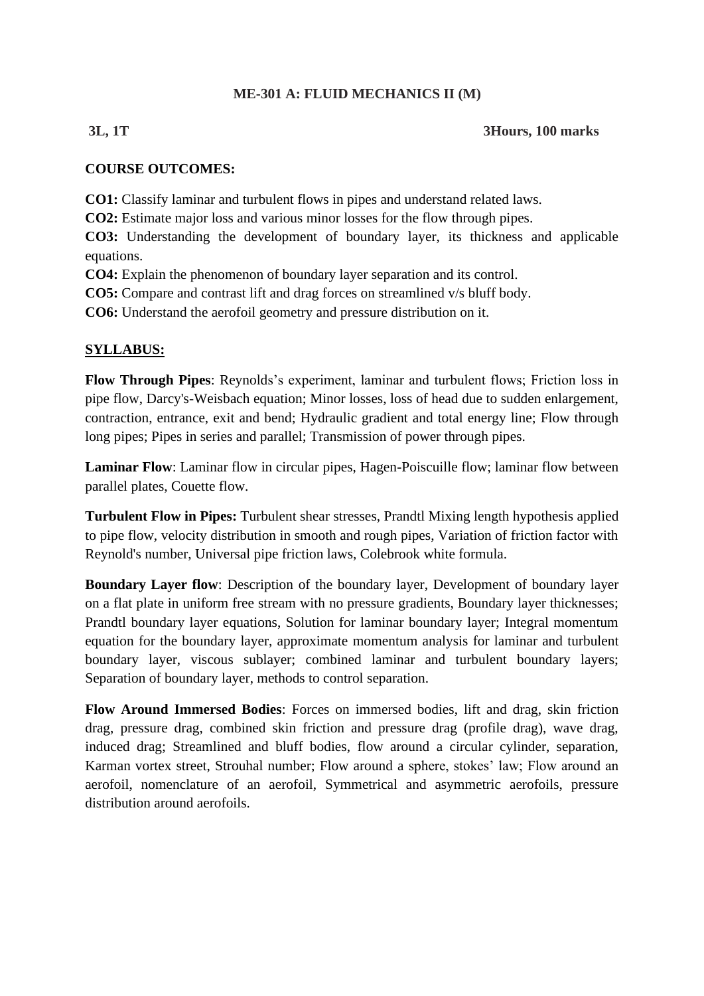## **ME-301 A: FLUID MECHANICS II (M)**

## **3L, 1T 3Hours, 100 marks**

## **COURSE OUTCOMES:**

**CO1:** Classify laminar and turbulent flows in pipes and understand related laws.

**CO2:** Estimate major loss and various minor losses for the flow through pipes.

**CO3:** Understanding the development of boundary layer, its thickness and applicable equations.

**CO4:** Explain the phenomenon of boundary layer separation and its control.

**CO5:** Compare and contrast lift and drag forces on streamlined v/s bluff body.

**CO6:** Understand the aerofoil geometry and pressure distribution on it.

## **SYLLABUS:**

**Flow Through Pipes**: Reynolds's experiment, laminar and turbulent flows; Friction loss in pipe flow, Darcy's-Weisbach equation; Minor losses, loss of head due to sudden enlargement, contraction, entrance, exit and bend; Hydraulic gradient and total energy line; Flow through long pipes; Pipes in series and parallel; Transmission of power through pipes.

**Laminar Flow**: Laminar flow in circular pipes, Hagen-Poiscuille flow; laminar flow between parallel plates, Couette flow.

**Turbulent Flow in Pipes:** Turbulent shear stresses, Prandtl Mixing length hypothesis applied to pipe flow, velocity distribution in smooth and rough pipes, Variation of friction factor with Reynold's number, Universal pipe friction laws, Colebrook white formula.

**Boundary Layer flow**: Description of the boundary layer, Development of boundary layer on a flat plate in uniform free stream with no pressure gradients, Boundary layer thicknesses; Prandtl boundary layer equations, Solution for laminar boundary layer; Integral momentum equation for the boundary layer, approximate momentum analysis for laminar and turbulent boundary layer, viscous sublayer; combined laminar and turbulent boundary layers; Separation of boundary layer, methods to control separation.

**Flow Around Immersed Bodies**: Forces on immersed bodies, lift and drag, skin friction drag, pressure drag, combined skin friction and pressure drag (profile drag), wave drag, induced drag; Streamlined and bluff bodies, flow around a circular cylinder, separation, Karman vortex street, Strouhal number; Flow around a sphere, stokes' law; Flow around an aerofoil, nomenclature of an aerofoil, Symmetrical and asymmetric aerofoils, pressure distribution around aerofoils.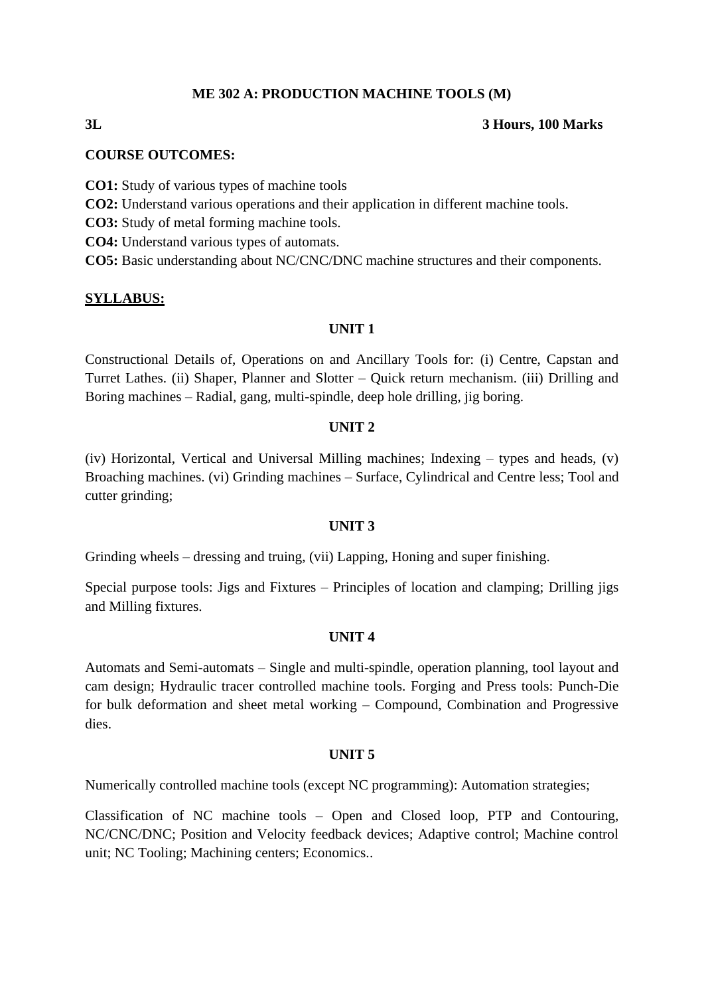### **ME 302 A: PRODUCTION MACHINE TOOLS (M)**

#### **3L 3 Hours, 100 Marks**

#### **COURSE OUTCOMES:**

- **CO1:** Study of various types of machine tools
- **CO2:** Understand various operations and their application in different machine tools.
- **CO3:** Study of metal forming machine tools.
- **CO4:** Understand various types of automats.

**CO5:** Basic understanding about NC/CNC/DNC machine structures and their components.

#### **SYLLABUS:**

#### **UNIT 1**

Constructional Details of, Operations on and Ancillary Tools for: (i) Centre, Capstan and Turret Lathes. (ii) Shaper, Planner and Slotter – Quick return mechanism. (iii) Drilling and Boring machines – Radial, gang, multi-spindle, deep hole drilling, jig boring.

#### **UNIT 2**

(iv) Horizontal, Vertical and Universal Milling machines; Indexing – types and heads, (v) Broaching machines. (vi) Grinding machines – Surface, Cylindrical and Centre less; Tool and cutter grinding;

#### **UNIT 3**

Grinding wheels – dressing and truing, (vii) Lapping, Honing and super finishing.

Special purpose tools: Jigs and Fixtures – Principles of location and clamping; Drilling jigs and Milling fixtures.

#### **UNIT 4**

Automats and Semi-automats – Single and multi-spindle, operation planning, tool layout and cam design; Hydraulic tracer controlled machine tools. Forging and Press tools: Punch-Die for bulk deformation and sheet metal working – Compound, Combination and Progressive dies.

#### **UNIT 5**

Numerically controlled machine tools (except NC programming): Automation strategies;

Classification of NC machine tools – Open and Closed loop, PTP and Contouring, NC/CNC/DNC; Position and Velocity feedback devices; Adaptive control; Machine control unit; NC Tooling; Machining centers; Economics..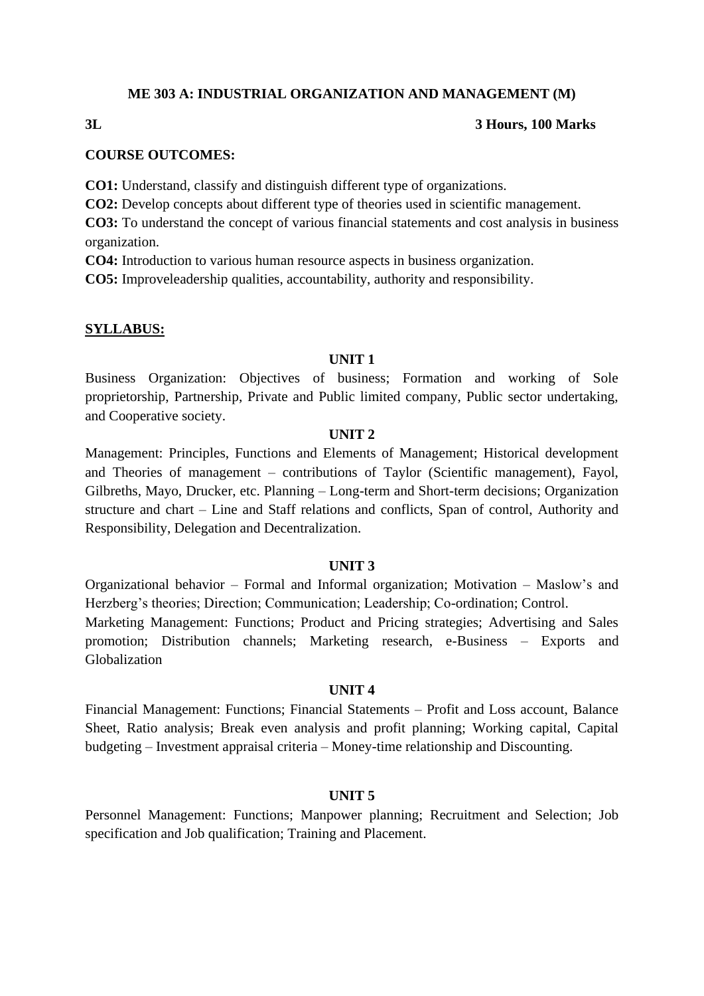#### **ME 303 A: INDUSTRIAL ORGANIZATION AND MANAGEMENT (M)**

## **3L 3 Hours, 100 Marks**

## **COURSE OUTCOMES:**

**CO1:** Understand, classify and distinguish different type of organizations.

**CO2:** Develop concepts about different type of theories used in scientific management.

**CO3:** To understand the concept of various financial statements and cost analysis in business organization.

**CO4:** Introduction to various human resource aspects in business organization.

**CO5:** Improveleadership qualities, accountability, authority and responsibility.

#### **SYLLABUS:**

### **UNIT 1**

Business Organization: Objectives of business; Formation and working of Sole proprietorship, Partnership, Private and Public limited company, Public sector undertaking, and Cooperative society.

#### **UNIT 2**

Management: Principles, Functions and Elements of Management; Historical development and Theories of management – contributions of Taylor (Scientific management), Fayol, Gilbreths, Mayo, Drucker, etc. Planning – Long-term and Short-term decisions; Organization structure and chart – Line and Staff relations and conflicts, Span of control, Authority and Responsibility, Delegation and Decentralization.

### **UNIT 3**

Organizational behavior – Formal and Informal organization; Motivation – Maslow's and Herzberg's theories; Direction; Communication; Leadership; Co-ordination; Control. Marketing Management: Functions; Product and Pricing strategies; Advertising and Sales promotion; Distribution channels; Marketing research, e-Business – Exports and Globalization

#### **UNIT 4**

Financial Management: Functions; Financial Statements – Profit and Loss account, Balance Sheet, Ratio analysis; Break even analysis and profit planning; Working capital, Capital budgeting – Investment appraisal criteria – Money-time relationship and Discounting.

## **UNIT 5**

Personnel Management: Functions; Manpower planning; Recruitment and Selection; Job specification and Job qualification; Training and Placement.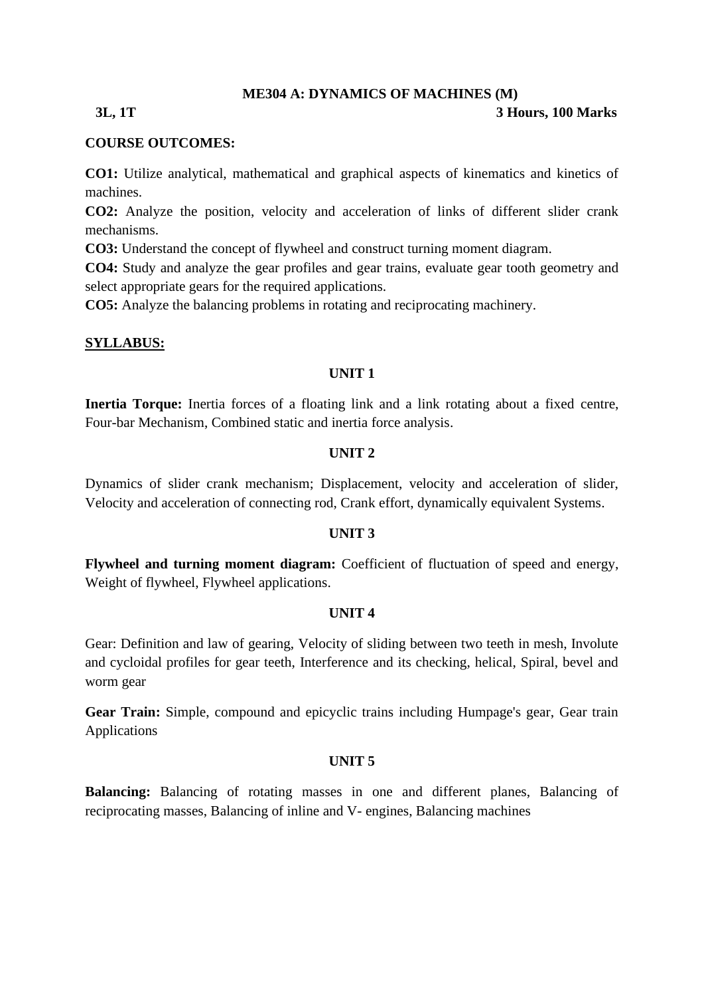#### **ME304 A: DYNAMICS OF MACHINES (M)**

#### **3L, 1T 3 Hours, 100 Marks**

#### **COURSE OUTCOMES:**

**CO1:** Utilize analytical, mathematical and graphical aspects of kinematics and kinetics of machines.

**CO2:** Analyze the position, velocity and acceleration of links of different slider crank mechanisms.

**CO3:** Understand the concept of flywheel and construct turning moment diagram.

**CO4:** Study and analyze the gear profiles and gear trains, evaluate gear tooth geometry and select appropriate gears for the required applications.

**CO5:** Analyze the balancing problems in rotating and reciprocating machinery.

#### **SYLLABUS:**

### **UNIT 1**

**Inertia Torque:** Inertia forces of a floating link and a link rotating about a fixed centre, Four-bar Mechanism, Combined static and inertia force analysis.

#### **UNIT 2**

Dynamics of slider crank mechanism; Displacement, velocity and acceleration of slider, Velocity and acceleration of connecting rod, Crank effort, dynamically equivalent Systems.

#### **UNIT 3**

**Flywheel and turning moment diagram:** Coefficient of fluctuation of speed and energy, Weight of flywheel, Flywheel applications.

#### **UNIT 4**

Gear: Definition and law of gearing, Velocity of sliding between two teeth in mesh, Involute and cycloidal profiles for gear teeth, Interference and its checking, helical, Spiral, bevel and worm gear

**Gear Train:** Simple, compound and epicyclic trains including Humpage's gear, Gear train Applications

#### **UNIT 5**

**Balancing:** Balancing of rotating masses in one and different planes, Balancing of reciprocating masses, Balancing of inline and V- engines, Balancing machines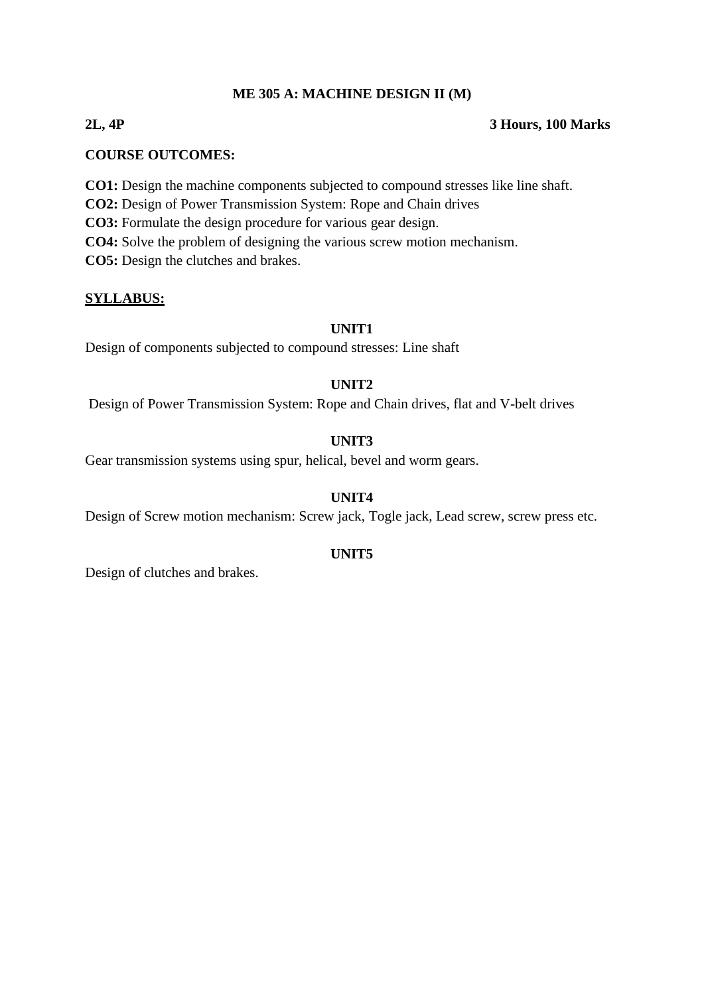## **ME 305 A: MACHINE DESIGN II (M)**

## **2L, 4P 3 Hours, 100 Marks**

## **COURSE OUTCOMES:**

**CO1:** Design the machine components subjected to compound stresses like line shaft.

**CO2:** Design of Power Transmission System: Rope and Chain drives

**CO3:** Formulate the design procedure for various gear design.

**CO4:** Solve the problem of designing the various screw motion mechanism.

**CO5:** Design the clutches and brakes.

## **SYLLABUS:**

### **UNIT1**

Design of components subjected to compound stresses: Line shaft

## **UNIT2**

Design of Power Transmission System: Rope and Chain drives, flat and V-belt drives

## **UNIT3**

Gear transmission systems using spur, helical, bevel and worm gears.

## **UNIT4**

Design of Screw motion mechanism: Screw jack, Togle jack, Lead screw, screw press etc.

### **UNIT5**

Design of clutches and brakes.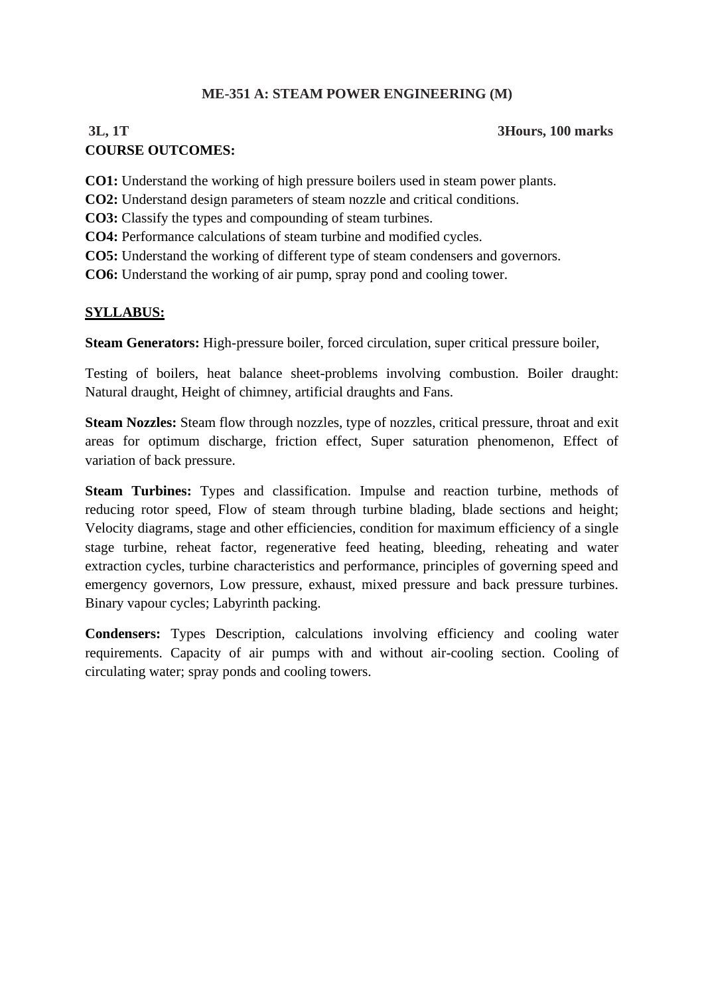## **ME-351 A: STEAM POWER ENGINEERING (M)**

## **3L, 1T 3Hours, 100 marks COURSE OUTCOMES:**

**CO1:** Understand the working of high pressure boilers used in steam power plants.

**CO2:** Understand design parameters of steam nozzle and critical conditions.

**CO3:** Classify the types and compounding of steam turbines.

**CO4:** Performance calculations of steam turbine and modified cycles.

**CO5:** Understand the working of different type of steam condensers and governors.

**CO6:** Understand the working of air pump, spray pond and cooling tower.

## **SYLLABUS:**

**Steam Generators:** High-pressure boiler, forced circulation, super critical pressure boiler,

Testing of boilers, heat balance sheet-problems involving combustion. Boiler draught: Natural draught, Height of chimney, artificial draughts and Fans.

**Steam Nozzles:** Steam flow through nozzles, type of nozzles, critical pressure, throat and exit areas for optimum discharge, friction effect, Super saturation phenomenon, Effect of variation of back pressure.

**Steam Turbines:** Types and classification. Impulse and reaction turbine, methods of reducing rotor speed, Flow of steam through turbine blading, blade sections and height; Velocity diagrams, stage and other efficiencies, condition for maximum efficiency of a single stage turbine, reheat factor, regenerative feed heating, bleeding, reheating and water extraction cycles, turbine characteristics and performance, principles of governing speed and emergency governors, Low pressure, exhaust, mixed pressure and back pressure turbines. Binary vapour cycles; Labyrinth packing.

**Condensers:** Types Description, calculations involving efficiency and cooling water requirements. Capacity of air pumps with and without air-cooling section. Cooling of circulating water; spray ponds and cooling towers.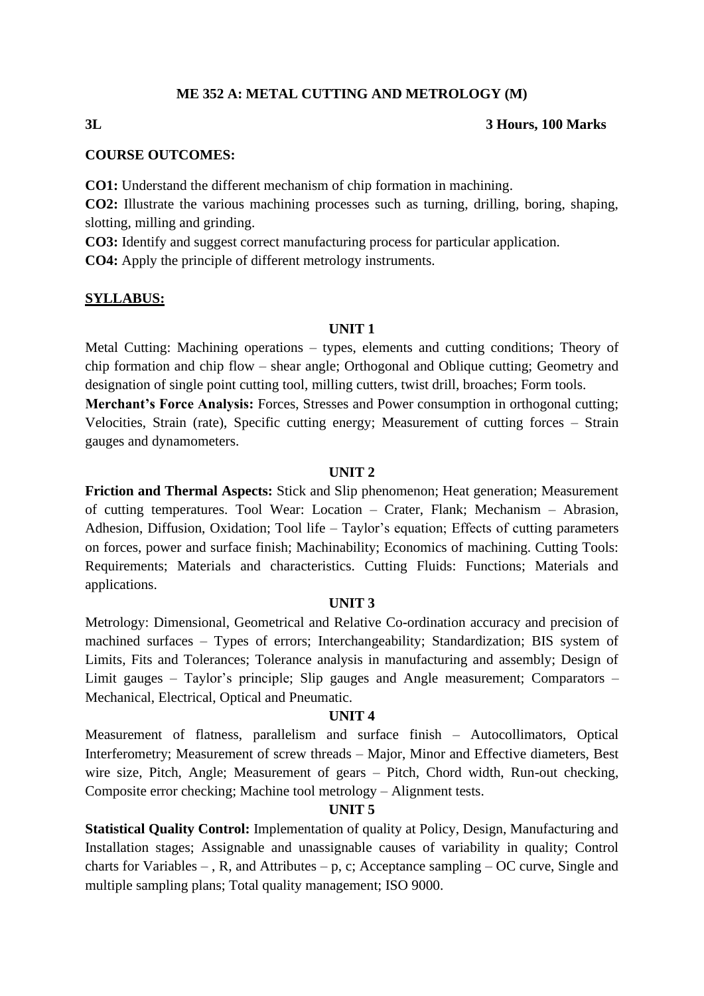#### **ME 352 A: METAL CUTTING AND METROLOGY (M)**

#### **3L 3 Hours, 100 Marks**

#### **COURSE OUTCOMES:**

**CO1:** Understand the different mechanism of chip formation in machining.

**CO2:** Illustrate the various machining processes such as turning, drilling, boring, shaping, slotting, milling and grinding.

**CO3:** Identify and suggest correct manufacturing process for particular application.

**CO4:** Apply the principle of different metrology instruments.

#### **SYLLABUS:**

#### **UNIT 1**

Metal Cutting: Machining operations – types, elements and cutting conditions; Theory of chip formation and chip flow – shear angle; Orthogonal and Oblique cutting; Geometry and designation of single point cutting tool, milling cutters, twist drill, broaches; Form tools.

**Merchant's Force Analysis:** Forces, Stresses and Power consumption in orthogonal cutting; Velocities, Strain (rate), Specific cutting energy; Measurement of cutting forces – Strain gauges and dynamometers.

#### **UNIT 2**

**Friction and Thermal Aspects:** Stick and Slip phenomenon; Heat generation; Measurement of cutting temperatures. Tool Wear: Location – Crater, Flank; Mechanism – Abrasion, Adhesion, Diffusion, Oxidation; Tool life – Taylor's equation; Effects of cutting parameters on forces, power and surface finish; Machinability; Economics of machining. Cutting Tools: Requirements; Materials and characteristics. Cutting Fluids: Functions; Materials and applications.

## **UNIT 3**

Metrology: Dimensional, Geometrical and Relative Co-ordination accuracy and precision of machined surfaces – Types of errors; Interchangeability; Standardization; BIS system of Limits, Fits and Tolerances; Tolerance analysis in manufacturing and assembly; Design of Limit gauges – Taylor's principle; Slip gauges and Angle measurement; Comparators – Mechanical, Electrical, Optical and Pneumatic.

#### **UNIT 4**

Measurement of flatness, parallelism and surface finish – Autocollimators, Optical Interferometry; Measurement of screw threads – Major, Minor and Effective diameters, Best wire size, Pitch, Angle; Measurement of gears – Pitch, Chord width, Run-out checking, Composite error checking; Machine tool metrology – Alignment tests.

#### **UNIT 5**

**Statistical Quality Control:** Implementation of quality at Policy, Design, Manufacturing and Installation stages; Assignable and unassignable causes of variability in quality; Control charts for Variables – , R, and Attributes – p, c; Acceptance sampling – OC curve, Single and multiple sampling plans; Total quality management; ISO 9000.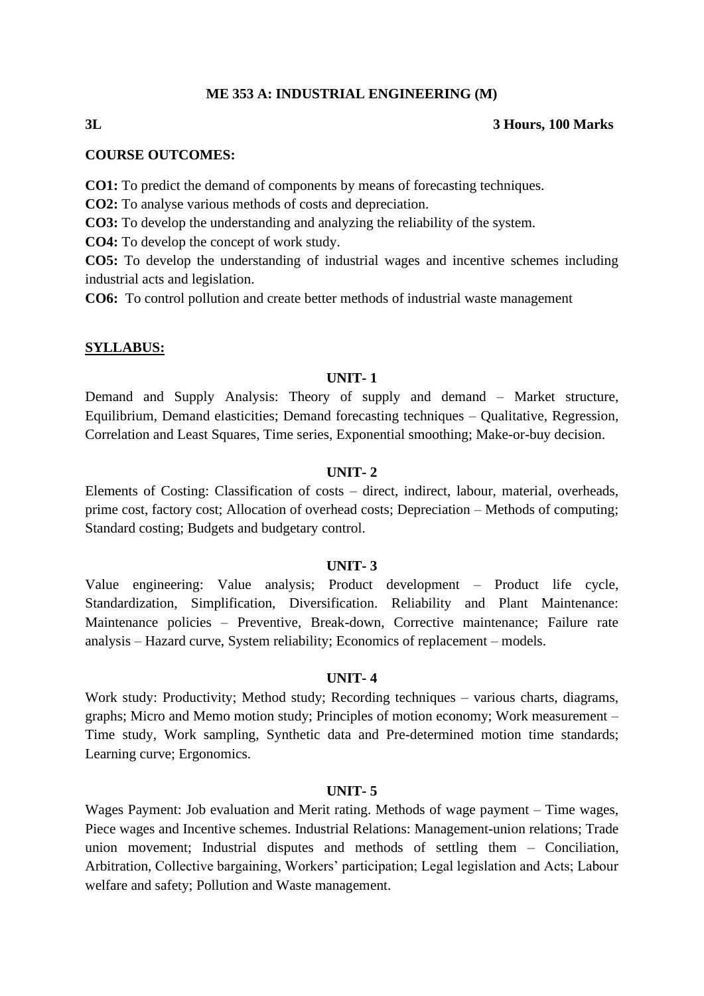#### **ME 353 A: INDUSTRIAL ENGINEERING (M)**

#### **3L 3 Hours, 100 Marks**

#### **COURSE OUTCOMES:**

**CO1:** To predict the demand of components by means of forecasting techniques.

**CO2:** To analyse various methods of costs and depreciation.

**CO3:** To develop the understanding and analyzing the reliability of the system.

**CO4:** To develop the concept of work study.

**CO5:** To develop the understanding of industrial wages and incentive schemes including industrial acts and legislation.

**CO6:** To control pollution and create better methods of industrial waste management

#### **SYLLABUS:**

#### **UNIT- 1**

Demand and Supply Analysis: Theory of supply and demand – Market structure, Equilibrium, Demand elasticities; Demand forecasting techniques – Qualitative, Regression, Correlation and Least Squares, Time series, Exponential smoothing; Make-or-buy decision.

#### **UNIT- 2**

Elements of Costing: Classification of costs – direct, indirect, labour, material, overheads, prime cost, factory cost; Allocation of overhead costs; Depreciation – Methods of computing; Standard costing; Budgets and budgetary control.

#### **UNIT- 3**

Value engineering: Value analysis; Product development – Product life cycle, Standardization, Simplification, Diversification. Reliability and Plant Maintenance: Maintenance policies – Preventive, Break-down, Corrective maintenance; Failure rate analysis – Hazard curve, System reliability; Economics of replacement – models.

#### **UNIT- 4**

Work study: Productivity; Method study; Recording techniques – various charts, diagrams, graphs; Micro and Memo motion study; Principles of motion economy; Work measurement – Time study, Work sampling, Synthetic data and Pre-determined motion time standards; Learning curve; Ergonomics.

#### **UNIT- 5**

Wages Payment: Job evaluation and Merit rating. Methods of wage payment – Time wages, Piece wages and Incentive schemes. Industrial Relations: Management-union relations; Trade union movement; Industrial disputes and methods of settling them – Conciliation, Arbitration, Collective bargaining, Workers' participation; Legal legislation and Acts; Labour welfare and safety; Pollution and Waste management.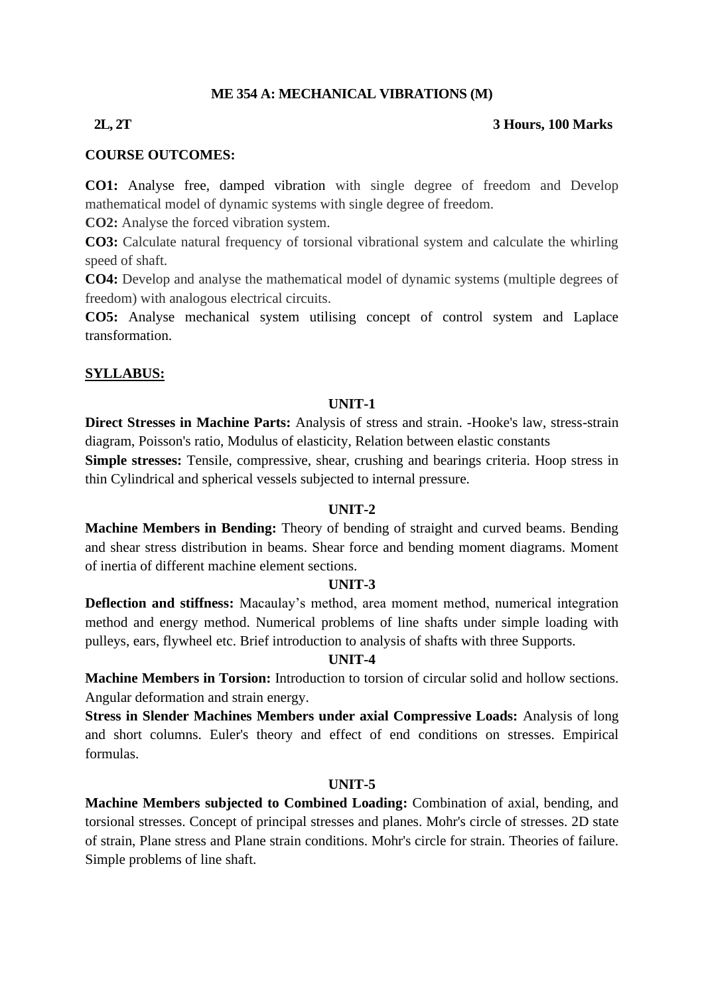## **ME 354 A: MECHANICAL VIBRATIONS (M)**

### **2L, 2T 3 Hours, 100 Marks**

### **COURSE OUTCOMES:**

**CO1:** Analyse free, damped vibration with single degree of freedom and Develop mathematical model of dynamic systems with single degree of freedom.

**CO2:** Analyse the forced vibration system.

**CO3:** Calculate natural frequency of torsional vibrational system and calculate the whirling speed of shaft.

**CO4:** Develop and analyse the mathematical model of dynamic systems (multiple degrees of freedom) with analogous electrical circuits.

**CO5:** Analyse mechanical system utilising concept of control system and Laplace transformation.

## **SYLLABUS:**

### **UNIT-1**

**Direct Stresses in Machine Parts:** Analysis of stress and strain. -Hooke's law, stress-strain diagram, Poisson's ratio, Modulus of elasticity, Relation between elastic constants **Simple stresses:** Tensile, compressive, shear, crushing and bearings criteria. Hoop stress in thin Cylindrical and spherical vessels subjected to internal pressure.

### **UNIT-2**

**Machine Members in Bending:** Theory of bending of straight and curved beams. Bending and shear stress distribution in beams. Shear force and bending moment diagrams. Moment of inertia of different machine element sections.

### **UNIT-3**

**Deflection and stiffness:** Macaulay's method, area moment method, numerical integration method and energy method. Numerical problems of line shafts under simple loading with pulleys, ears, flywheel etc. Brief introduction to analysis of shafts with three Supports.

### **UNIT-4**

**Machine Members in Torsion:** Introduction to torsion of circular solid and hollow sections. Angular deformation and strain energy.

**Stress in Slender Machines Members under axial Compressive Loads:** Analysis of long and short columns. Euler's theory and effect of end conditions on stresses. Empirical formulas.

### **UNIT-5**

**Machine Members subjected to Combined Loading:** Combination of axial, bending, and torsional stresses. Concept of principal stresses and planes. Mohr's circle of stresses. 2D state of strain, Plane stress and Plane strain conditions. Mohr's circle for strain. Theories of failure. Simple problems of line shaft.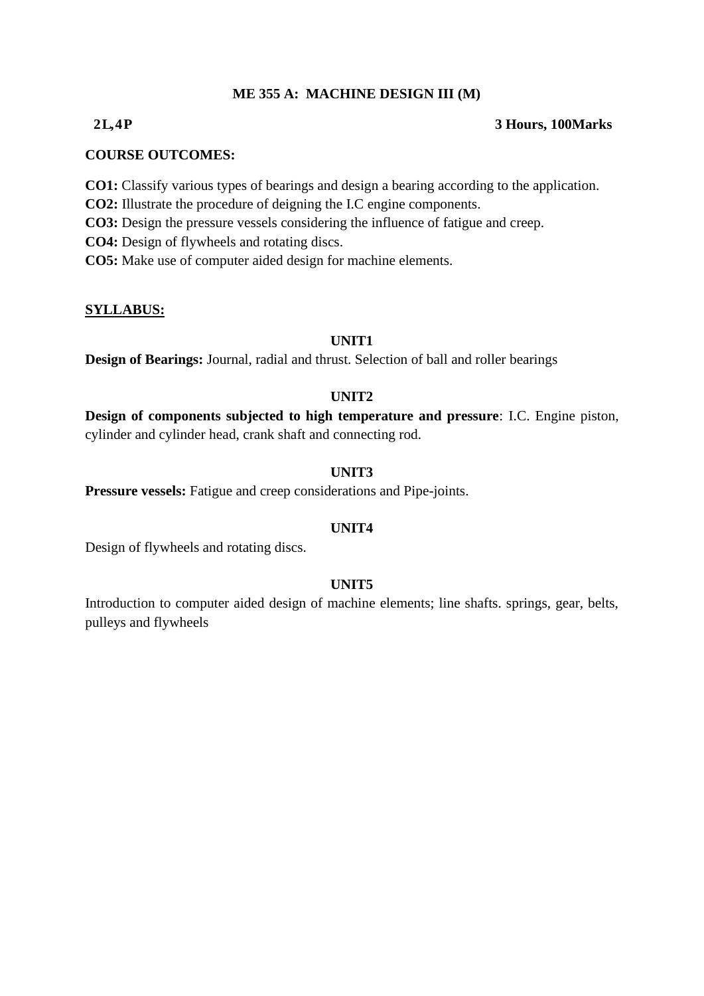## **ME 355 A: MACHINE DESIGN III (M)**

### **2 L, 4 P 3 Hours, 100Marks**

#### **COURSE OUTCOMES:**

- **CO1:** Classify various types of bearings and design a bearing according to the application.
- **CO2:** Illustrate the procedure of deigning the I.C engine components.
- **CO3:** Design the pressure vessels considering the influence of fatigue and creep.
- **CO4:** Design of flywheels and rotating discs.
- **CO5:** Make use of computer aided design for machine elements.

#### **SYLLABUS:**

## **UNIT1**

**Design of Bearings:** Journal, radial and thrust. Selection of ball and roller bearings

## **UNIT2**

**Design of components subjected to high temperature and pressure**: I.C. Engine piston, cylinder and cylinder head, crank shaft and connecting rod.

## **UNIT3**

**Pressure vessels:** Fatigue and creep considerations and Pipe-joints.

### **UNIT4**

Design of flywheels and rotating discs.

### **UNIT5**

Introduction to computer aided design of machine elements; line shafts. springs, gear, belts, pulleys and flywheels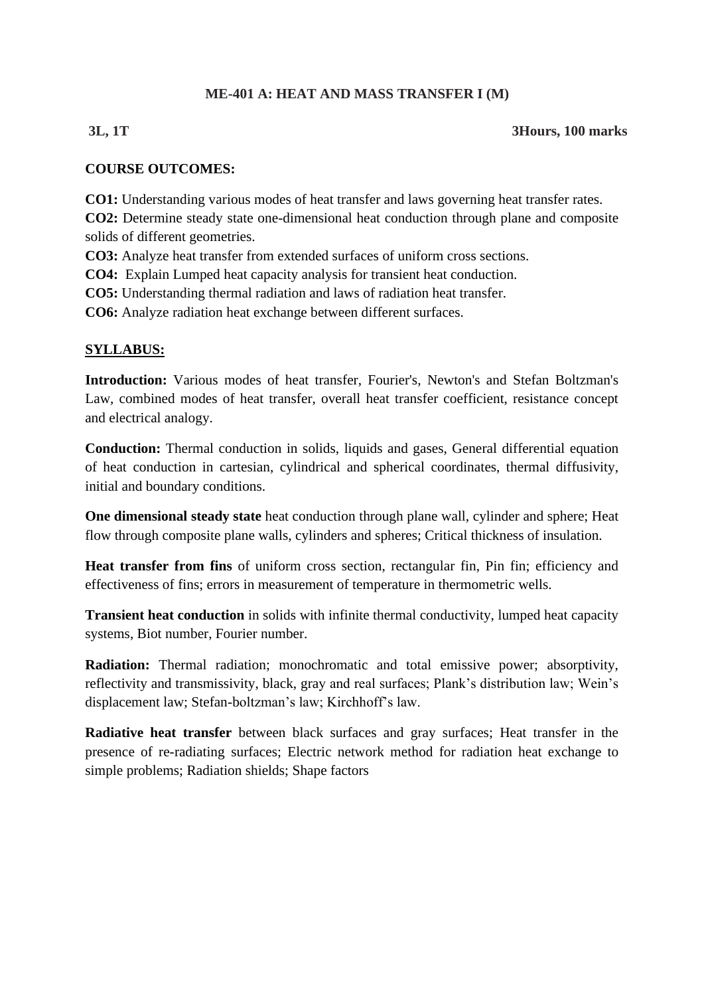## **ME-401 A: HEAT AND MASS TRANSFER I (M)**

### **3L, 1T 3Hours, 100 marks**

## **COURSE OUTCOMES:**

**CO1:** Understanding various modes of heat transfer and laws governing heat transfer rates.

**CO2:** Determine steady state one-dimensional heat conduction through plane and composite solids of different geometries.

**CO3:** Analyze heat transfer from extended surfaces of uniform cross sections.

**CO4:** Explain Lumped heat capacity analysis for transient heat conduction.

**CO5:** Understanding thermal radiation and laws of radiation heat transfer.

**CO6:** Analyze radiation heat exchange between different surfaces.

## **SYLLABUS:**

**Introduction:** Various modes of heat transfer, Fourier's, Newton's and Stefan Boltzman's Law, combined modes of heat transfer, overall heat transfer coefficient, resistance concept and electrical analogy.

**Conduction:** Thermal conduction in solids, liquids and gases, General differential equation of heat conduction in cartesian, cylindrical and spherical coordinates, thermal diffusivity, initial and boundary conditions.

**One dimensional steady state** heat conduction through plane wall, cylinder and sphere; Heat flow through composite plane walls, cylinders and spheres; Critical thickness of insulation.

**Heat transfer from fins** of uniform cross section, rectangular fin, Pin fin; efficiency and effectiveness of fins; errors in measurement of temperature in thermometric wells.

**Transient heat conduction** in solids with infinite thermal conductivity, lumped heat capacity systems, Biot number, Fourier number.

**Radiation:** Thermal radiation; monochromatic and total emissive power; absorptivity, reflectivity and transmissivity, black, gray and real surfaces; Plank's distribution law; Wein's displacement law; Stefan-boltzman's law; Kirchhoff's law.

**Radiative heat transfer** between black surfaces and gray surfaces; Heat transfer in the presence of re-radiating surfaces; Electric network method for radiation heat exchange to simple problems; Radiation shields; Shape factors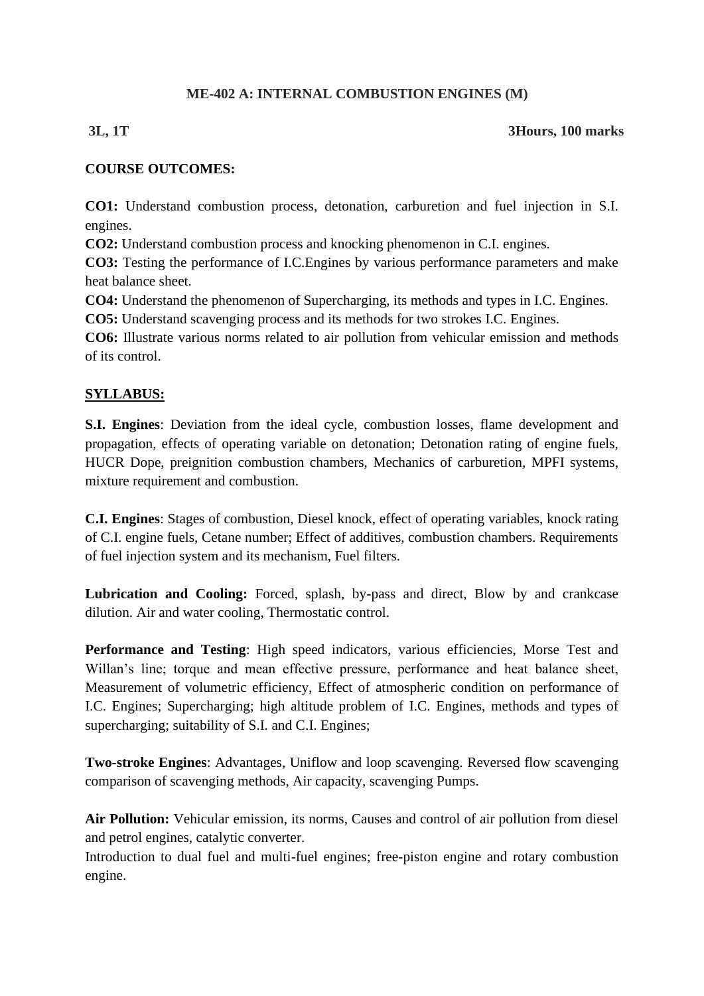## **ME-402 A: INTERNAL COMBUSTION ENGINES (M)**

## **3L, 1T 3Hours, 100 marks**

## **COURSE OUTCOMES:**

**CO1:** Understand combustion process, detonation, carburetion and fuel injection in S.I. engines.

**CO2:** Understand combustion process and knocking phenomenon in C.I. engines.

**CO3:** Testing the performance of I.C.Engines by various performance parameters and make heat balance sheet.

**CO4:** Understand the phenomenon of Supercharging, its methods and types in I.C. Engines.

**CO5:** Understand scavenging process and its methods for two strokes I.C. Engines.

**CO6:** Illustrate various norms related to air pollution from vehicular emission and methods of its control.

## **SYLLABUS:**

**S.I. Engines**: Deviation from the ideal cycle, combustion losses, flame development and propagation, effects of operating variable on detonation; Detonation rating of engine fuels, HUCR Dope, preignition combustion chambers, Mechanics of carburetion, MPFI systems, mixture requirement and combustion.

**C.I. Engines**: Stages of combustion, Diesel knock, effect of operating variables, knock rating of C.I. engine fuels, Cetane number; Effect of additives, combustion chambers. Requirements of fuel injection system and its mechanism, Fuel filters.

**Lubrication and Cooling:** Forced, splash, by-pass and direct, Blow by and crankcase dilution. Air and water cooling, Thermostatic control.

Performance and Testing: High speed indicators, various efficiencies, Morse Test and Willan's line; torque and mean effective pressure, performance and heat balance sheet, Measurement of volumetric efficiency, Effect of atmospheric condition on performance of I.C. Engines; Supercharging; high altitude problem of I.C. Engines, methods and types of supercharging; suitability of S.I. and C.I. Engines;

**Two-stroke Engines**: Advantages, Uniflow and loop scavenging. Reversed flow scavenging comparison of scavenging methods, Air capacity, scavenging Pumps.

**Air Pollution:** Vehicular emission, its norms, Causes and control of air pollution from diesel and petrol engines, catalytic converter.

Introduction to dual fuel and multi-fuel engines; free-piston engine and rotary combustion engine.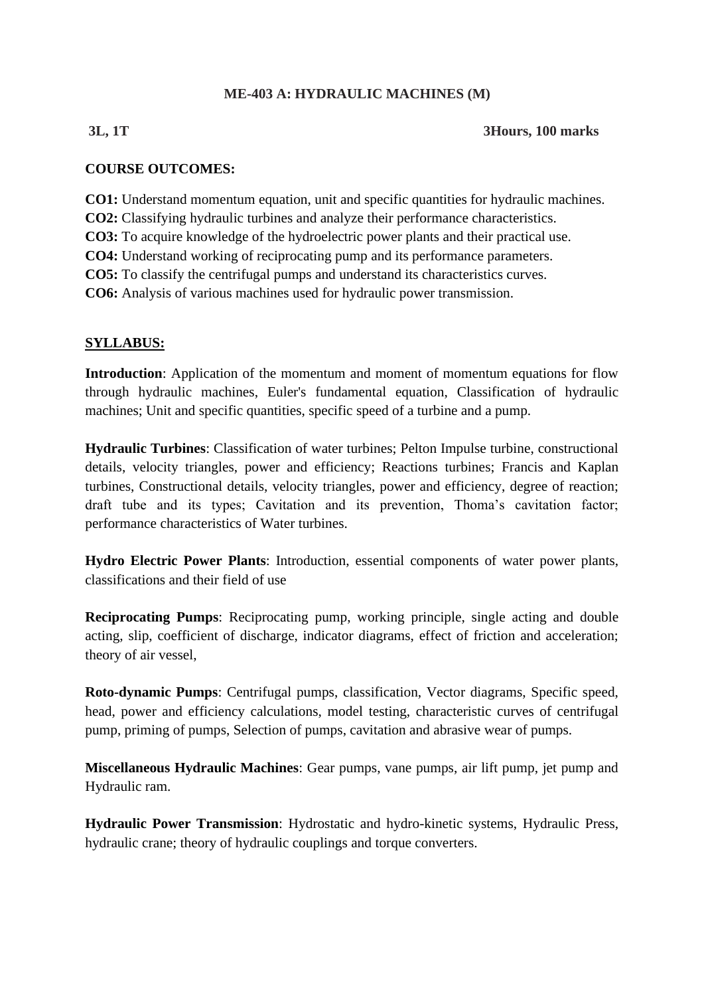## **ME-403 A: HYDRAULIC MACHINES (M)**

## **3L, 1T 3Hours, 100 marks**

## **COURSE OUTCOMES:**

**CO1:** Understand momentum equation, unit and specific quantities for hydraulic machines.

**CO2:** Classifying hydraulic turbines and analyze their performance characteristics.

**CO3:** To acquire knowledge of the hydroelectric power plants and their practical use.

**CO4:** Understand working of reciprocating pump and its performance parameters.

**CO5:** To classify the centrifugal pumps and understand its characteristics curves.

**CO6:** Analysis of various machines used for hydraulic power transmission.

## **SYLLABUS:**

**Introduction**: Application of the momentum and moment of momentum equations for flow through hydraulic machines, Euler's fundamental equation, Classification of hydraulic machines; Unit and specific quantities, specific speed of a turbine and a pump.

**Hydraulic Turbines**: Classification of water turbines; Pelton Impulse turbine, constructional details, velocity triangles, power and efficiency; Reactions turbines; Francis and Kaplan turbines, Constructional details, velocity triangles, power and efficiency, degree of reaction; draft tube and its types; Cavitation and its prevention, Thoma's cavitation factor; performance characteristics of Water turbines.

**Hydro Electric Power Plants**: Introduction, essential components of water power plants, classifications and their field of use

**Reciprocating Pumps:** Reciprocating pump, working principle, single acting and double acting, slip, coefficient of discharge, indicator diagrams, effect of friction and acceleration; theory of air vessel,

**Roto-dynamic Pumps**: Centrifugal pumps, classification, Vector diagrams, Specific speed, head, power and efficiency calculations, model testing, characteristic curves of centrifugal pump, priming of pumps, Selection of pumps, cavitation and abrasive wear of pumps.

**Miscellaneous Hydraulic Machines**: Gear pumps, vane pumps, air lift pump, jet pump and Hydraulic ram.

**Hydraulic Power Transmission**: Hydrostatic and hydro-kinetic systems, Hydraulic Press, hydraulic crane; theory of hydraulic couplings and torque converters.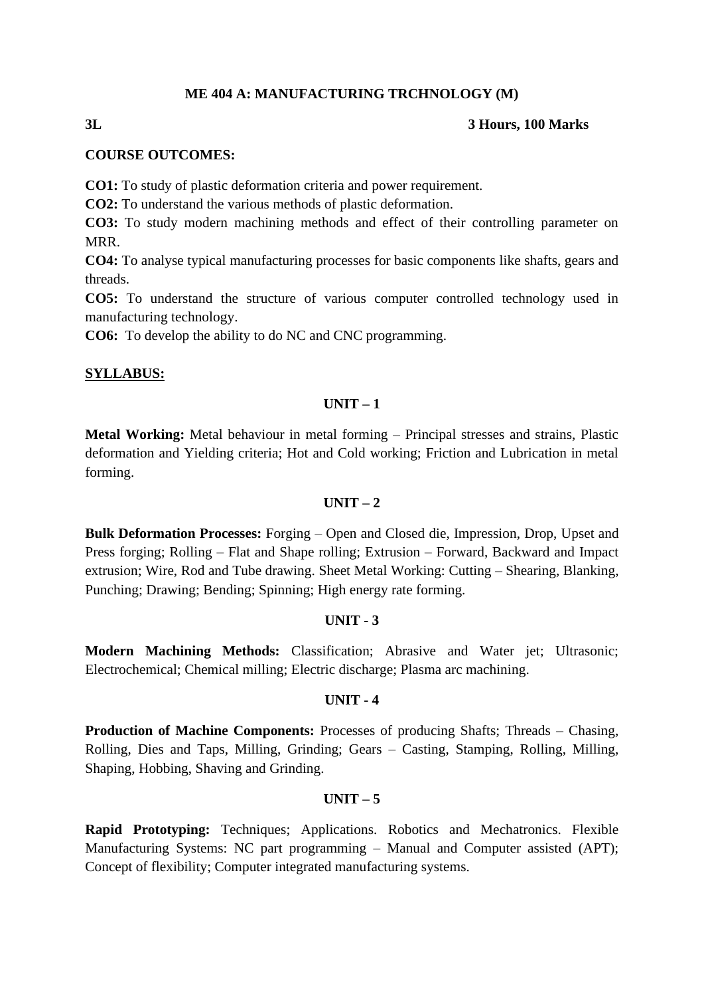### **ME 404 A: MANUFACTURING TRCHNOLOGY (M)**

#### **3L 3 Hours, 100 Marks**

#### **COURSE OUTCOMES:**

**CO1:** To study of plastic deformation criteria and power requirement.

**CO2:** To understand the various methods of plastic deformation.

**CO3:** To study modern machining methods and effect of their controlling parameter on MRR.

**CO4:** To analyse typical manufacturing processes for basic components like shafts, gears and threads.

**CO5:** To understand the structure of various computer controlled technology used in manufacturing technology.

**CO6:** To develop the ability to do NC and CNC programming.

#### **SYLLABUS:**

#### **UNIT – 1**

**Metal Working:** Metal behaviour in metal forming – Principal stresses and strains, Plastic deformation and Yielding criteria; Hot and Cold working; Friction and Lubrication in metal forming.

#### $\textbf{I} \cdot \textbf{I} \cdot \textbf{N} \cdot \textbf{I} = 2$

**Bulk Deformation Processes:** Forging – Open and Closed die, Impression, Drop, Upset and Press forging; Rolling – Flat and Shape rolling; Extrusion – Forward, Backward and Impact extrusion; Wire, Rod and Tube drawing. Sheet Metal Working: Cutting – Shearing, Blanking, Punching; Drawing; Bending; Spinning; High energy rate forming.

#### **UNIT - 3**

**Modern Machining Methods:** Classification; Abrasive and Water jet; Ultrasonic; Electrochemical; Chemical milling; Electric discharge; Plasma arc machining.

#### **UNIT - 4**

**Production of Machine Components:** Processes of producing Shafts; Threads – Chasing, Rolling, Dies and Taps, Milling, Grinding; Gears – Casting, Stamping, Rolling, Milling, Shaping, Hobbing, Shaving and Grinding.

## $UNIT - 5$

**Rapid Prototyping:** Techniques; Applications. Robotics and Mechatronics. Flexible Manufacturing Systems: NC part programming – Manual and Computer assisted (APT); Concept of flexibility; Computer integrated manufacturing systems.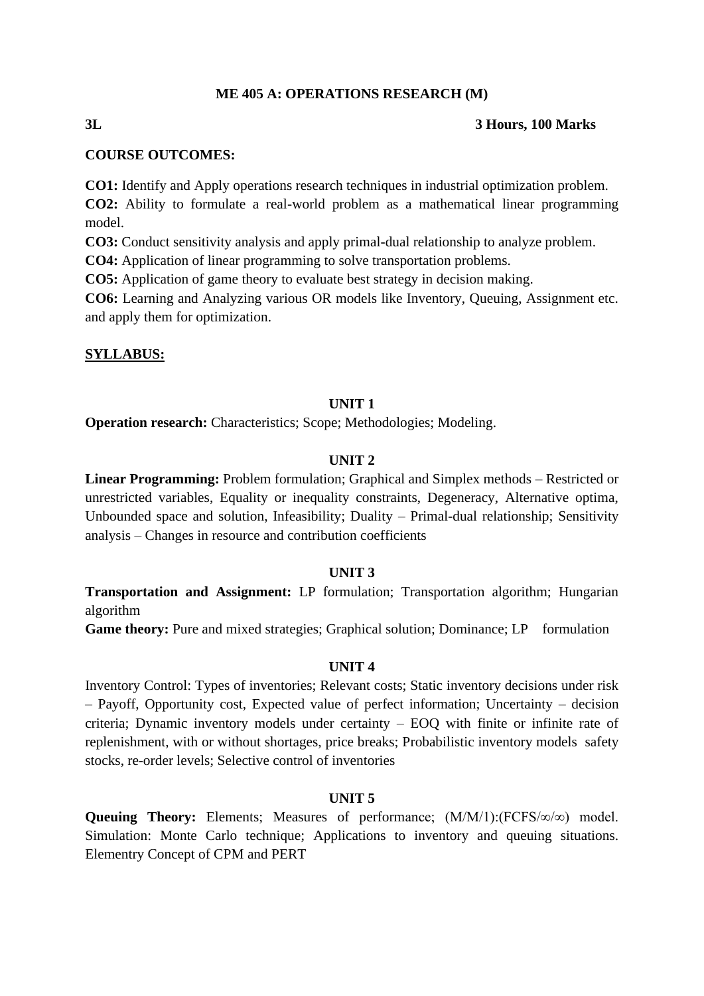#### **ME 405 A: OPERATIONS RESEARCH (M)**

#### **3L 3 Hours, 100 Marks**

# **COURSE OUTCOMES:**

**CO1:** Identify and Apply operations research techniques in industrial optimization problem.

**CO2:** Ability to formulate a real-world problem as a mathematical linear programming model.

**CO3:** Conduct sensitivity analysis and apply primal-dual relationship to analyze problem.

**CO4:** Application of linear programming to solve transportation problems.

**CO5:** Application of game theory to evaluate best strategy in decision making.

**CO6:** Learning and Analyzing various OR models like Inventory, Queuing, Assignment etc. and apply them for optimization.

#### **SYLLABUS:**

#### **UNIT 1**

**Operation research:** Characteristics; Scope; Methodologies; Modeling.

#### **UNIT 2**

**Linear Programming:** Problem formulation; Graphical and Simplex methods – Restricted or unrestricted variables, Equality or inequality constraints, Degeneracy, Alternative optima, Unbounded space and solution, Infeasibility; Duality – Primal-dual relationship; Sensitivity analysis – Changes in resource and contribution coefficients

#### **UNIT 3**

**Transportation and Assignment:** LP formulation; Transportation algorithm; Hungarian algorithm

**Game theory:** Pure and mixed strategies; Graphical solution; Dominance; LP formulation

#### **UNIT 4**

Inventory Control: Types of inventories; Relevant costs; Static inventory decisions under risk – Payoff, Opportunity cost, Expected value of perfect information; Uncertainty – decision criteria; Dynamic inventory models under certainty – EOQ with finite or infinite rate of replenishment, with or without shortages, price breaks; Probabilistic inventory models safety stocks, re-order levels; Selective control of inventories

### **UNIT 5**

**Queuing Theory:** Elements; Measures of performance; (M/M/1):(FCFS/∞/∞) model. Simulation: Monte Carlo technique; Applications to inventory and queuing situations. Elementry Concept of CPM and PERT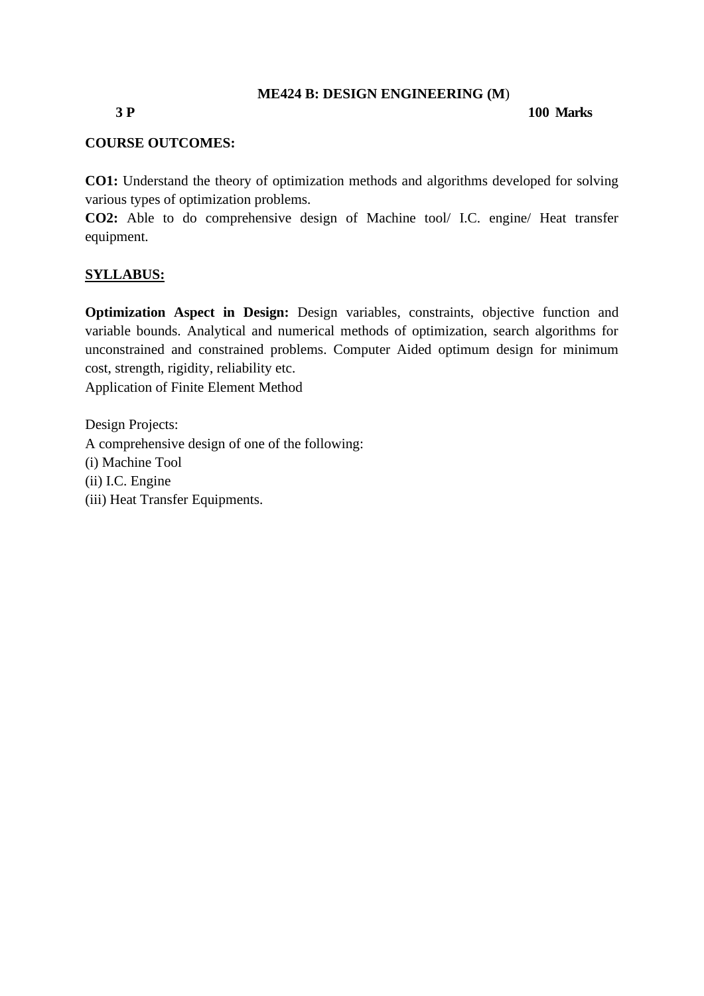#### **ME424 B: DESIGN ENGINEERING (M**)

### **3 P 100 Marks**

### **COURSE OUTCOMES:**

**CO1:** Understand the theory of optimization methods and algorithms developed for solving various types of optimization problems.

**CO2:** Able to do comprehensive design of Machine tool/ I.C. engine/ Heat transfer equipment.

#### **SYLLABUS:**

**Optimization Aspect in Design:** Design variables, constraints, objective function and variable bounds. Analytical and numerical methods of optimization, search algorithms for unconstrained and constrained problems. Computer Aided optimum design for minimum cost, strength, rigidity, reliability etc.

Application of Finite Element Method

Design Projects: A comprehensive design of one of the following: (i) Machine Tool (ii) I.C. Engine (iii) Heat Transfer Equipments.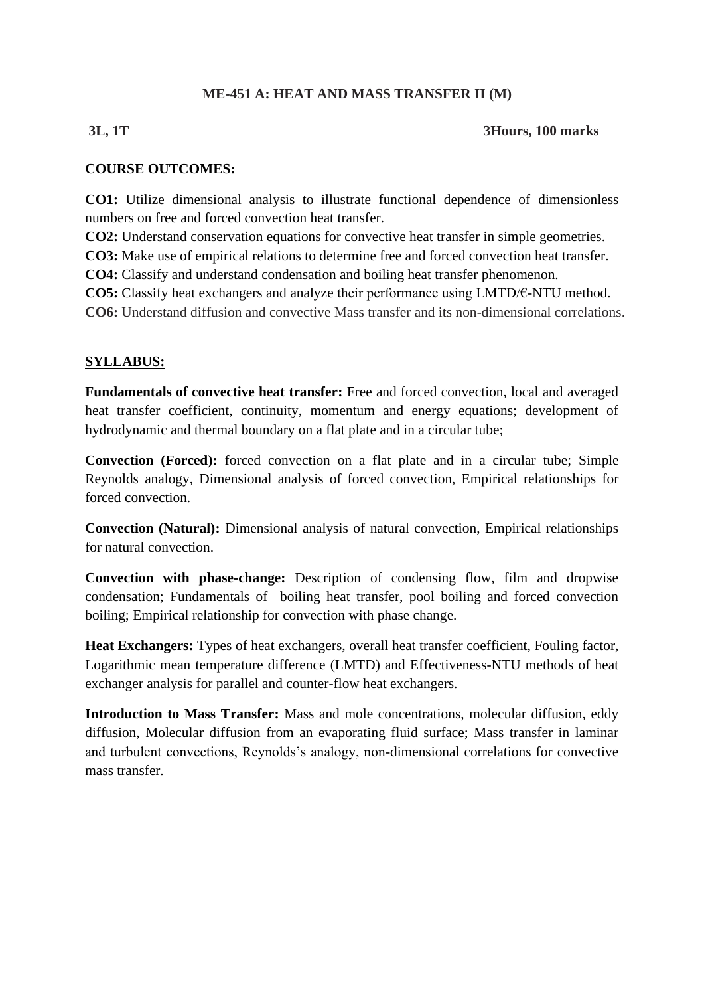# **ME-451 A: HEAT AND MASS TRANSFER II (M)**

### **3L, 1T 3Hours, 100 marks**

### **COURSE OUTCOMES:**

**CO1:** Utilize dimensional analysis to illustrate functional dependence of dimensionless numbers on free and forced convection heat transfer.

**CO2:** Understand conservation equations for convective heat transfer in simple geometries.

**CO3:** Make use of empirical relations to determine free and forced convection heat transfer.

**CO4:** Classify and understand condensation and boiling heat transfer phenomenon.

**CO5:** Classify heat exchangers and analyze their performance using LMTD/€-NTU method.

**CO6:** Understand diffusion and convective Mass transfer and its non-dimensional correlations.

### **SYLLABUS:**

**Fundamentals of convective heat transfer:** Free and forced convection, local and averaged heat transfer coefficient, continuity, momentum and energy equations; development of hydrodynamic and thermal boundary on a flat plate and in a circular tube;

**Convection (Forced):** forced convection on a flat plate and in a circular tube; Simple Reynolds analogy, Dimensional analysis of forced convection, Empirical relationships for forced convection.

**Convection (Natural):** Dimensional analysis of natural convection, Empirical relationships for natural convection.

**Convection with phase-change:** Description of condensing flow, film and dropwise condensation; Fundamentals of boiling heat transfer, pool boiling and forced convection boiling; Empirical relationship for convection with phase change.

**Heat Exchangers:** Types of heat exchangers, overall heat transfer coefficient, Fouling factor, Logarithmic mean temperature difference (LMTD) and Effectiveness-NTU methods of heat exchanger analysis for parallel and counter-flow heat exchangers.

**Introduction to Mass Transfer:** Mass and mole concentrations, molecular diffusion, eddy diffusion, Molecular diffusion from an evaporating fluid surface; Mass transfer in laminar and turbulent convections, Reynolds's analogy, non-dimensional correlations for convective mass transfer.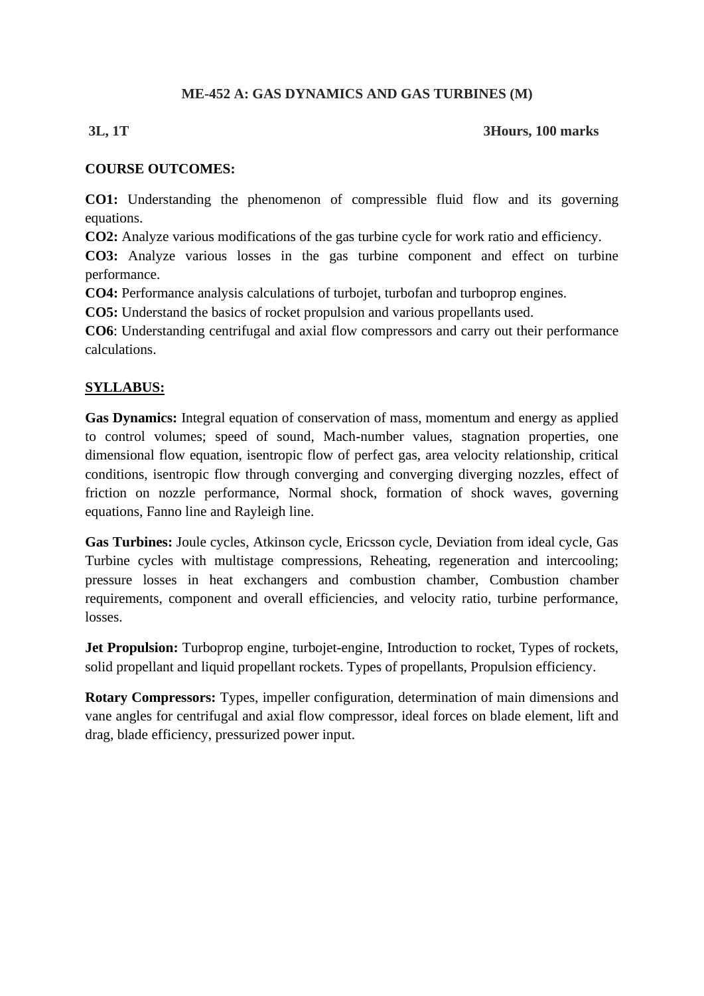### **ME-452 A: GAS DYNAMICS AND GAS TURBINES (M)**

### **3L, 1T 3Hours, 100 marks**

### **COURSE OUTCOMES:**

**CO1:** Understanding the phenomenon of compressible fluid flow and its governing equations.

**CO2:** Analyze various modifications of the gas turbine cycle for work ratio and efficiency.

**CO3:** Analyze various losses in the gas turbine component and effect on turbine performance.

**CO4:** Performance analysis calculations of turbojet, turbofan and turboprop engines.

**CO5:** Understand the basics of rocket propulsion and various propellants used.

**CO6**: Understanding centrifugal and axial flow compressors and carry out their performance calculations.

# **SYLLABUS:**

**Gas Dynamics:** Integral equation of conservation of mass, momentum and energy as applied to control volumes; speed of sound, Mach-number values, stagnation properties, one dimensional flow equation, isentropic flow of perfect gas, area velocity relationship, critical conditions, isentropic flow through converging and converging diverging nozzles, effect of friction on nozzle performance, Normal shock, formation of shock waves, governing equations, Fanno line and Rayleigh line.

**Gas Turbines:** Joule cycles, Atkinson cycle, Ericsson cycle, Deviation from ideal cycle, Gas Turbine cycles with multistage compressions, Reheating, regeneration and intercooling; pressure losses in heat exchangers and combustion chamber, Combustion chamber requirements, component and overall efficiencies, and velocity ratio, turbine performance, losses.

**Jet Propulsion:** Turboprop engine, turbojet-engine, Introduction to rocket, Types of rockets, solid propellant and liquid propellant rockets. Types of propellants, Propulsion efficiency.

**Rotary Compressors:** Types, impeller configuration, determination of main dimensions and vane angles for centrifugal and axial flow compressor, ideal forces on blade element, lift and drag, blade efficiency, pressurized power input.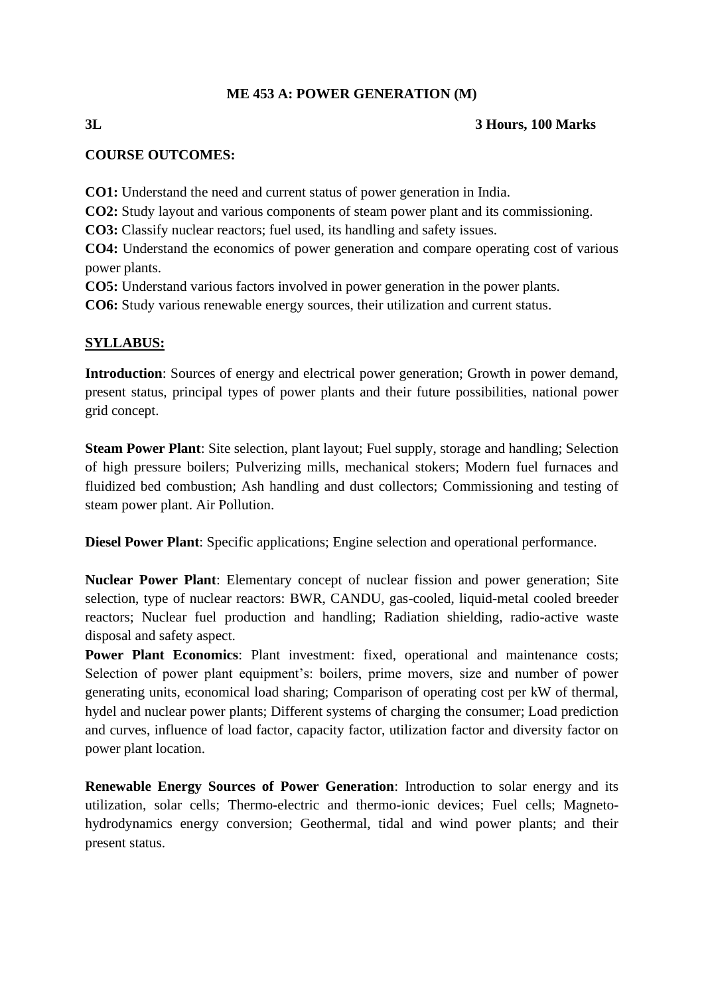# **ME 453 A: POWER GENERATION (M)**

### **3L 3 Hours, 100 Marks**

### **COURSE OUTCOMES:**

**CO1:** Understand the need and current status of power generation in India.

**CO2:** Study layout and various components of steam power plant and its commissioning.

**CO3:** Classify nuclear reactors; fuel used, its handling and safety issues.

**CO4:** Understand the economics of power generation and compare operating cost of various power plants.

**CO5:** Understand various factors involved in power generation in the power plants.

**CO6:** Study various renewable energy sources, their utilization and current status.

### **SYLLABUS:**

**Introduction**: Sources of energy and electrical power generation; Growth in power demand, present status, principal types of power plants and their future possibilities, national power grid concept.

**Steam Power Plant**: Site selection, plant layout; Fuel supply, storage and handling; Selection of high pressure boilers; Pulverizing mills, mechanical stokers; Modern fuel furnaces and fluidized bed combustion; Ash handling and dust collectors; Commissioning and testing of steam power plant. Air Pollution.

**Diesel Power Plant**: Specific applications; Engine selection and operational performance.

**Nuclear Power Plant**: Elementary concept of nuclear fission and power generation; Site selection, type of nuclear reactors: BWR, CANDU, gas-cooled, liquid-metal cooled breeder reactors; Nuclear fuel production and handling; Radiation shielding, radio-active waste disposal and safety aspect.

**Power Plant Economics**: Plant investment: fixed, operational and maintenance costs; Selection of power plant equipment's: boilers, prime movers, size and number of power generating units, economical load sharing; Comparison of operating cost per kW of thermal, hydel and nuclear power plants; Different systems of charging the consumer; Load prediction and curves, influence of load factor, capacity factor, utilization factor and diversity factor on power plant location.

**Renewable Energy Sources of Power Generation**: Introduction to solar energy and its utilization, solar cells; Thermo-electric and thermo-ionic devices; Fuel cells; Magnetohydrodynamics energy conversion; Geothermal, tidal and wind power plants; and their present status.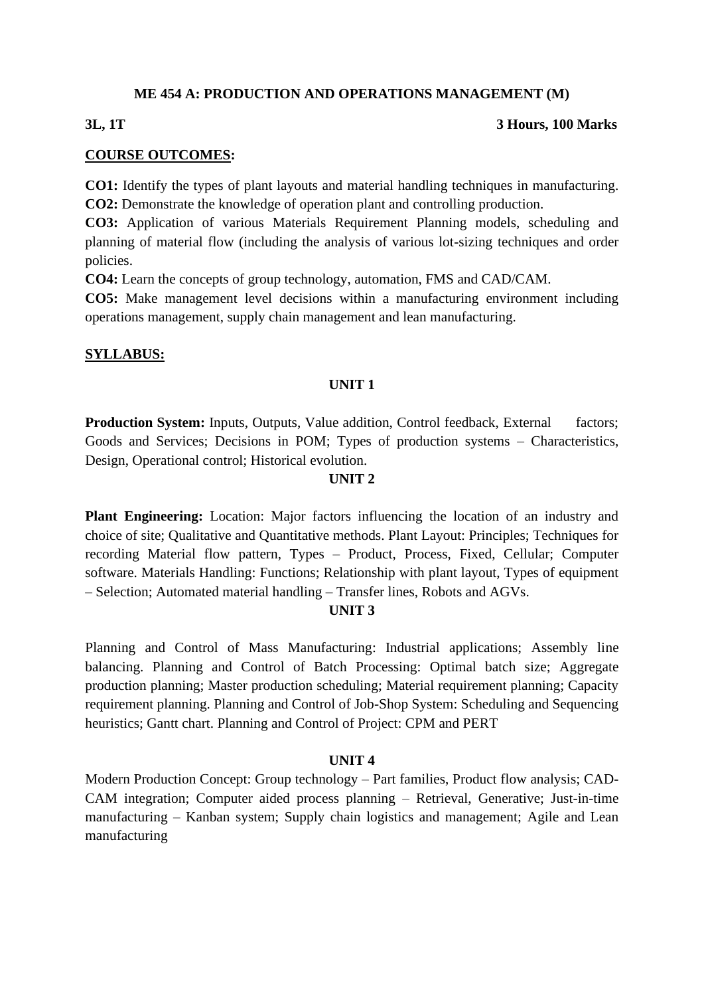#### **ME 454 A: PRODUCTION AND OPERATIONS MANAGEMENT (M)**

#### **3L, 1T 3 Hours, 100 Marks**

#### **COURSE OUTCOMES:**

**CO1:** Identify the types of plant layouts and material handling techniques in manufacturing. **CO2:** Demonstrate the knowledge of operation plant and controlling production.

**CO3:** Application of various Materials Requirement Planning models, scheduling and planning of material flow (including the analysis of various lot-sizing techniques and order policies.

**CO4:** Learn the concepts of group technology, automation, FMS and CAD/CAM.

**CO5:** Make management level decisions within a manufacturing environment including operations management, supply chain management and lean manufacturing.

#### **SYLLABUS:**

#### **UNIT 1**

**Production System:** Inputs, Outputs, Value addition, Control feedback, External factors; Goods and Services; Decisions in POM; Types of production systems – Characteristics, Design, Operational control; Historical evolution.

#### **UNIT 2**

**Plant Engineering:** Location: Major factors influencing the location of an industry and choice of site; Qualitative and Quantitative methods. Plant Layout: Principles; Techniques for recording Material flow pattern, Types – Product, Process, Fixed, Cellular; Computer software. Materials Handling: Functions; Relationship with plant layout, Types of equipment – Selection; Automated material handling – Transfer lines, Robots and AGVs.

#### **UNIT 3**

Planning and Control of Mass Manufacturing: Industrial applications; Assembly line balancing. Planning and Control of Batch Processing: Optimal batch size; Aggregate production planning; Master production scheduling; Material requirement planning; Capacity requirement planning. Planning and Control of Job-Shop System: Scheduling and Sequencing heuristics; Gantt chart. Planning and Control of Project: CPM and PERT

#### **UNIT 4**

Modern Production Concept: Group technology – Part families, Product flow analysis; CAD-CAM integration; Computer aided process planning – Retrieval, Generative; Just-in-time manufacturing – Kanban system; Supply chain logistics and management; Agile and Lean manufacturing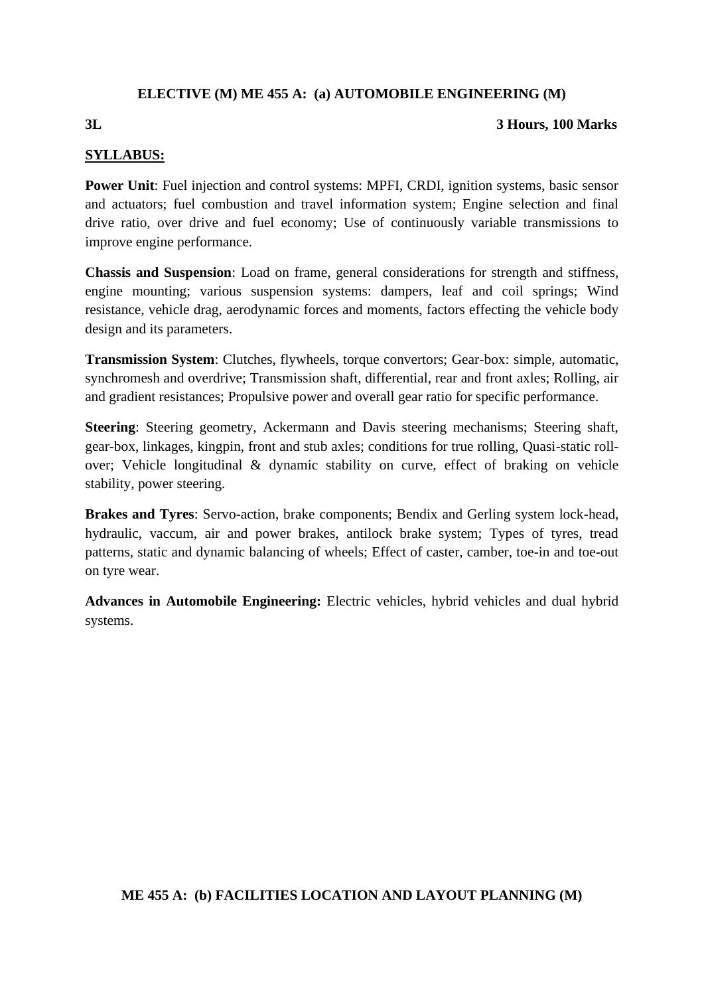# **ELECTIVE (M) ME 455 A: (a) AUTOMOBILE ENGINEERING (M)**

#### **3L 3 Hours, 100 Marks**

### **SYLLABUS:**

**Power Unit:** Fuel injection and control systems: MPFI, CRDI, ignition systems, basic sensor and actuators; fuel combustion and travel information system; Engine selection and final drive ratio, over drive and fuel economy; Use of continuously variable transmissions to improve engine performance.

**Chassis and Suspension**: Load on frame, general considerations for strength and stiffness, engine mounting; various suspension systems: dampers, leaf and coil springs; Wind resistance, vehicle drag, aerodynamic forces and moments, factors effecting the vehicle body design and its parameters.

**Transmission System**: Clutches, flywheels, torque convertors; Gear-box: simple, automatic, synchromesh and overdrive; Transmission shaft, differential, rear and front axles; Rolling, air and gradient resistances; Propulsive power and overall gear ratio for specific performance.

**Steering**: Steering geometry, Ackermann and Davis steering mechanisms; Steering shaft, gear-box, linkages, kingpin, front and stub axles; conditions for true rolling, Quasi-static rollover; Vehicle longitudinal & dynamic stability on curve, effect of braking on vehicle stability, power steering.

**Brakes and Tyres**: Servo-action, brake components; Bendix and Gerling system lock-head, hydraulic, vaccum, air and power brakes, antilock brake system; Types of tyres, tread patterns, static and dynamic balancing of wheels; Effect of caster, camber, toe-in and toe-out on tyre wear.

**Advances in Automobile Engineering:** Electric vehicles, hybrid vehicles and dual hybrid systems.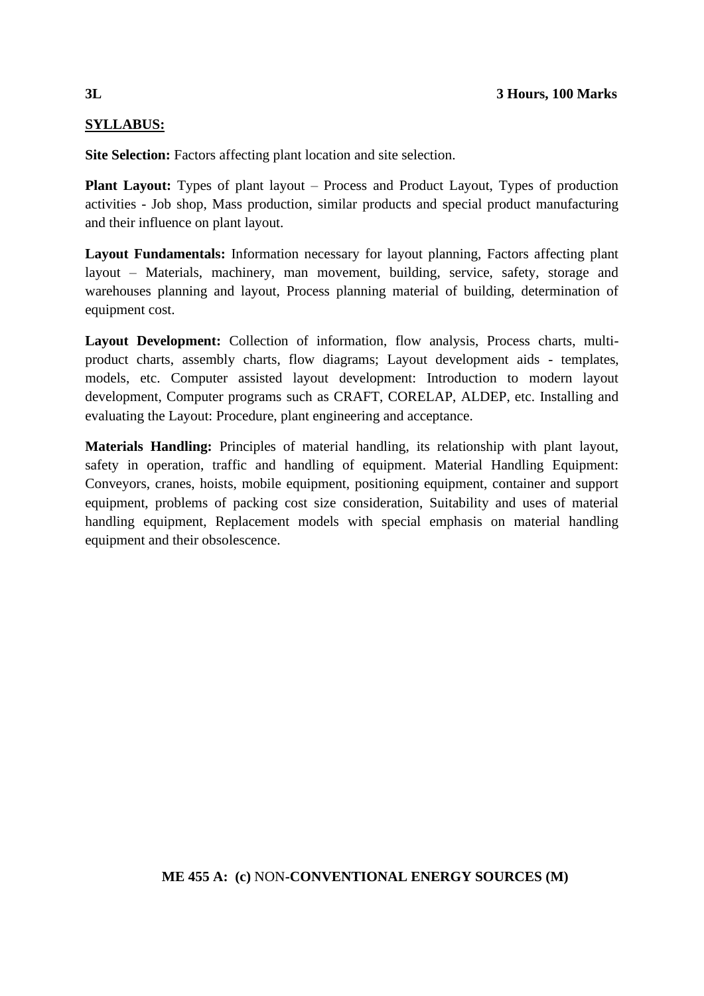# **SYLLABUS:**

**Site Selection:** Factors affecting plant location and site selection.

**Plant Layout:** Types of plant layout – Process and Product Layout, Types of production activities - Job shop, Mass production, similar products and special product manufacturing and their influence on plant layout.

**Layout Fundamentals:** Information necessary for layout planning, Factors affecting plant layout – Materials, machinery, man movement, building, service, safety, storage and warehouses planning and layout, Process planning material of building, determination of equipment cost.

**Layout Development:** Collection of information, flow analysis, Process charts, multiproduct charts, assembly charts, flow diagrams; Layout development aids - templates, models, etc. Computer assisted layout development: Introduction to modern layout development, Computer programs such as CRAFT, CORELAP, ALDEP, etc. Installing and evaluating the Layout: Procedure, plant engineering and acceptance.

**Materials Handling:** Principles of material handling, its relationship with plant layout, safety in operation, traffic and handling of equipment. Material Handling Equipment: Conveyors, cranes, hoists, mobile equipment, positioning equipment, container and support equipment, problems of packing cost size consideration, Suitability and uses of material handling equipment, Replacement models with special emphasis on material handling equipment and their obsolescence.

# **ME 455 A: (c)** NON**-CONVENTIONAL ENERGY SOURCES (M)**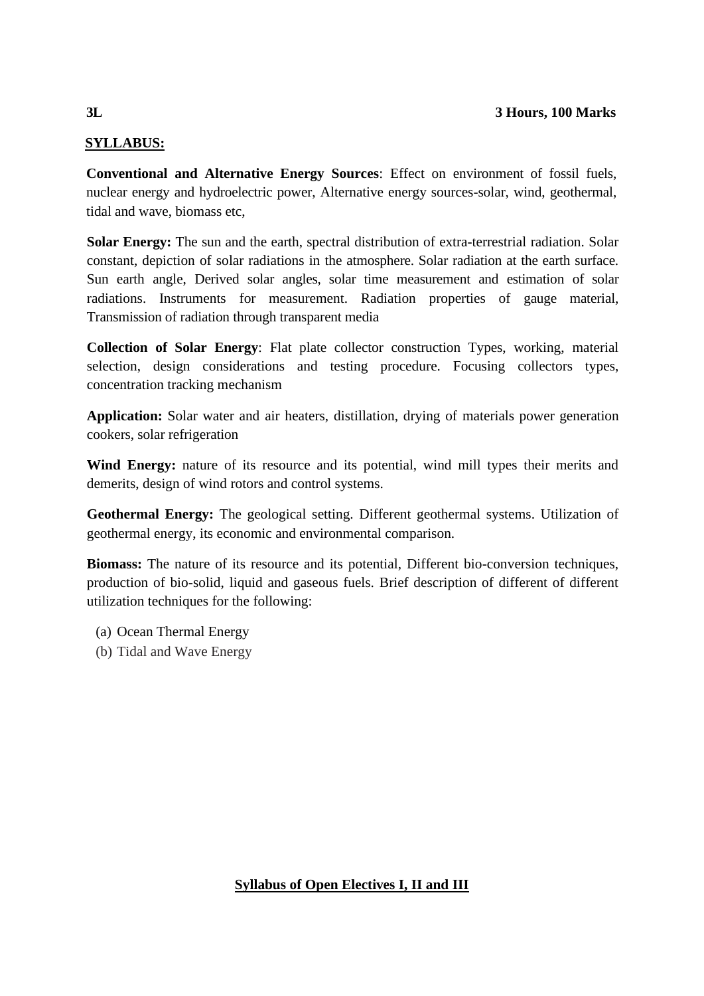# **SYLLABUS:**

**Conventional and Alternative Energy Sources**: Effect on environment of fossil fuels, nuclear energy and hydroelectric power, Alternative energy sources-solar, wind, geothermal, tidal and wave, biomass etc,

**[Solar](file:///C:/Solar) Energy:** The sun and the earth, spectral distribution of extra-terrestrial radiation. Solar constant, depiction of solar radiations in the atmosphere. Solar radiation at the earth surface. Sun earth angle, Derived solar angles, solar time measurement and estimation of solar radiations. Instruments for measurement. Radiation properties of gauge material, Transmission of radiation through transparent media

**Collection of Solar Energy**: Flat plate collector construction Types, working, material selection, design considerations and testing procedure. Focusing collectors types, concentration tracking mechanism

**Application:** Solar water and air heaters, distillation, drying of materials power generation cookers, solar refrigeration

**Wind Energy:** nature of its resource and its potential, wind mill types their merits and demerits, design of wind rotors and control systems.

**Geothermal Energy:** The geological setting. Different geothermal systems. Utilization of geothermal energy, its economic and environmental comparison.

**Biomass:** The nature of its resource and its potential, Different bio-conversion techniques, production of bio-solid, liquid and gaseous fuels. Brief description of different of different utilization techniques for the following:

- (a) Ocean Thermal Energy
- (b) Tidal and Wave Energy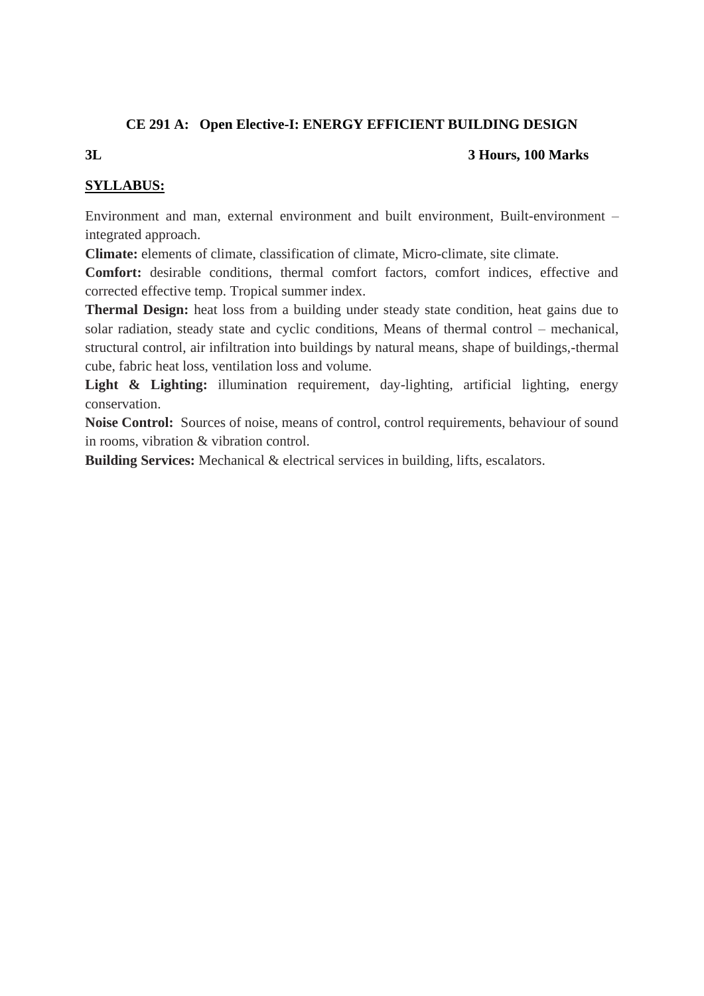# **CE 291 A: Open Elective-I: ENERGY EFFICIENT BUILDING DESIGN**

#### **3L 3 Hours, 100 Marks**

# **SYLLABUS:**

Environment and man, external environment and built environment, Built-environment – integrated approach.

**Climate:** elements of climate, classification of climate, Micro-climate, site climate.

**Comfort:** desirable conditions, thermal comfort factors, comfort indices, effective and corrected effective temp. Tropical summer index.

**Thermal Design:** heat loss from a building under steady state condition, heat gains due to solar radiation, steady state and cyclic conditions, Means of thermal control – mechanical, structural control, air infiltration into buildings by natural means, shape of buildings,-thermal cube, fabric heat loss, ventilation loss and volume.

Light & Lighting: illumination requirement, day-lighting, artificial lighting, energy conservation.

**Noise Control:** Sources of noise, means of control, control requirements, behaviour of sound in rooms, vibration & vibration control.

**Building Services:** Mechanical & electrical services in building, lifts, escalators.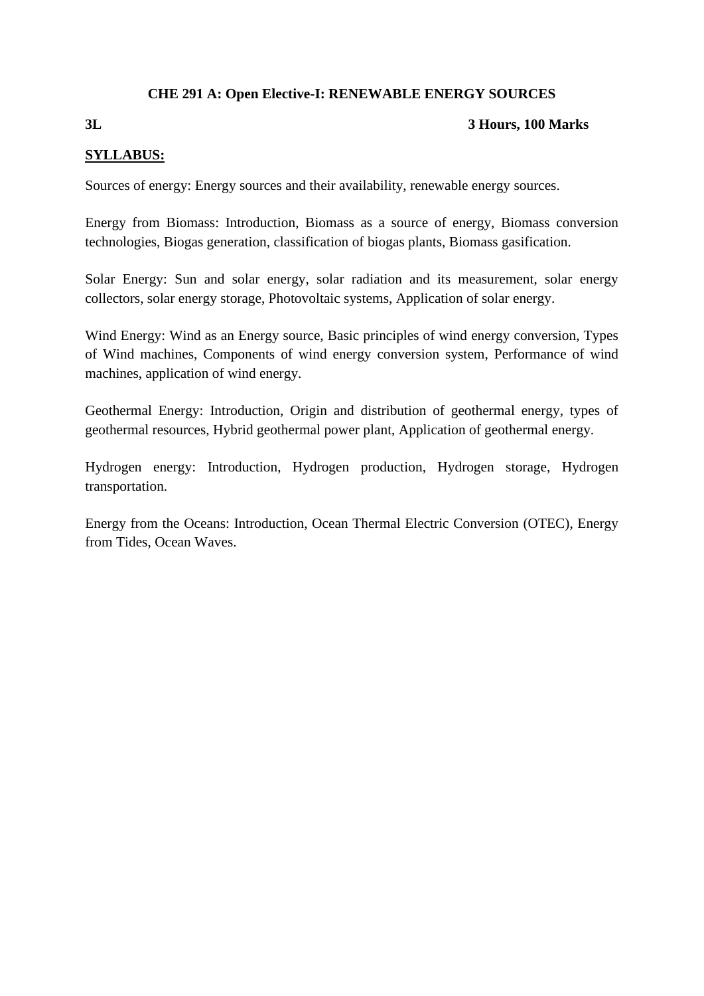# **CHE 291 A: Open Elective-I: RENEWABLE ENERGY SOURCES**

# **3L 3 Hours, 100 Marks**

### **SYLLABUS:**

Sources of energy: Energy sources and their availability, renewable energy sources.

Energy from Biomass: Introduction, Biomass as a source of energy, Biomass conversion technologies, Biogas generation, classification of biogas plants, Biomass gasification.

Solar Energy: Sun and solar energy, solar radiation and its measurement, solar energy collectors, solar energy storage, Photovoltaic systems, Application of solar energy.

Wind Energy: Wind as an Energy source, Basic principles of wind energy conversion, Types of Wind machines, Components of wind energy conversion system, Performance of wind machines, application of wind energy.

Geothermal Energy: Introduction, Origin and distribution of geothermal energy, types of geothermal resources, Hybrid geothermal power plant, Application of geothermal energy.

Hydrogen energy: Introduction, Hydrogen production, Hydrogen storage, Hydrogen transportation.

Energy from the Oceans: Introduction, Ocean Thermal Electric Conversion (OTEC), Energy from Tides, Ocean Waves.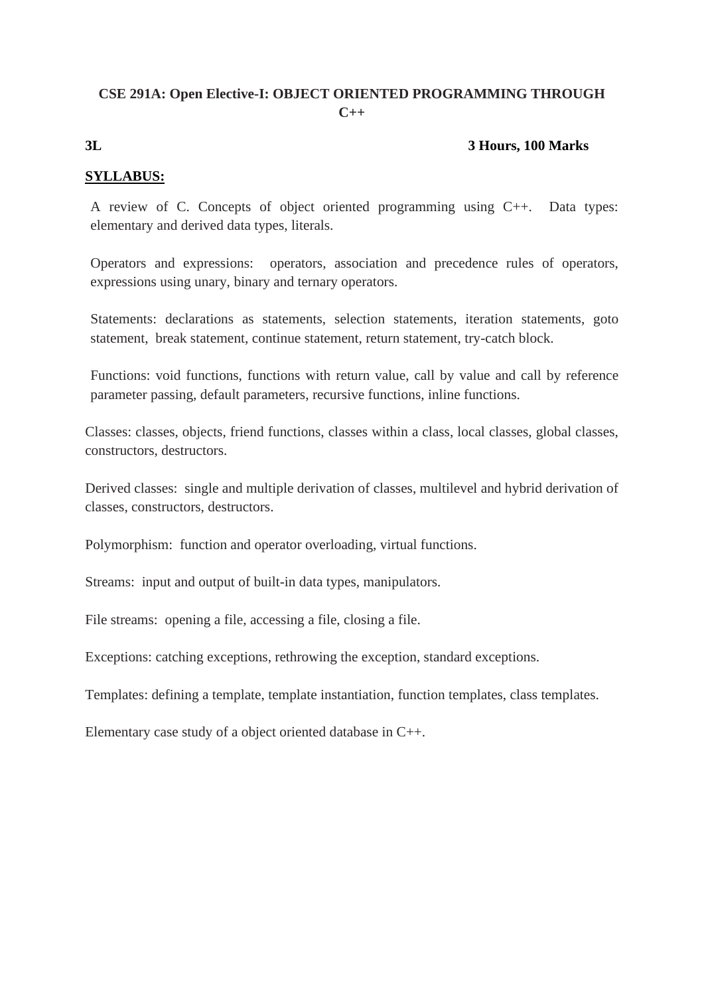# **CSE 291A: Open Elective-I: OBJECT ORIENTED PROGRAMMING THROUGH C++**

# **3L 3 Hours, 100 Marks**

# **SYLLABUS:**

A review of C. Concepts of object oriented programming using C++. Data types: elementary and derived data types, literals.

Operators and expressions: operators, association and precedence rules of operators, expressions using unary, binary and ternary operators.

Statements: declarations as statements, selection statements, iteration statements, goto statement, break statement, continue statement, return statement, try-catch block.

Functions: void functions, functions with return value, call by value and call by reference parameter passing, default parameters, recursive functions, inline functions.

Classes: classes, objects, friend functions, classes within a class, local classes, global classes, constructors, destructors.

Derived classes: single and multiple derivation of classes, multilevel and hybrid derivation of classes, constructors, destructors.

Polymorphism: function and operator overloading, virtual functions.

Streams: input and output of built-in data types, manipulators.

File streams: opening a file, accessing a file, closing a file.

Exceptions: catching exceptions, rethrowing the exception, standard exceptions.

Templates: defining a template, template instantiation, function templates, class templates.

Elementary case study of a object oriented database in C++.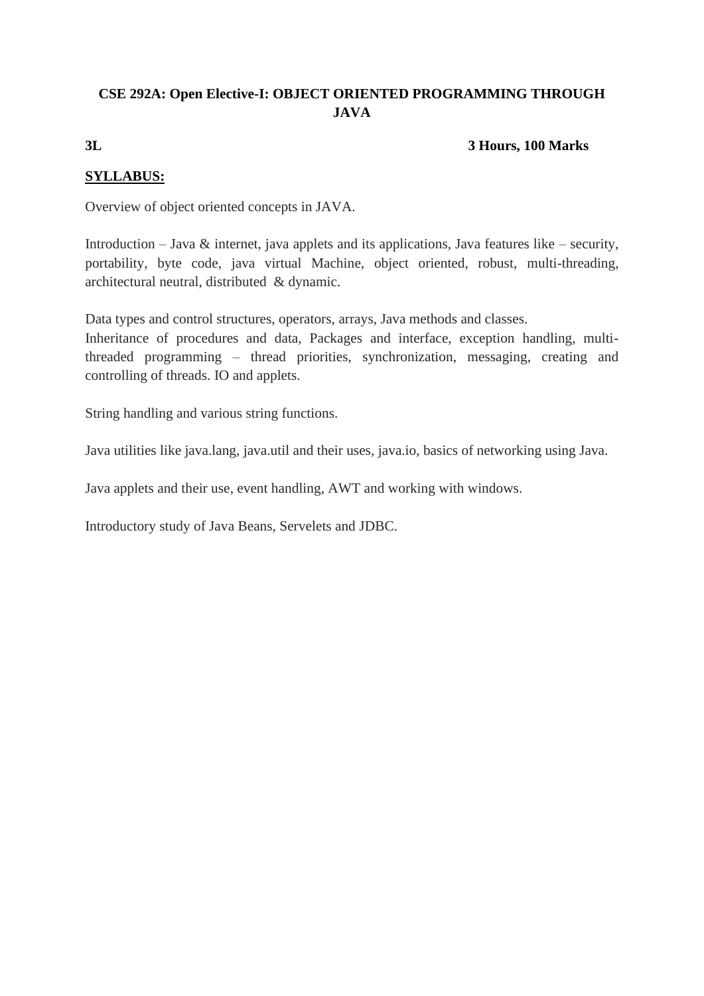# **CSE 292A: Open Elective-I: OBJECT ORIENTED PROGRAMMING THROUGH JAVA**

# **3L 3 Hours, 100 Marks**

# **SYLLABUS:**

Overview of object oriented concepts in JAVA.

Introduction – Java  $\&$  internet, java applets and its applications, Java features like – security, portability, byte code, java virtual Machine, object oriented, robust, multi-threading, architectural neutral, distributed & dynamic.

Data types and control structures, operators, arrays, Java methods and classes.

Inheritance of procedures and data, Packages and interface, exception handling, multithreaded programming – thread priorities, synchronization, messaging, creating and controlling of threads. IO and applets.

String handling and various string functions.

Java utilities like java.lang, java.util and their uses, java.io, basics of networking using Java.

Java applets and their use, event handling, AWT and working with windows.

Introductory study of Java Beans, Servelets and JDBC.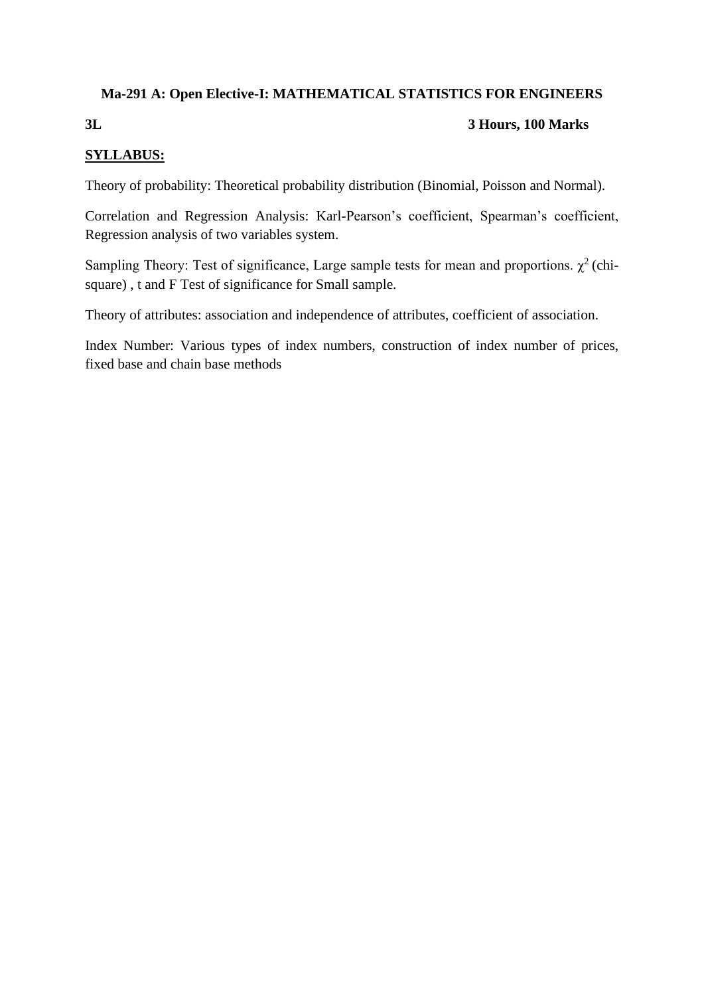# **Ma-291 A: Open Elective-I: MATHEMATICAL STATISTICS FOR ENGINEERS**

# **3L 3 Hours, 100 Marks**

# **SYLLABUS:**

Theory of probability: Theoretical probability distribution (Binomial, Poisson and Normal).

Correlation and Regression Analysis: Karl-Pearson's coefficient, Spearman's coefficient, Regression analysis of two variables system.

Sampling Theory: Test of significance, Large sample tests for mean and proportions.  $\chi^2$  (chisquare) , t and F Test of significance for Small sample.

Theory of attributes: association and independence of attributes, coefficient of association.

Index Number: Various types of index numbers, construction of index number of prices, fixed base and chain base methods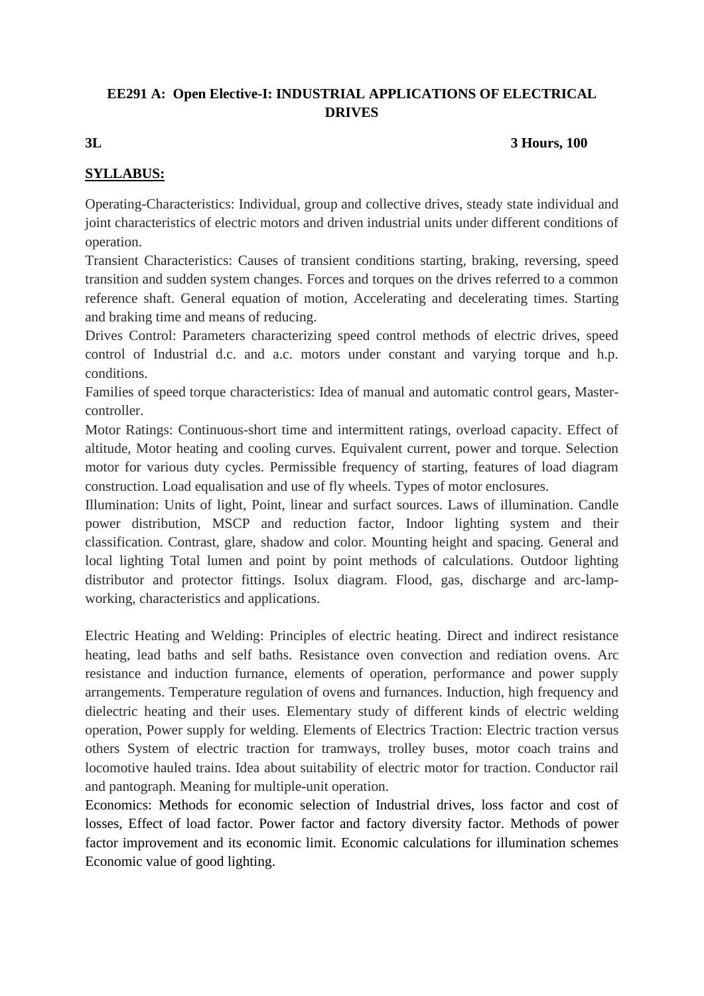# **EE291 A: Open Elective-I: INDUSTRIAL APPLICATIONS OF ELECTRICAL DRIVES**

#### **3L 3 Hours, 100**

# **SYLLABUS:**

Operating-Characteristics: Individual, group and collective drives, steady state individual and joint characteristics of electric motors and driven industrial units under different conditions of operation.

Transient Characteristics: Causes of transient conditions starting, braking, reversing, speed transition and sudden system changes. Forces and torques on the drives referred to a common reference shaft. General equation of motion, Accelerating and decelerating times. Starting and braking time and means of reducing.

Drives Control: Parameters characterizing speed control methods of electric drives, speed control of Industrial d.c. and a.c. motors under constant and varying torque and h.p. conditions.

Families of speed torque characteristics: Idea of manual and automatic control gears, Mastercontroller.

Motor Ratings: Continuous-short time and intermittent ratings, overload capacity. Effect of altitude, Motor heating and cooling curves. Equivalent current, power and torque. Selection motor for various duty cycles. Permissible frequency of starting, features of load diagram construction. Load equalisation and use of fly wheels. Types of motor enclosures.

Illumination: Units of light, Point, linear and surfact sources. Laws of illumination. Candle power distribution, MSCP and reduction factor, Indoor lighting system and their classification. Contrast, glare, shadow and color. Mounting height and spacing. General and local lighting Total lumen and point by point methods of calculations. Outdoor lighting distributor and protector fittings. Isolux diagram. Flood, gas, discharge and arc-lampworking, characteristics and applications.

Electric Heating and Welding: Principles of electric heating. Direct and indirect resistance heating, lead baths and self baths. Resistance oven convection and rediation ovens. Arc resistance and induction furnance, elements of operation, performance and power supply arrangements. Temperature regulation of ovens and furnances. Induction, high frequency and dielectric heating and their uses. Elementary study of different kinds of electric welding operation, Power supply for welding. Elements of Electrics Traction: Electric traction versus others System of electric traction for tramways, trolley buses, motor coach trains and locomotive hauled trains. Idea about suitability of electric motor for traction. Conductor rail and pantograph. Meaning for multiple-unit operation.

Economics: Methods for economic selection of Industrial drives, loss factor and cost of losses, Effect of load factor. Power factor and factory diversity factor. Methods of power factor improvement and its economic limit. Economic calculations for illumination schemes Economic value of good lighting.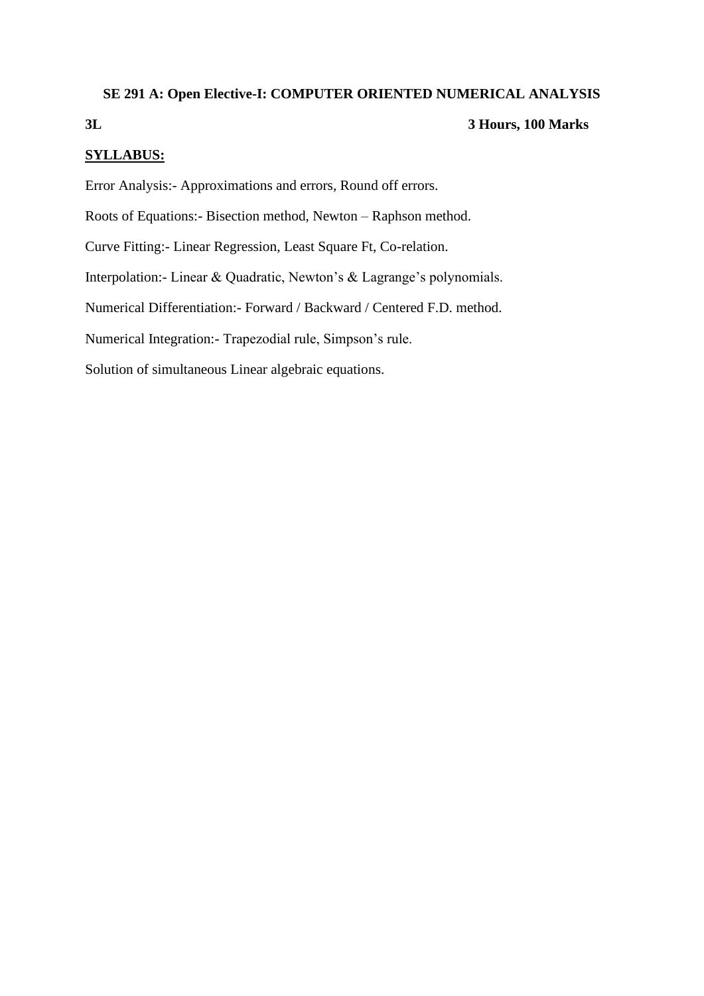#### **SE 291 A: Open Elective-I: COMPUTER ORIENTED NUMERICAL ANALYSIS**

# **3L 3 Hours, 100 Marks**

#### **SYLLABUS:**

Error Analysis:- Approximations and errors, Round off errors.

Roots of Equations:- Bisection method, Newton – Raphson method.

Curve Fitting:- Linear Regression, Least Square Ft, Co-relation.

Interpolation:- Linear & Quadratic, Newton's & Lagrange's polynomials.

Numerical Differentiation:- Forward / Backward / Centered F.D. method.

Numerical Integration:- Trapezodial rule, Simpson's rule.

Solution of simultaneous Linear algebraic equations.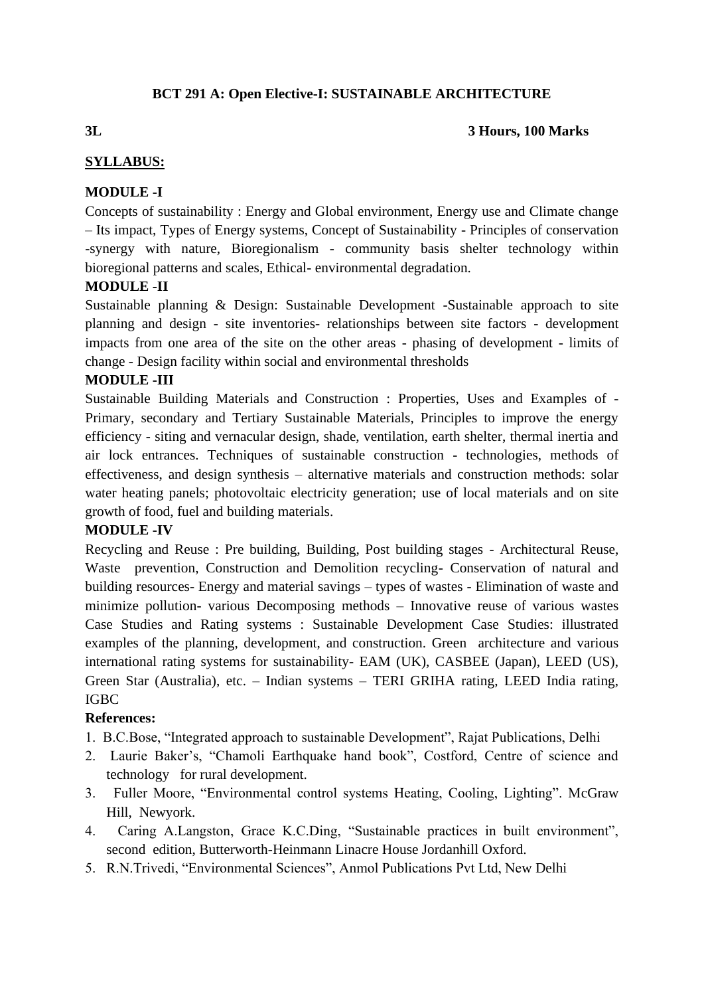# **BCT 291 A: Open Elective-I: SUSTAINABLE ARCHITECTURE**

### **3L 3 Hours, 100 Marks**

# **SYLLABUS:**

# **MODULE -I**

Concepts of sustainability : Energy and Global environment, Energy use and Climate change – Its impact, Types of Energy systems, Concept of Sustainability - Principles of conservation -synergy with nature, Bioregionalism - community basis shelter technology within bioregional patterns and scales, Ethical- environmental degradation.

# **MODULE -II**

Sustainable planning & Design: Sustainable Development -Sustainable approach to site planning and design - site inventories- relationships between site factors - development impacts from one area of the site on the other areas - phasing of development - limits of change - Design facility within social and environmental thresholds

# **MODULE -III**

Sustainable Building Materials and Construction : Properties, Uses and Examples of - Primary, secondary and Tertiary Sustainable Materials, Principles to improve the energy efficiency - siting and vernacular design, shade, ventilation, earth shelter, thermal inertia and air lock entrances. Techniques of sustainable construction - technologies, methods of effectiveness, and design synthesis – alternative materials and construction methods: solar water heating panels; photovoltaic electricity generation; use of local materials and on site growth of food, fuel and building materials.

# **MODULE -IV**

Recycling and Reuse : Pre building, Building, Post building stages - Architectural Reuse, Waste prevention, Construction and Demolition recycling- Conservation of natural and building resources- Energy and material savings – types of wastes - Elimination of waste and minimize pollution- various Decomposing methods – Innovative reuse of various wastes Case Studies and Rating systems : Sustainable Development Case Studies: illustrated examples of the planning, development, and construction. Green architecture and various international rating systems for sustainability- EAM (UK), CASBEE (Japan), LEED (US), Green Star (Australia), etc. – Indian systems – TERI GRIHA rating, LEED India rating, IGBC

# **References:**

- 1. B.C.Bose, "Integrated approach to sustainable Development", Rajat Publications, Delhi
- 2. Laurie Baker's, "Chamoli Earthquake hand book", Costford, Centre of science and technology for rural development.
- 3. Fuller Moore, "Environmental control systems Heating, Cooling, Lighting". McGraw Hill, Newyork.
- 4. Caring A.Langston, Grace K.C.Ding, "Sustainable practices in built environment", second edition, Butterworth-Heinmann Linacre House Jordanhill Oxford.
- 5. R.N.Trivedi, "Environmental Sciences", Anmol Publications Pvt Ltd, New Delhi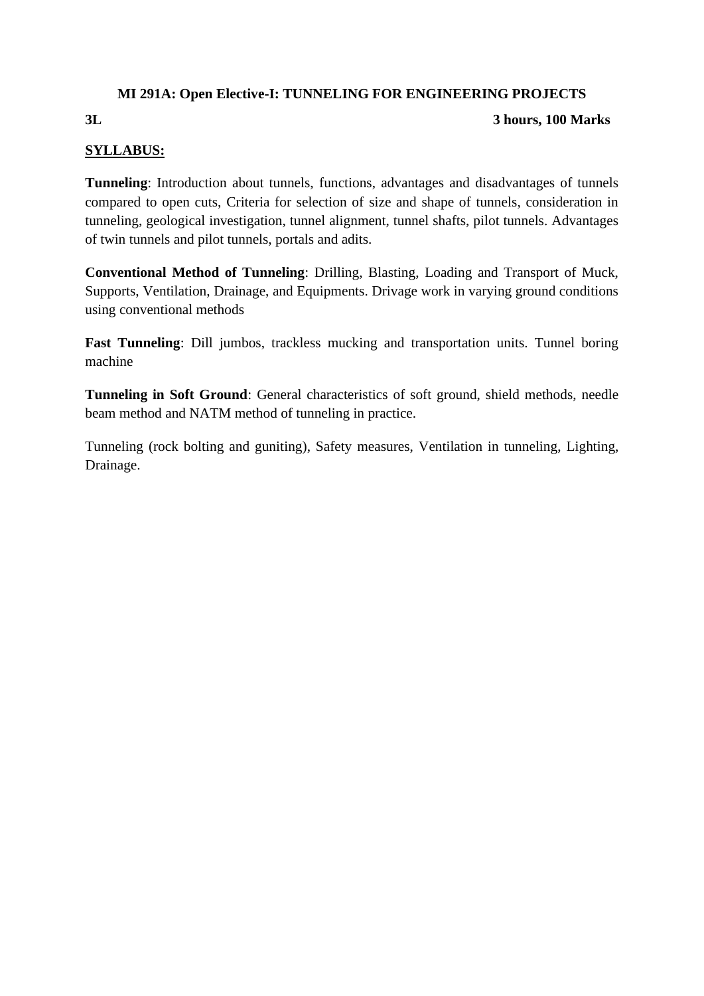# **MI 291A: Open Elective-I: TUNNELING FOR ENGINEERING PROJECTS**

# **3L 3 hours, 100 Marks**

# **SYLLABUS:**

**Tunneling**: Introduction about tunnels, functions, advantages and disadvantages of tunnels compared to open cuts, Criteria for selection of size and shape of tunnels, consideration in tunneling, geological investigation, tunnel alignment, tunnel shafts, pilot tunnels. Advantages of twin tunnels and pilot tunnels, portals and adits.

**Conventional Method of Tunneling**: Drilling, Blasting, Loading and Transport of Muck, Supports, Ventilation, Drainage, and Equipments. Drivage work in varying ground conditions using conventional methods

**Fast Tunneling**: Dill jumbos, trackless mucking and transportation units. Tunnel boring machine

**Tunneling in Soft Ground**: General characteristics of soft ground, shield methods, needle beam method and NATM method of tunneling in practice.

Tunneling (rock bolting and guniting), Safety measures, Ventilation in tunneling, Lighting, Drainage.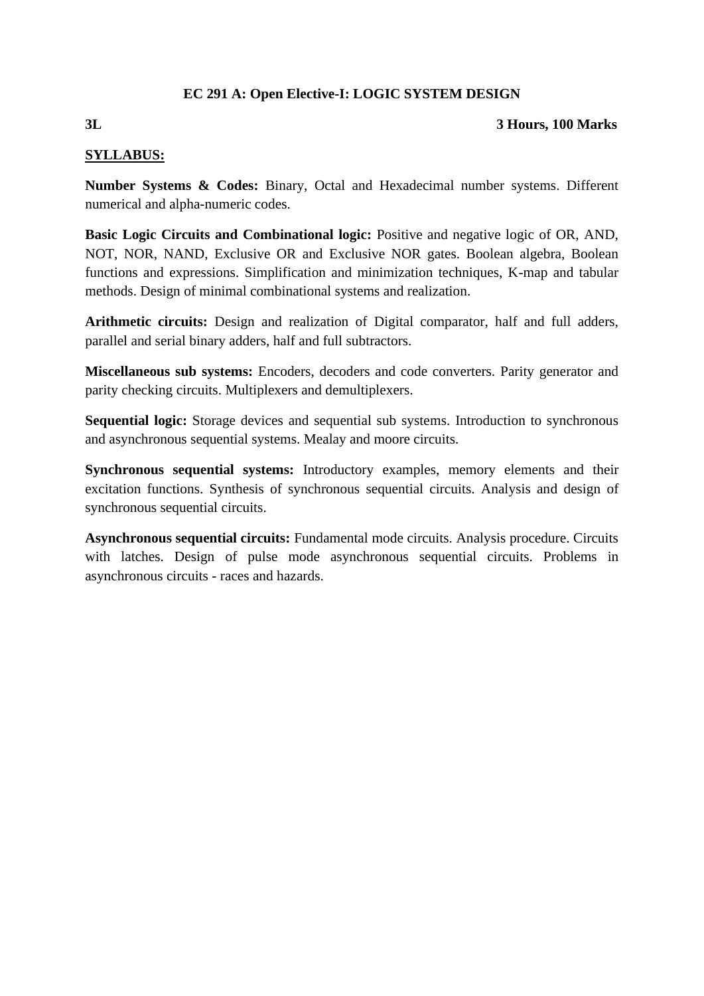# **EC 291 A: Open Elective-I: LOGIC SYSTEM DESIGN**

#### **3L 3 Hours, 100 Marks**

# **SYLLABUS:**

**Number Systems & Codes:** Binary, Octal and Hexadecimal number systems. Different numerical and alpha-numeric codes.

**Basic Logic Circuits and Combinational logic:** Positive and negative logic of OR, AND, NOT, NOR, NAND, Exclusive OR and Exclusive NOR gates. Boolean algebra, Boolean functions and expressions. Simplification and minimization techniques, K-map and tabular methods. Design of minimal combinational systems and realization.

**Arithmetic circuits:** Design and realization of Digital comparator, half and full adders, parallel and serial binary adders, half and full subtractors.

**Miscellaneous sub systems:** Encoders, decoders and code converters. Parity generator and parity checking circuits. Multiplexers and demultiplexers.

**Sequential logic:** Storage devices and sequential sub systems. Introduction to synchronous and asynchronous sequential systems. Mealay and moore circuits.

**Synchronous sequential systems:** Introductory examples, memory elements and their excitation functions. Synthesis of synchronous sequential circuits. Analysis and design of synchronous sequential circuits.

**Asynchronous sequential circuits:** Fundamental mode circuits. Analysis procedure. Circuits with latches. Design of pulse mode asynchronous sequential circuits. Problems in asynchronous circuits - races and hazards.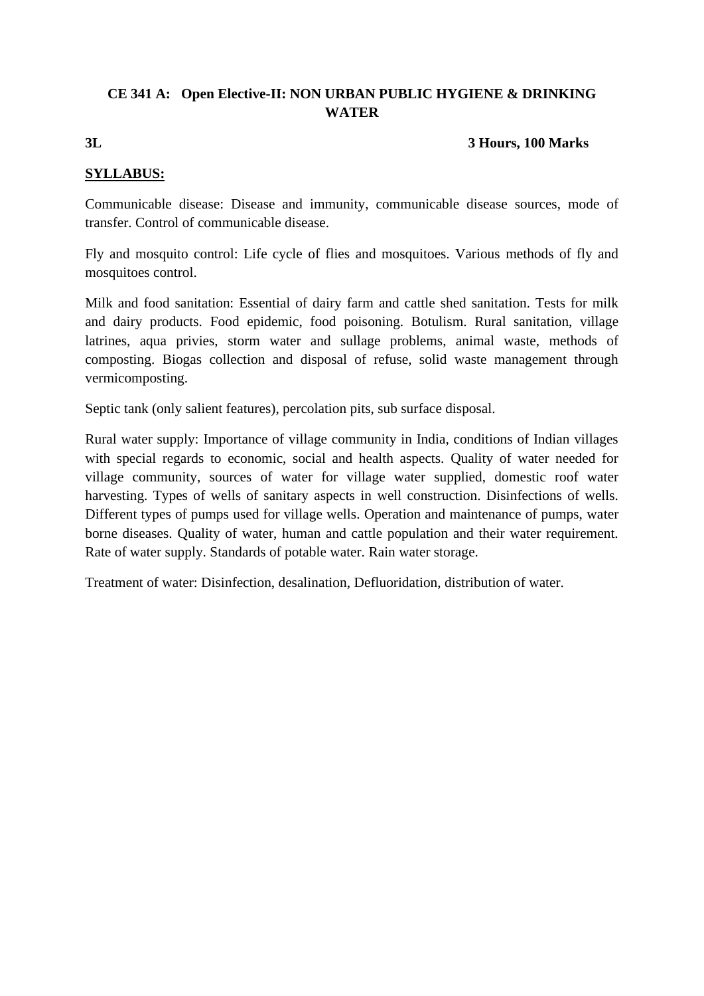# **CE 341 A: Open Elective-II: NON URBAN PUBLIC HYGIENE & DRINKING WATER**

**3L 3 Hours, 100 Marks**

# **SYLLABUS:**

Communicable disease: Disease and immunity, communicable disease sources, mode of transfer. Control of communicable disease.

Fly and mosquito control: Life cycle of flies and mosquitoes. Various methods of fly and mosquitoes control.

Milk and food sanitation: Essential of dairy farm and cattle shed sanitation. Tests for milk and dairy products. Food epidemic, food poisoning. Botulism. Rural sanitation, village latrines, aqua privies, storm water and sullage problems, animal waste, methods of composting. Biogas collection and disposal of refuse, solid waste management through vermicomposting.

Septic tank (only salient features), percolation pits, sub surface disposal.

Rural water supply: Importance of village community in India, conditions of Indian villages with special regards to economic, social and health aspects. Quality of water needed for village community, sources of water for village water supplied, domestic roof water harvesting. Types of wells of sanitary aspects in well construction. Disinfections of wells. Different types of pumps used for village wells. Operation and maintenance of pumps, water borne diseases. Quality of water, human and cattle population and their water requirement. Rate of water supply. Standards of potable water. Rain water storage.

Treatment of water: Disinfection, desalination, Defluoridation, distribution of water.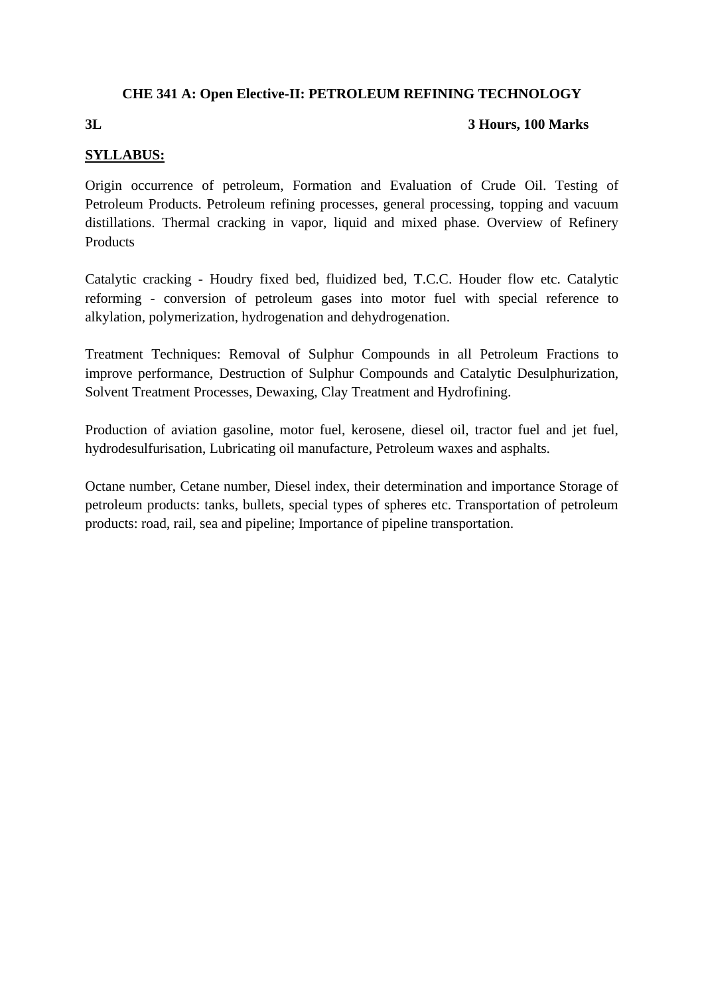# **CHE 341 A: Open Elective-II: PETROLEUM REFINING TECHNOLOGY**

### **3L 3 Hours, 100 Marks**

# **SYLLABUS:**

Origin occurrence of petroleum, Formation and Evaluation of Crude Oil. Testing of Petroleum Products. Petroleum refining processes, general processing, topping and vacuum distillations. Thermal cracking in vapor, liquid and mixed phase. Overview of Refinery Products

Catalytic cracking - Houdry fixed bed, fluidized bed, T.C.C. Houder flow etc. Catalytic reforming - conversion of petroleum gases into motor fuel with special reference to alkylation, polymerization, hydrogenation and dehydrogenation.

Treatment Techniques: Removal of Sulphur Compounds in all Petroleum Fractions to improve performance, Destruction of Sulphur Compounds and Catalytic Desulphurization, Solvent Treatment Processes, Dewaxing, Clay Treatment and Hydrofining.

Production of aviation gasoline, motor fuel, kerosene, diesel oil, tractor fuel and jet fuel, hydrodesulfurisation, Lubricating oil manufacture, Petroleum waxes and asphalts.

Octane number, Cetane number, Diesel index, their determination and importance Storage of petroleum products: tanks, bullets, special types of spheres etc. Transportation of petroleum products: road, rail, sea and pipeline; Importance of pipeline transportation.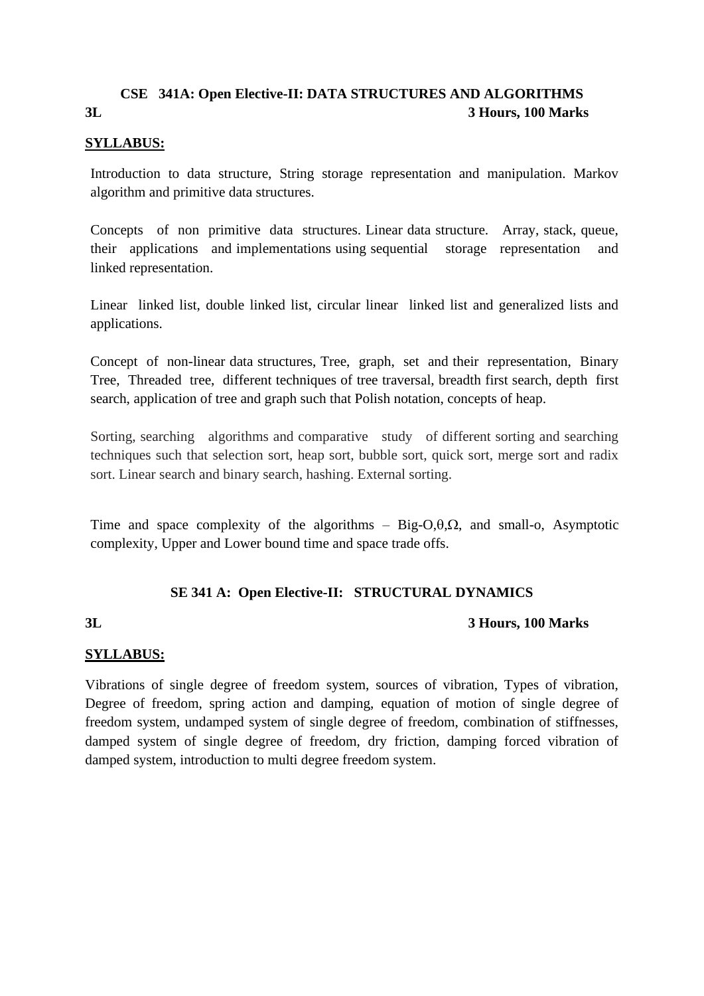# **CSE 341A: Open Elective-II: DATA STRUCTURES AND ALGORITHMS 3L 3 Hours, 100 Marks**

### **SYLLABUS:**

Introduction to data structure, String storage representation and manipulation. Markov algorithm and primitive data structures.

Concepts of non primitive data structures. Linear data structure. Array, stack, queue, their applications and implementations using sequential storage representation and linked representation.

Linear linked list, double linked list, circular linear linked list and generalized lists and applications.

Concept of non-linear data structures, Tree, graph, set and their representation, Binary Tree, Threaded tree, different techniques of tree traversal, breadth first search, depth first search, application of tree and graph such that Polish notation, concepts of heap.

Sorting, searching algorithms and comparative study of different sorting and searching techniques such that selection sort, heap sort, bubble sort, quick sort, merge sort and radix sort. Linear search and binary search, hashing. External sorting.

Time and space complexity of the algorithms – Big-O, $\theta$ ,  $\Omega$ , and small-o, Asymptotic complexity, Upper and Lower bound time and space trade offs.

# **SE 341 A: Open Elective-II: STRUCTURAL DYNAMICS**

# **3L 3 Hours, 100 Marks**

# **SYLLABUS:**

Vibrations of single degree of freedom system, sources of vibration, Types of vibration, Degree of freedom, spring action and damping, equation of motion of single degree of freedom system, undamped system of single degree of freedom, combination of stiffnesses, damped system of single degree of freedom, dry friction, damping forced vibration of damped system, introduction to multi degree freedom system.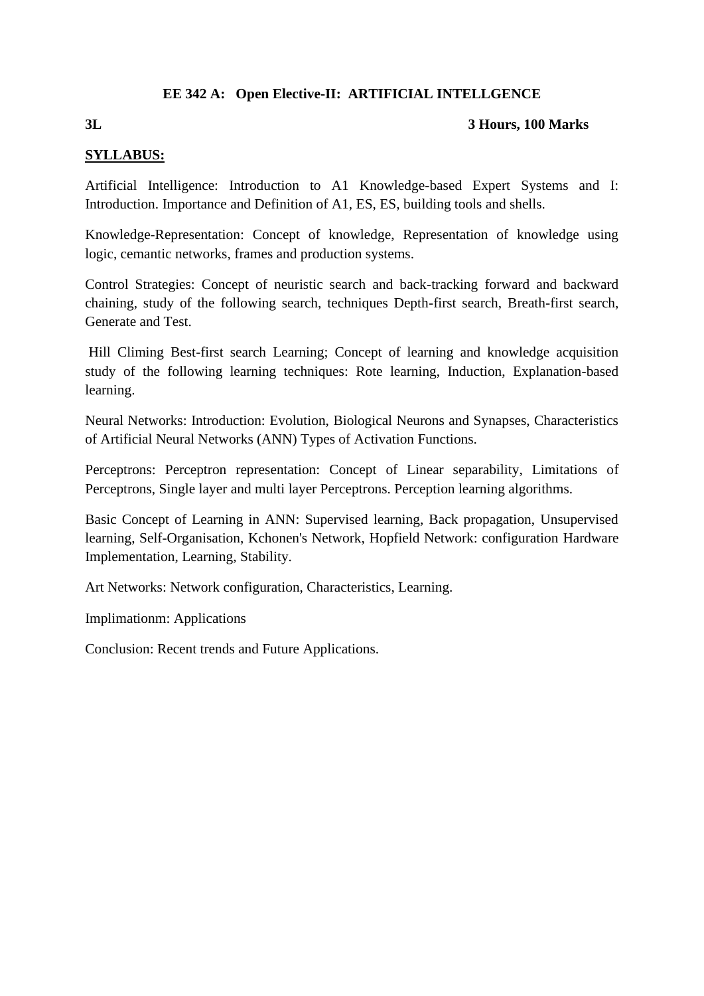# **EE 342 A: Open Elective-II: ARTIFICIAL INTELLGENCE**

### **3L 3 Hours, 100 Marks**

# **SYLLABUS:**

Artificial Intelligence: Introduction to A1 Knowledge-based Expert Systems and I: Introduction. Importance and Definition of A1, ES, ES, building tools and shells.

Knowledge-Representation: Concept of knowledge, Representation of knowledge using logic, cemantic networks, frames and production systems.

Control Strategies: Concept of neuristic search and back-tracking forward and backward chaining, study of the following search, techniques Depth-first search, Breath-first search, Generate and Test.

Hill Climing Best-first search Learning; Concept of learning and knowledge acquisition study of the following learning techniques: Rote learning, Induction, Explanation-based learning.

Neural Networks: Introduction: Evolution, Biological Neurons and Synapses, Characteristics of Artificial Neural Networks (ANN) Types of Activation Functions.

Perceptrons: Perceptron representation: Concept of Linear separability, Limitations of Perceptrons, Single layer and multi layer Perceptrons. Perception learning algorithms.

Basic Concept of Learning in ANN: Supervised learning, Back propagation, Unsupervised learning, Self-Organisation, Kchonen's Network, Hopfield Network: configuration Hardware Implementation, Learning, Stability.

Art Networks: Network configuration, Characteristics, Learning.

Implimationm: Applications

Conclusion: Recent trends and Future Applications.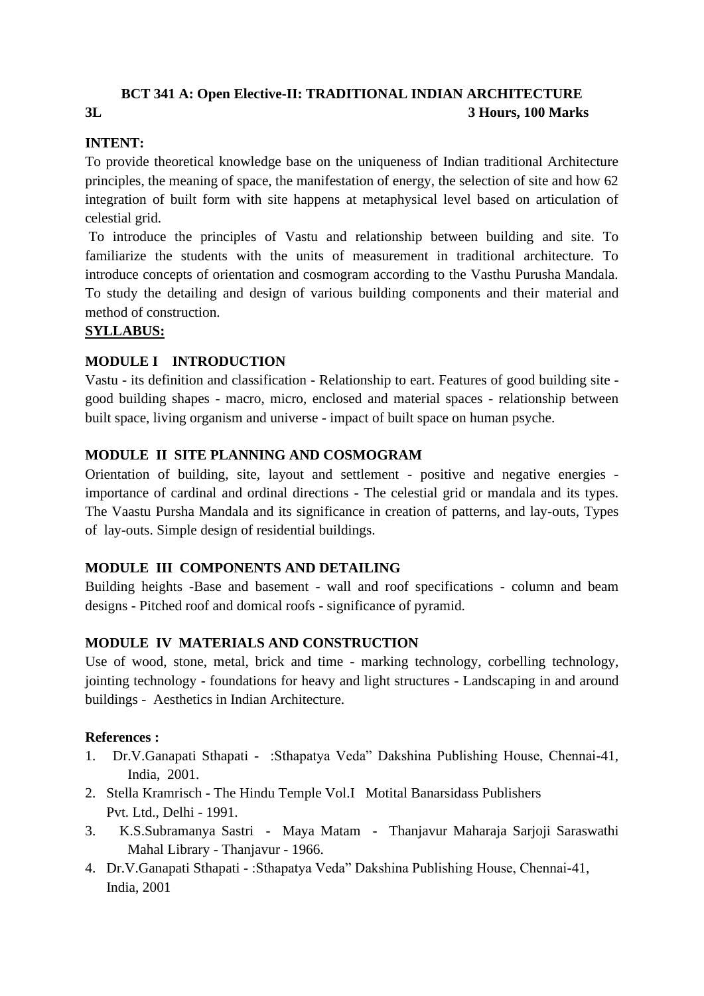# **BCT 341 A: Open Elective-II: TRADITIONAL INDIAN ARCHITECTURE 3L 3 Hours, 100 Marks**

# **INTENT:**

To provide theoretical knowledge base on the uniqueness of Indian traditional Architecture principles, the meaning of space, the manifestation of energy, the selection of site and how 62 integration of built form with site happens at metaphysical level based on articulation of celestial grid.

To introduce the principles of Vastu and relationship between building and site. To familiarize the students with the units of measurement in traditional architecture. To introduce concepts of orientation and cosmogram according to the Vasthu Purusha Mandala. To study the detailing and design of various building components and their material and method of construction.

# **SYLLABUS:**

# **MODULE I INTRODUCTION**

Vastu - its definition and classification - Relationship to eart. Features of good building site good building shapes - macro, micro, enclosed and material spaces - relationship between built space, living organism and universe - impact of built space on human psyche.

# **MODULE II SITE PLANNING AND COSMOGRAM**

Orientation of building, site, layout and settlement - positive and negative energies importance of cardinal and ordinal directions - The celestial grid or mandala and its types. The Vaastu Pursha Mandala and its significance in creation of patterns, and lay-outs, Types of lay-outs. Simple design of residential buildings.

# **MODULE III COMPONENTS AND DETAILING**

Building heights -Base and basement - wall and roof specifications - column and beam designs - Pitched roof and domical roofs - significance of pyramid.

# **MODULE IV MATERIALS AND CONSTRUCTION**

Use of wood, stone, metal, brick and time - marking technology, corbelling technology, jointing technology - foundations for heavy and light structures - Landscaping in and around buildings - Aesthetics in Indian Architecture.

# **References :**

- 1. Dr.V.Ganapati Sthapati :Sthapatya Veda" Dakshina Publishing House, Chennai-41, India, 2001.
- 2. Stella Kramrisch The Hindu Temple Vol.I Motital Banarsidass Publishers Pvt. Ltd., Delhi - 1991.
- 3. K.S.Subramanya Sastri Maya Matam Thanjavur Maharaja Sarjoji Saraswathi Mahal Library - Thanjavur - 1966.
- 4. Dr.V.Ganapati Sthapati :Sthapatya Veda" Dakshina Publishing House, Chennai-41, India, 2001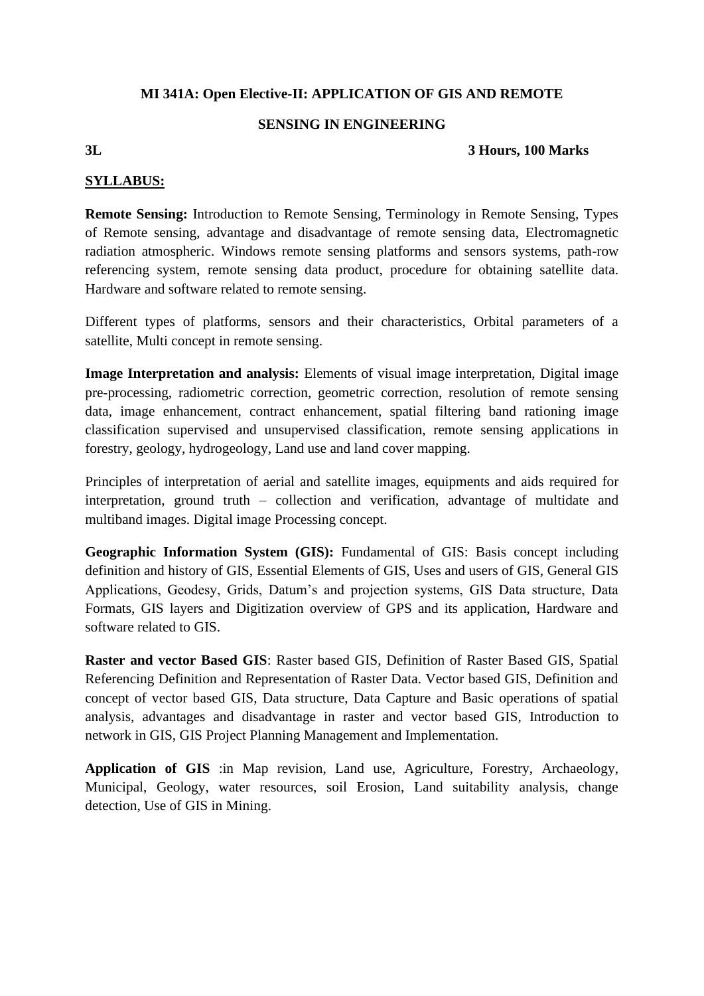# **MI 341A: Open Elective-II: APPLICATION OF GIS AND REMOTE**

#### **SENSING IN ENGINEERING**

# **3L 3 Hours, 100 Marks**

### **SYLLABUS:**

**Remote Sensing:** Introduction to Remote Sensing, Terminology in Remote Sensing, Types of Remote sensing, advantage and disadvantage of remote sensing data, Electromagnetic radiation atmospheric. Windows remote sensing platforms and sensors systems, path-row referencing system, remote sensing data product, procedure for obtaining satellite data. Hardware and software related to remote sensing.

Different types of platforms, sensors and their characteristics, Orbital parameters of a satellite, Multi concept in remote sensing.

**Image Interpretation and analysis:** Elements of visual image interpretation, Digital image pre-processing, radiometric correction, geometric correction, resolution of remote sensing data, image enhancement, contract enhancement, spatial filtering band rationing image classification supervised and unsupervised classification, remote sensing applications in forestry, geology, hydrogeology, Land use and land cover mapping.

Principles of interpretation of aerial and satellite images, equipments and aids required for interpretation, ground truth – collection and verification, advantage of multidate and multiband images. Digital image Processing concept.

**Geographic Information System (GIS):** Fundamental of GIS: Basis concept including definition and history of GIS, Essential Elements of GIS, Uses and users of GIS, General GIS Applications, Geodesy, Grids, Datum's and projection systems, GIS Data structure, Data Formats, GIS layers and Digitization overview of GPS and its application, Hardware and software related to GIS.

**Raster and vector Based GIS**: Raster based GIS, Definition of Raster Based GIS, Spatial Referencing Definition and Representation of Raster Data. Vector based GIS, Definition and concept of vector based GIS, Data structure, Data Capture and Basic operations of spatial analysis, advantages and disadvantage in raster and vector based GIS, Introduction to network in GIS, GIS Project Planning Management and Implementation.

**Application of GIS** :in Map revision, Land use, Agriculture, Forestry, Archaeology, Municipal, Geology, water resources, soil Erosion, Land suitability analysis, change detection, Use of GIS in Mining.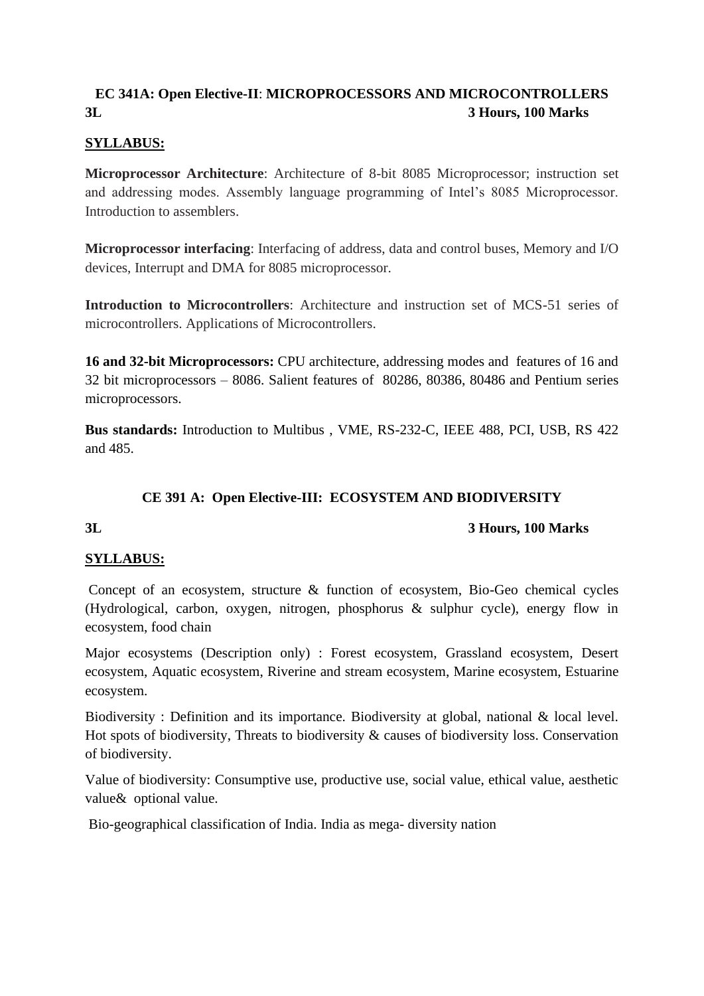# **EC 341A: Open Elective-II**: **MICROPROCESSORS AND MICROCONTROLLERS 3L 3 Hours, 100 Marks**

# **SYLLABUS:**

**Microprocessor Architecture**: Architecture of 8-bit 8085 Microprocessor; instruction set and addressing modes. Assembly language programming of Intel's 8085 Microprocessor. Introduction to assemblers.

**Microprocessor interfacing**: Interfacing of address, data and control buses, Memory and I/O devices, Interrupt and DMA for 8085 microprocessor.

**Introduction to Microcontrollers**: Architecture and instruction set of MCS-51 series of microcontrollers. Applications of Microcontrollers.

**16 and 32-bit Microprocessors:** CPU architecture, addressing modes and features of 16 and 32 bit microprocessors – 8086. Salient features of 80286, 80386, 80486 and Pentium series microprocessors.

**Bus standards:** Introduction to Multibus , VME, RS-232-C, IEEE 488, PCI, USB, RS 422 and 485.

# **CE 391 A: Open Elective-III: ECOSYSTEM AND BIODIVERSITY**

# **3L 3 Hours, 100 Marks**

# **SYLLABUS:**

Concept of an ecosystem, structure & function of ecosystem, Bio-Geo chemical cycles (Hydrological, carbon, oxygen, nitrogen, phosphorus & sulphur cycle), energy flow in ecosystem, food chain

Major ecosystems (Description only) : Forest ecosystem, Grassland ecosystem, Desert ecosystem, Aquatic ecosystem, Riverine and stream ecosystem, Marine ecosystem, Estuarine ecosystem.

Biodiversity : Definition and its importance. Biodiversity at global, national & local level. Hot spots of biodiversity, Threats to biodiversity & causes of biodiversity loss. Conservation of biodiversity.

Value of biodiversity: Consumptive use, productive use, social value, ethical value, aesthetic value& optional value.

Bio-geographical classification of India. India as mega- diversity nation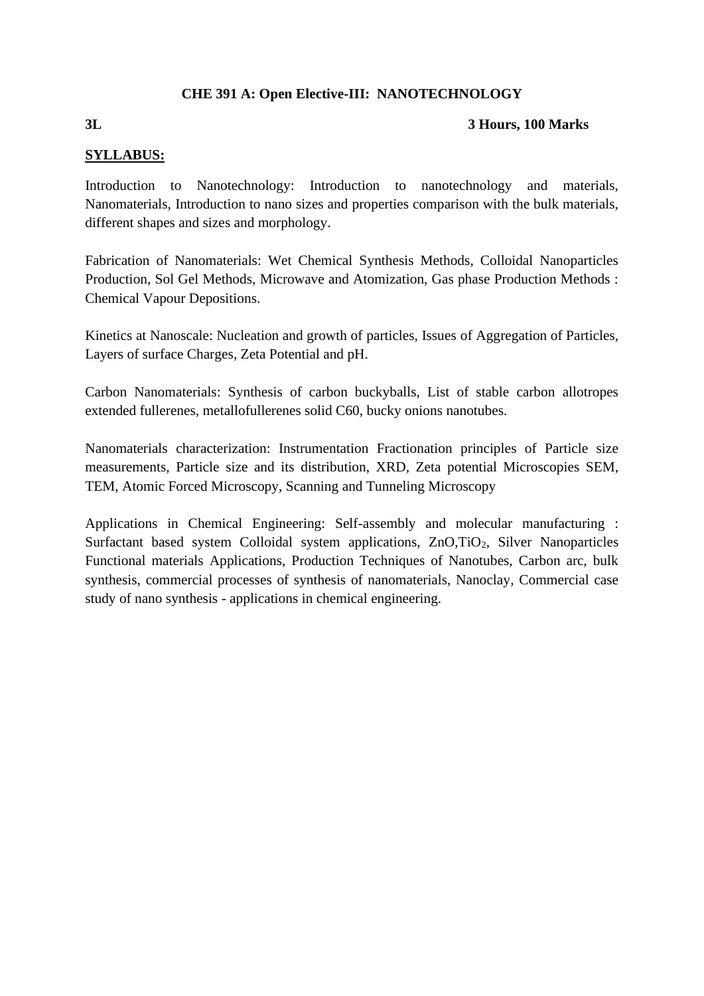# **CHE 391 A: Open Elective-III: NANOTECHNOLOGY**

### **3L 3 Hours, 100 Marks**

# **SYLLABUS:**

Introduction to Nanotechnology: Introduction to nanotechnology and materials, Nanomaterials, Introduction to nano sizes and properties comparison with the bulk materials, different shapes and sizes and morphology.

Fabrication of Nanomaterials: Wet Chemical Synthesis Methods, Colloidal Nanoparticles Production, Sol Gel Methods, Microwave and Atomization, Gas phase Production Methods : Chemical Vapour Depositions.

Kinetics at Nanoscale: Nucleation and growth of particles, Issues of Aggregation of Particles, Layers of surface Charges, Zeta Potential and pH.

Carbon Nanomaterials: Synthesis of carbon buckyballs, List of stable carbon allotropes extended fullerenes, metallofullerenes solid C60, bucky onions nanotubes.

Nanomaterials characterization: Instrumentation Fractionation principles of Particle size measurements, Particle size and its distribution, XRD, Zeta potential Microscopies SEM, TEM, Atomic Forced Microscopy, Scanning and Tunneling Microscopy

Applications in Chemical Engineering: Self-assembly and molecular manufacturing : Surfactant based system Colloidal system applications, ZnO,TiO<sub>2</sub>, Silver Nanoparticles Functional materials Applications, Production Techniques of Nanotubes, Carbon arc, bulk synthesis, commercial processes of synthesis of nanomaterials, Nanoclay, Commercial case study of nano synthesis - applications in chemical engineering.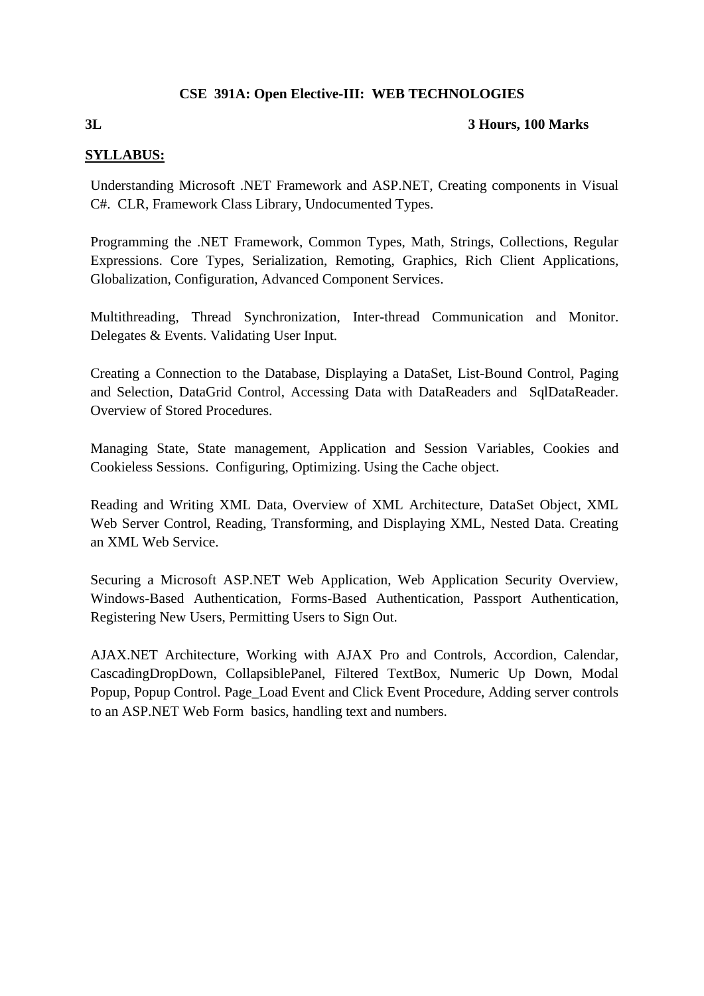# **CSE 391A: Open Elective-III: WEB TECHNOLOGIES**

# **3L 3 Hours, 100 Marks**

# **SYLLABUS:**

Understanding Microsoft .NET Framework and ASP.NET, Creating components in Visual C#. CLR, Framework Class Library, Undocumented Types.

Programming the .NET Framework, Common Types, Math, Strings, Collections, Regular Expressions. Core Types, Serialization, Remoting, Graphics, Rich Client Applications, Globalization, Configuration, Advanced Component Services.

Multithreading, Thread Synchronization, Inter-thread Communication and Monitor. Delegates & Events. Validating User Input.

Creating a Connection to the Database, Displaying a DataSet, List-Bound Control, Paging and Selection, DataGrid Control, Accessing Data with DataReaders and SqlDataReader. Overview of Stored Procedures.

Managing State, State management, Application and Session Variables, Cookies and Cookieless Sessions. Configuring, Optimizing. Using the Cache object.

Reading and Writing XML Data, Overview of XML Architecture, DataSet Object, XML Web Server Control, Reading, Transforming, and Displaying XML, Nested Data. Creating an XML Web Service.

Securing a Microsoft ASP.NET Web Application, Web Application Security Overview, Windows-Based Authentication, Forms-Based Authentication, Passport Authentication, Registering New Users, Permitting Users to Sign Out.

AJAX.NET Architecture, Working with AJAX Pro and Controls, Accordion, Calendar, CascadingDropDown, CollapsiblePanel, Filtered TextBox, Numeric Up Down, Modal Popup, Popup Control. Page\_Load Event and Click Event Procedure, Adding server controls to an ASP.NET Web Form basics, handling text and numbers.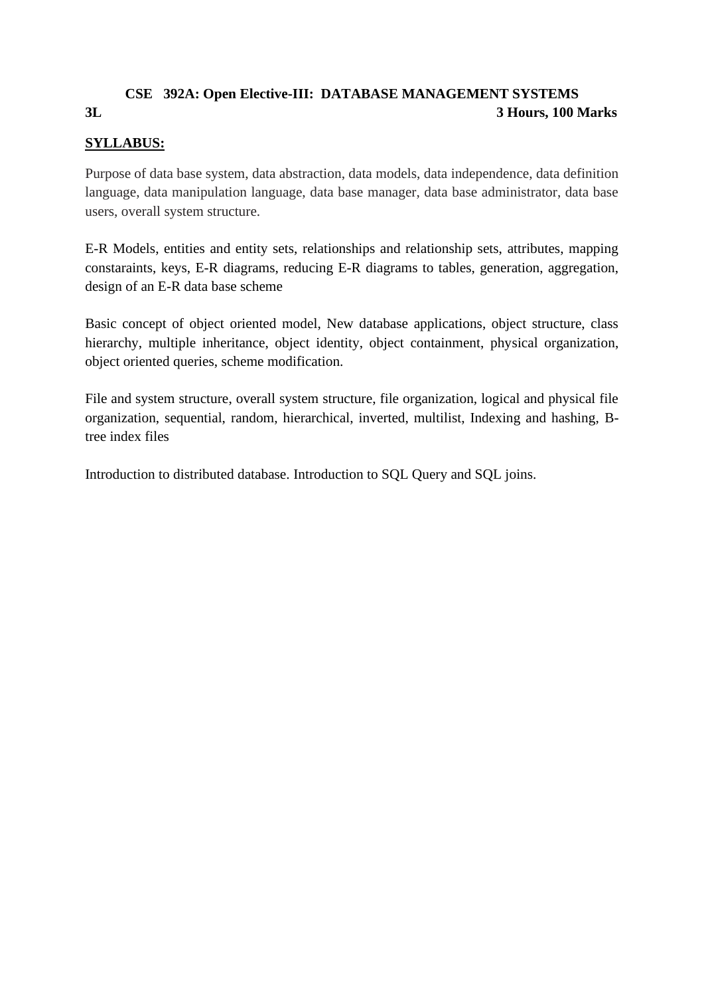# **CSE 392A: Open Elective-III: DATABASE MANAGEMENT SYSTEMS 3L 3 Hours, 100 Marks**

# **SYLLABUS:**

Purpose of data base system, data abstraction, data models, data independence, data definition language, data manipulation language, data base manager, data base administrator, data base users, overall system structure.

E-R Models, entities and entity sets, relationships and relationship sets, attributes, mapping constaraints, keys, E-R diagrams, reducing E-R diagrams to tables, generation, aggregation, design of an E-R data base scheme

Basic concept of object oriented model, New database applications, object structure, class hierarchy, multiple inheritance, object identity, object containment, physical organization, object oriented queries, scheme modification.

File and system structure, overall system structure, file organization, logical and physical file organization, sequential, random, hierarchical, inverted, multilist, Indexing and hashing, Btree index files

Introduction to distributed database. Introduction to SQL Query and SQL joins.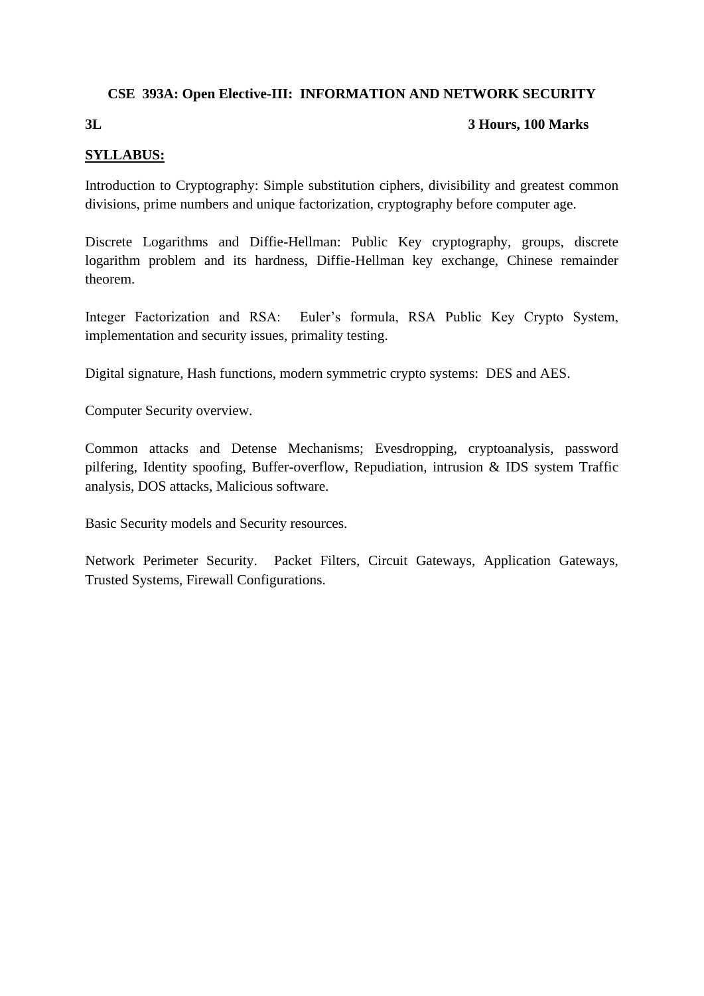# **CSE 393A: Open Elective-III: INFORMATION AND NETWORK SECURITY**

### **3L 3 Hours, 100 Marks**

# **SYLLABUS:**

Introduction to Cryptography: Simple substitution ciphers, divisibility and greatest common divisions, prime numbers and unique factorization, cryptography before computer age.

Discrete Logarithms and Diffie-Hellman: Public Key cryptography, groups, discrete logarithm problem and its hardness, Diffie-Hellman key exchange, Chinese remainder theorem.

Integer Factorization and RSA: Euler's formula, RSA Public Key Crypto System, implementation and security issues, primality testing.

Digital signature, Hash functions, modern symmetric crypto systems: DES and AES.

Computer Security overview.

Common attacks and Detense Mechanisms; Evesdropping, cryptoanalysis, password pilfering, Identity spoofing, Buffer-overflow, Repudiation, intrusion & IDS system Traffic analysis, DOS attacks, Malicious software.

Basic Security models and Security resources.

Network Perimeter Security. Packet Filters, Circuit Gateways, Application Gateways, Trusted Systems, Firewall Configurations.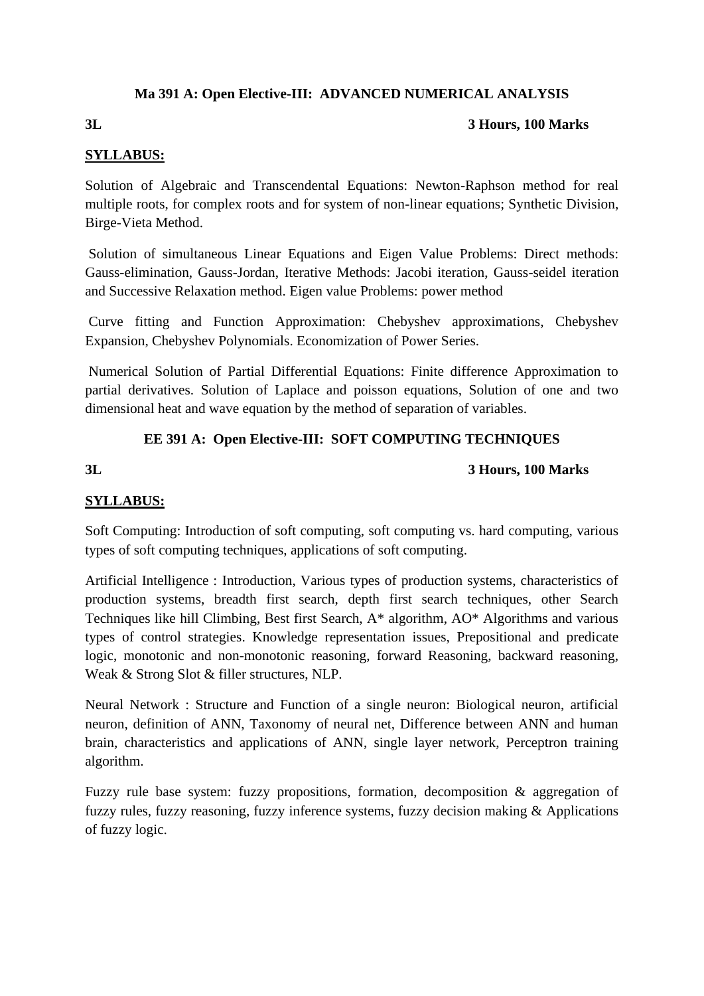# **Ma 391 A: Open Elective-III: ADVANCED NUMERICAL ANALYSIS**

# **3L 3 Hours, 100 Marks**

# **SYLLABUS:**

Solution of Algebraic and Transcendental Equations: Newton-Raphson method for real multiple roots, for complex roots and for system of non-linear equations; Synthetic Division, Birge-Vieta Method.

Solution of simultaneous Linear Equations and Eigen Value Problems: Direct methods: Gauss-elimination, Gauss-Jordan, Iterative Methods: Jacobi iteration, Gauss-seidel iteration and Successive Relaxation method. Eigen value Problems: power method

Curve fitting and Function Approximation: Chebyshev approximations, Chebyshev Expansion, Chebyshev Polynomials. Economization of Power Series.

Numerical Solution of Partial Differential Equations: Finite difference Approximation to partial derivatives. Solution of Laplace and poisson equations, Solution of one and two dimensional heat and wave equation by the method of separation of variables.

# **EE 391 A: Open Elective-III: SOFT COMPUTING TECHNIQUES**

# **3L 3 Hours, 100 Marks**

# **SYLLABUS:**

Soft Computing: Introduction of soft computing, soft computing vs. hard computing, various types of soft computing techniques, applications of soft computing.

Artificial Intelligence : Introduction, Various types of production systems, characteristics of production systems, breadth first search, depth first search techniques, other Search Techniques like hill Climbing, Best first Search, A\* algorithm, AO\* Algorithms and various types of control strategies. Knowledge representation issues, Prepositional and predicate logic, monotonic and non-monotonic reasoning, forward Reasoning, backward reasoning, Weak & Strong Slot & filler structures, NLP.

Neural Network : Structure and Function of a single neuron: Biological neuron, artificial neuron, definition of ANN, Taxonomy of neural net, Difference between ANN and human brain, characteristics and applications of ANN, single layer network, Perceptron training algorithm.

Fuzzy rule base system: fuzzy propositions, formation, decomposition & aggregation of fuzzy rules, fuzzy reasoning, fuzzy inference systems, fuzzy decision making & Applications of fuzzy logic.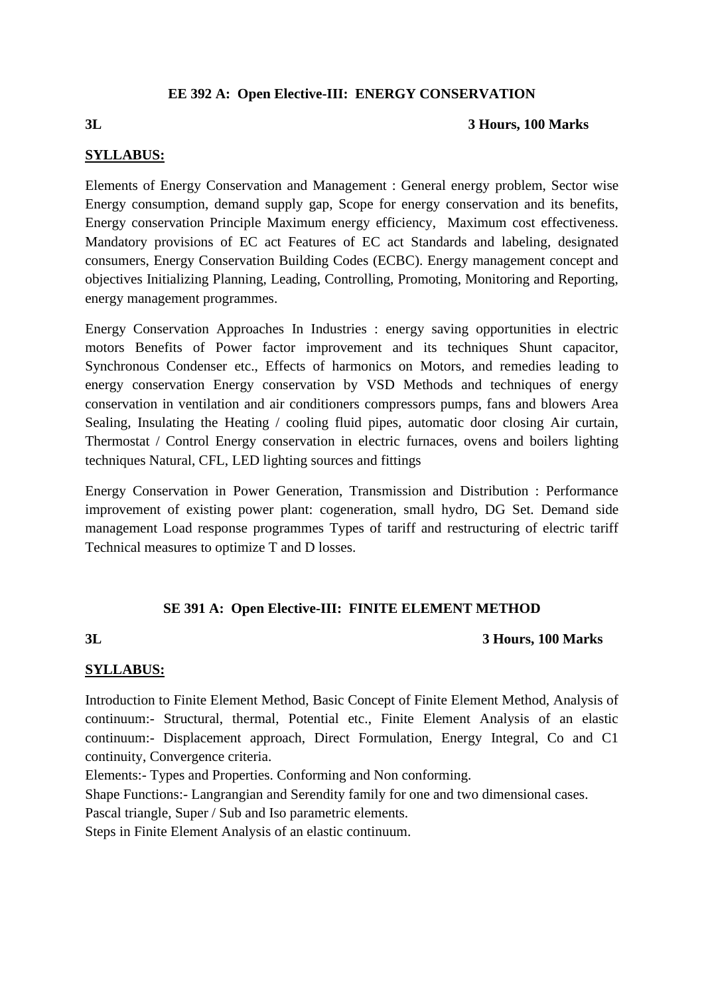# **EE 392 A: Open Elective-III: ENERGY CONSERVATION**

#### **3L 3 Hours, 100 Marks**

### **SYLLABUS:**

Elements of Energy Conservation and Management : General energy problem, Sector wise Energy consumption, demand supply gap, Scope for energy conservation and its benefits, Energy conservation Principle Maximum energy efficiency, Maximum cost effectiveness. Mandatory provisions of EC act Features of EC act Standards and labeling, designated consumers, Energy Conservation Building Codes (ECBC). Energy management concept and objectives Initializing Planning, Leading, Controlling, Promoting, Monitoring and Reporting, energy management programmes.

Energy Conservation Approaches In Industries : energy saving opportunities in electric motors Benefits of Power factor improvement and its techniques Shunt capacitor, Synchronous Condenser etc., Effects of harmonics on Motors, and remedies leading to energy conservation Energy conservation by VSD Methods and techniques of energy conservation in ventilation and air conditioners compressors pumps, fans and blowers Area Sealing, Insulating the Heating / cooling fluid pipes, automatic door closing Air curtain, Thermostat / Control Energy conservation in electric furnaces, ovens and boilers lighting techniques Natural, CFL, LED lighting sources and fittings

Energy Conservation in Power Generation, Transmission and Distribution : Performance improvement of existing power plant: cogeneration, small hydro, DG Set. Demand side management Load response programmes Types of tariff and restructuring of electric tariff Technical measures to optimize T and D losses.

# **SE 391 A: Open Elective-III: FINITE ELEMENT METHOD**

#### **3L 3 Hours, 100 Marks**

# **SYLLABUS:**

Introduction to Finite Element Method, Basic Concept of Finite Element Method, Analysis of continuum:- Structural, thermal, Potential etc., Finite Element Analysis of an elastic continuum:- Displacement approach, Direct Formulation, Energy Integral, Co and C1 continuity, Convergence criteria.

Elements:- Types and Properties. Conforming and Non conforming.

Shape Functions:- Langrangian and Serendity family for one and two dimensional cases.

Pascal triangle, Super / Sub and Iso parametric elements.

Steps in Finite Element Analysis of an elastic continuum.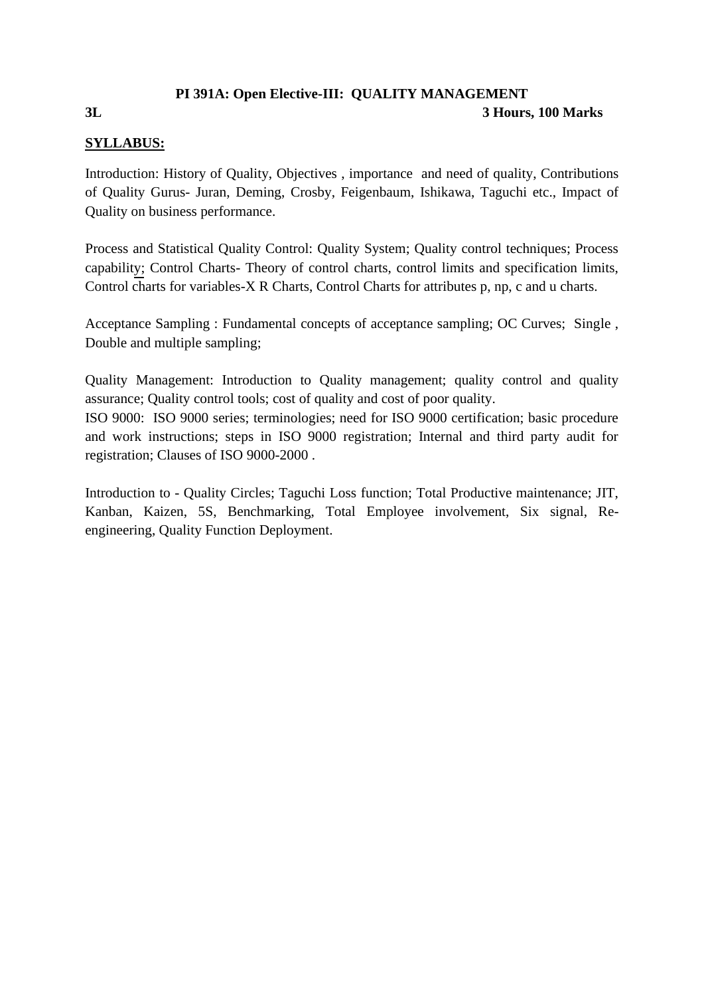# **PI 391A: Open Elective-III: QUALITY MANAGEMENT**

#### **3L 3 Hours, 100 Marks**

# **SYLLABUS:**

Introduction: History of Quality, Objectives , importance and need of quality, Contributions of Quality Gurus- Juran, Deming, Crosby, Feigenbaum, Ishikawa, Taguchi etc., Impact of Quality on business performance.

Process and Statistical Quality Control: Quality System; Quality control techniques; Process capability; Control Charts- Theory of control charts, control limits and specification limits, Control charts for variables-X R Charts, Control Charts for attributes p, np, c and u charts.

Acceptance Sampling : Fundamental concepts of acceptance sampling; OC Curves; Single , Double and multiple sampling;

Quality Management: Introduction to Quality management; quality control and quality assurance; Quality control tools; cost of quality and cost of poor quality. ISO 9000: ISO 9000 series; terminologies; need for ISO 9000 certification; basic procedure and work instructions; steps in ISO 9000 registration; Internal and third party audit for registration; Clauses of ISO 9000-2000 .

Introduction to - Quality Circles; Taguchi Loss function; Total Productive maintenance; JIT, Kanban, Kaizen, 5S, Benchmarking, Total Employee involvement, Six signal, Reengineering, Quality Function Deployment.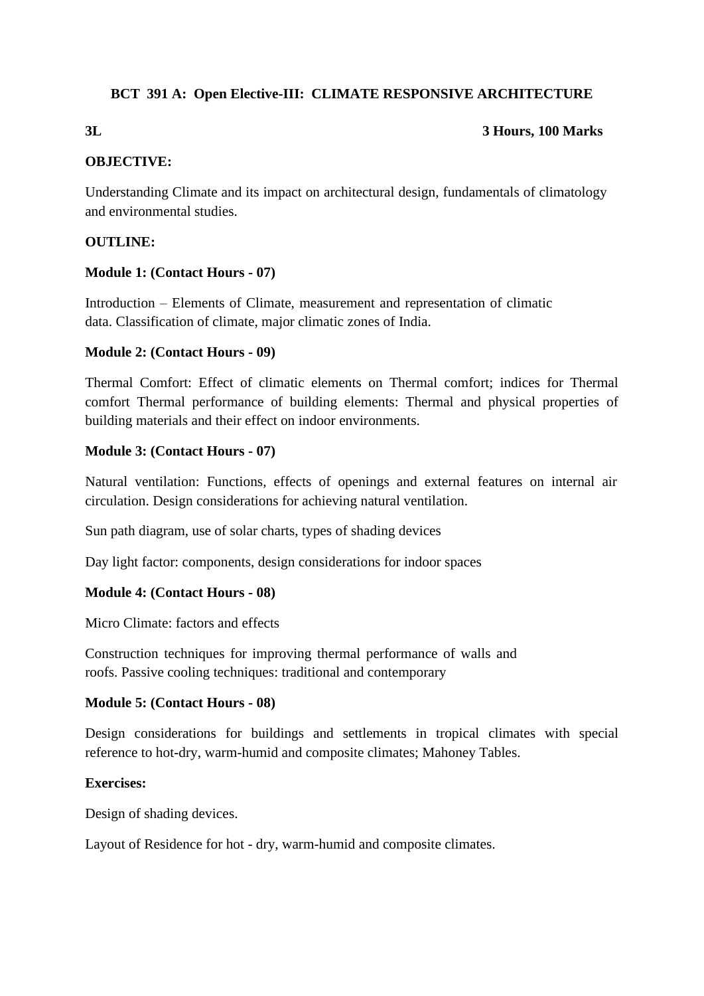# **BCT 391 A: Open Elective-III: CLIMATE RESPONSIVE ARCHITECTURE**

# **3L 3 Hours, 100 Marks**

# **OBJECTIVE:**

Understanding Climate and its impact on architectural design, fundamentals of climatology and environmental studies.

# **OUTLINE:**

# **Module 1: (Contact Hours - 07)**

Introduction – Elements of Climate, measurement and representation of climatic data. Classification of climate, major climatic zones of India.

# **Module 2: (Contact Hours - 09)**

Thermal Comfort: Effect of climatic elements on Thermal comfort; indices for Thermal comfort Thermal performance of building elements: Thermal and physical properties of building materials and their effect on indoor environments.

# **Module 3: (Contact Hours - 07)**

Natural ventilation: Functions, effects of openings and external features on internal air circulation. Design considerations for achieving natural ventilation.

Sun path diagram, use of solar charts, types of shading devices

Day light factor: components, design considerations for indoor spaces

# **Module 4: (Contact Hours - 08)**

Micro Climate: factors and effects

Construction techniques for improving thermal performance of walls and roofs. Passive cooling techniques: traditional and contemporary

# **Module 5: (Contact Hours - 08)**

Design considerations for buildings and settlements in tropical climates with special reference to hot-dry, warm-humid and composite climates; Mahoney Tables.

# **Exercises:**

Design of shading devices.

Layout of Residence for hot - dry, warm-humid and composite climates.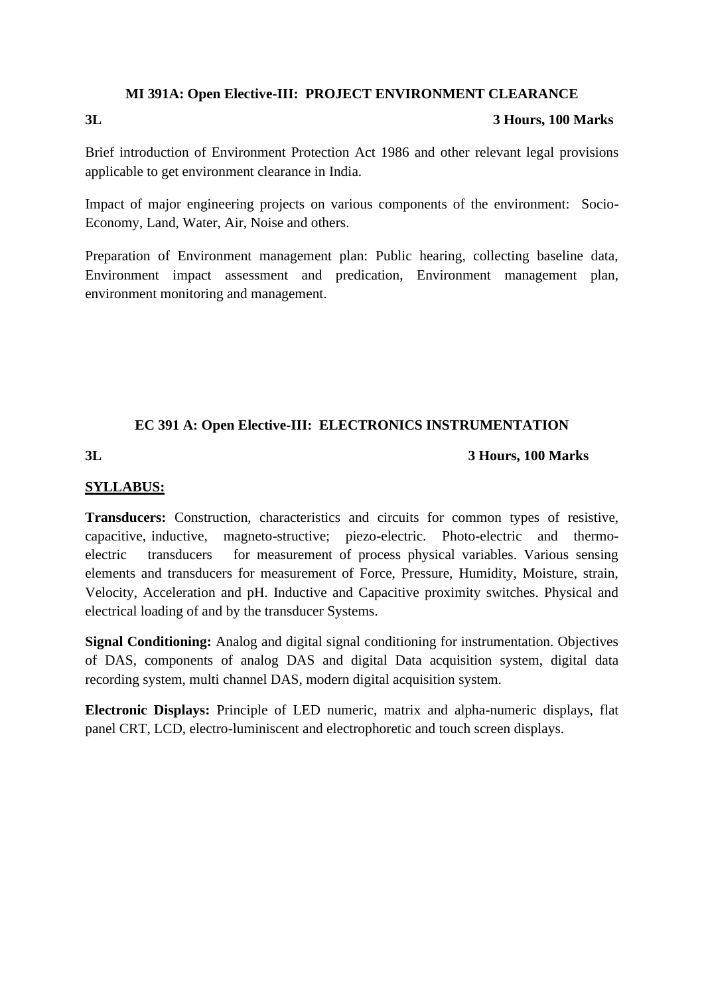### **MI 391A: Open Elective-III: PROJECT ENVIRONMENT CLEARANCE**

### **3L 3 Hours, 100 Marks**

Brief introduction of Environment Protection Act 1986 and other relevant legal provisions applicable to get environment clearance in India.

Impact of major engineering projects on various components of the environment: Socio-Economy, Land, Water, Air, Noise and others.

Preparation of Environment management plan: Public hearing, collecting baseline data, Environment impact assessment and predication, Environment management plan, environment monitoring and management.

# **EC 391 A: Open Elective-III: ELECTRONICS INSTRUMENTATION**

### **3L 3 Hours, 100 Marks**

# **SYLLABUS:**

**Transducers:** Construction, characteristics and circuits for common types of resistive, capacitive, inductive, magneto-structive; piezo-electric. Photo-electric and thermoelectric transducers for measurement of process physical variables. Various sensing elements and transducers for measurement of Force, Pressure, Humidity, Moisture, strain, Velocity, Acceleration and pH. Inductive and Capacitive proximity switches. Physical and electrical loading of and by the transducer Systems.

**Signal Conditioning:** Analog and digital signal conditioning for instrumentation. Objectives of DAS, components of analog DAS and digital Data acquisition system, digital data recording system, multi channel DAS, modern digital acquisition system.

**Electronic Displays:** Principle of LED numeric, matrix and alpha-numeric displays, flat panel CRT, LCD, electro-luminiscent and electrophoretic and touch screen displays.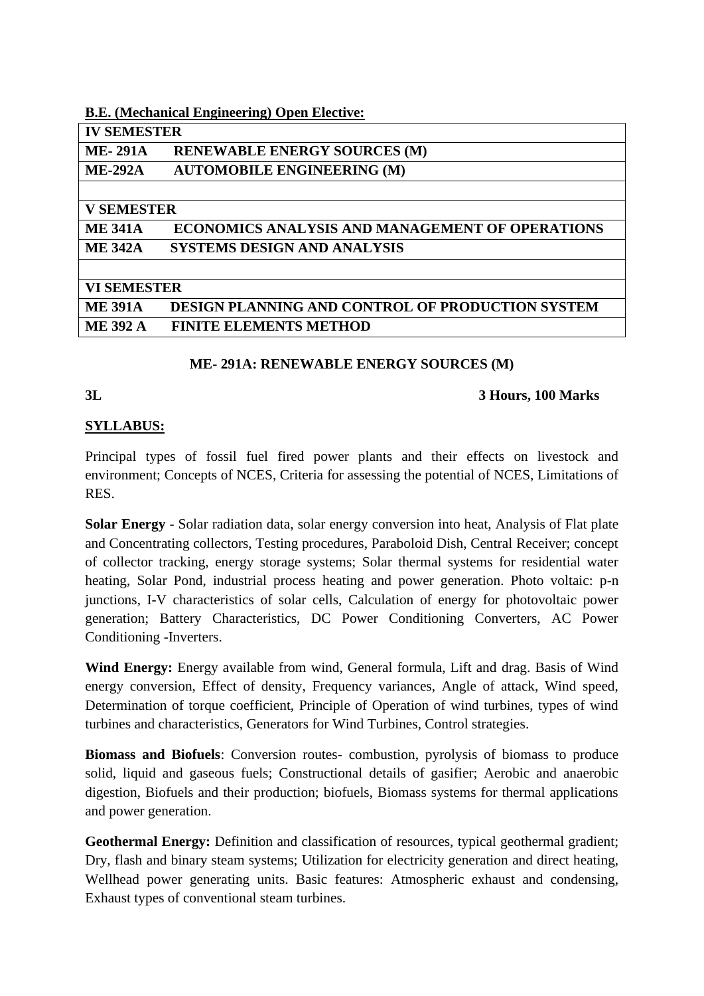# **B.E. (Mechanical Engineering) Open Elective:**

| <b>IV SEMESTER</b> |                                                         |
|--------------------|---------------------------------------------------------|
| <b>ME-291A</b>     | <b>RENEWABLE ENERGY SOURCES (M)</b>                     |
| <b>ME-292A</b>     | <b>AUTOMOBILE ENGINEERING (M)</b>                       |
|                    |                                                         |
| <b>V SEMESTER</b>  |                                                         |
| <b>ME 341A</b>     | <b>ECONOMICS ANALYSIS AND MANAGEMENT OF OPERATIONS</b>  |
| <b>ME 342A</b>     | <b>SYSTEMS DESIGN AND ANALYSIS</b>                      |
|                    |                                                         |
| <b>VI SEMESTER</b> |                                                         |
| <b>ME 391A</b>     | <b>DESIGN PLANNING AND CONTROL OF PRODUCTION SYSTEM</b> |
| <b>ME 392 A</b>    | <b>FINITE ELEMENTS METHOD</b>                           |
|                    |                                                         |

# **ME- 291A: RENEWABLE ENERGY SOURCES (M)**

### **3L 3 Hours, 100 Marks**

# **SYLLABUS:**

Principal types of fossil fuel fired power plants and their effects on livestock and environment; Concepts of NCES, Criteria for assessing the potential of NCES, Limitations of RES.

**Solar Energy** - Solar radiation data, solar energy conversion into heat, Analysis of Flat plate and Concentrating collectors, Testing procedures, Paraboloid Dish, Central Receiver; concept of collector tracking, energy storage systems; Solar thermal systems for residential water heating, Solar Pond, industrial process heating and power generation. Photo voltaic: p-n junctions, I-V characteristics of solar cells, Calculation of energy for photovoltaic power generation; Battery Characteristics, DC Power Conditioning Converters, AC Power Conditioning -Inverters.

**Wind Energy:** Energy available from wind, General formula, Lift and drag. Basis of Wind energy conversion, Effect of density, Frequency variances, Angle of attack, Wind speed, Determination of torque coefficient, Principle of Operation of wind turbines, types of wind turbines and characteristics, Generators for Wind Turbines, Control strategies.

**Biomass and Biofuels**: Conversion routes- combustion, pyrolysis of biomass to produce solid, liquid and gaseous fuels; Constructional details of gasifier; Aerobic and anaerobic digestion, Biofuels and their production; biofuels, Biomass systems for thermal applications and power generation.

Geothermal Energy: Definition and classification of resources, typical geothermal gradient; Dry, flash and binary steam systems; Utilization for electricity generation and direct heating, Wellhead power generating units. Basic features: Atmospheric exhaust and condensing, Exhaust types of conventional steam turbines.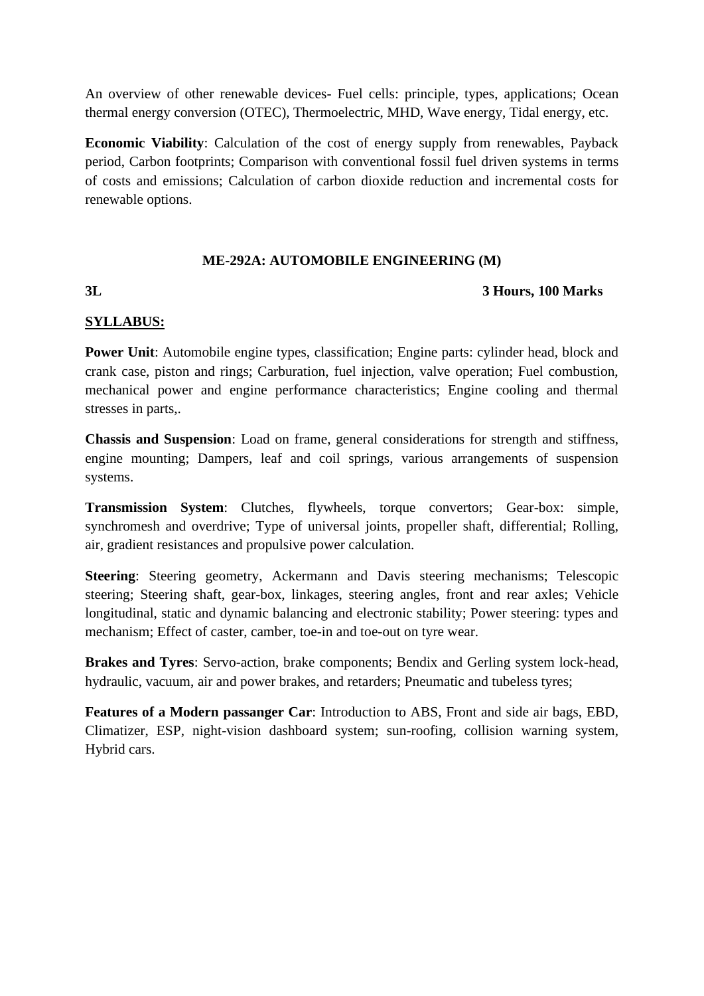An overview of other renewable devices- Fuel cells: principle, types, applications; Ocean thermal energy conversion (OTEC), Thermoelectric, MHD, Wave energy, Tidal energy, etc.

**Economic Viability**: Calculation of the cost of energy supply from renewables, Payback period, Carbon footprints; Comparison with conventional fossil fuel driven systems in terms of costs and emissions; Calculation of carbon dioxide reduction and incremental costs for renewable options.

# **ME-292A: AUTOMOBILE ENGINEERING (M)**

# **3L 3 Hours, 100 Marks**

# **SYLLABUS:**

**Power Unit:** Automobile engine types, classification; Engine parts: cylinder head, block and crank case, piston and rings; Carburation, fuel injection, valve operation; Fuel combustion, mechanical power and engine performance characteristics; Engine cooling and thermal stresses in parts,.

**Chassis and Suspension**: Load on frame, general considerations for strength and stiffness, engine mounting; Dampers, leaf and coil springs, various arrangements of suspension systems.

**Transmission System**: Clutches, flywheels, torque convertors; Gear-box: simple, synchromesh and overdrive; Type of universal joints, propeller shaft, differential; Rolling, air, gradient resistances and propulsive power calculation.

**Steering**: Steering geometry, Ackermann and Davis steering mechanisms; Telescopic steering; Steering shaft, gear-box, linkages, steering angles, front and rear axles; Vehicle longitudinal, static and dynamic balancing and electronic stability; Power steering: types and mechanism; Effect of caster, camber, toe-in and toe-out on tyre wear.

**Brakes and Tyres**: Servo-action, brake components; Bendix and Gerling system lock-head, hydraulic, vacuum, air and power brakes, and retarders; Pneumatic and tubeless tyres;

**Features of a Modern passanger Car**: Introduction to ABS, Front and side air bags, EBD, Climatizer, ESP, night-vision dashboard system; sun-roofing, collision warning system, Hybrid cars.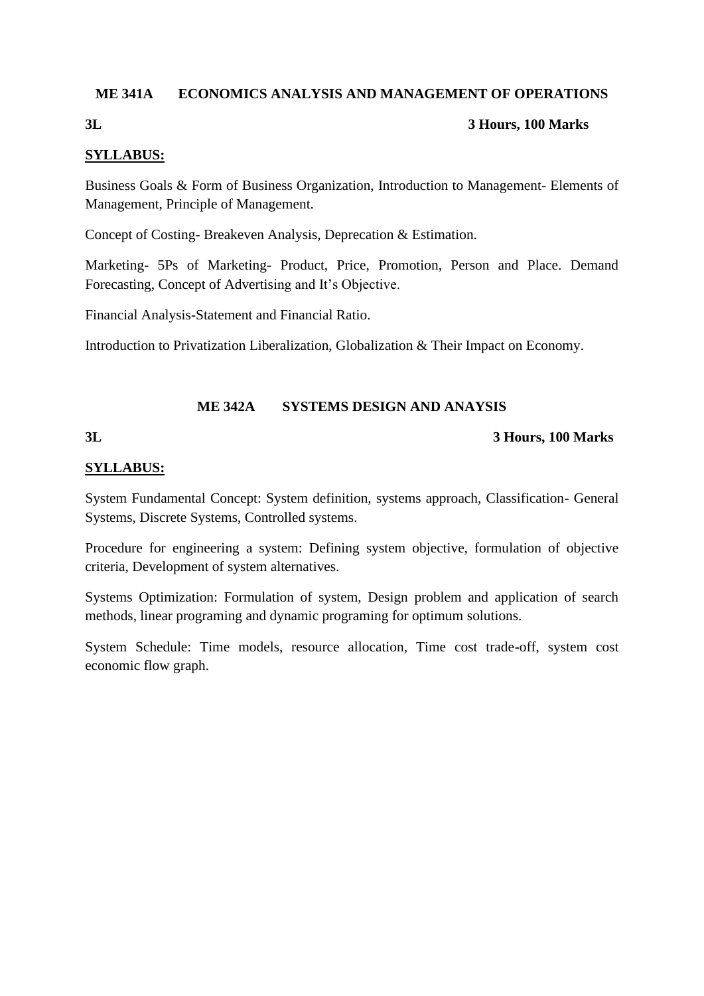# **ME 341A ECONOMICS ANALYSIS AND MANAGEMENT OF OPERATIONS**

# **3L 3 Hours, 100 Marks**

# **SYLLABUS:**

Business Goals & Form of Business Organization, Introduction to Management- Elements of Management, Principle of Management.

Concept of Costing- Breakeven Analysis, Deprecation & Estimation.

Marketing- 5Ps of Marketing- Product, Price, Promotion, Person and Place. Demand Forecasting, Concept of Advertising and It's Objective.

Financial Analysis-Statement and Financial Ratio.

Introduction to Privatization Liberalization, Globalization & Their Impact on Economy.

# **ME 342A SYSTEMS DESIGN AND ANAYSIS**

# **3L 3 Hours, 100 Marks**

# **SYLLABUS:**

System Fundamental Concept: System definition, systems approach, Classification- General Systems, Discrete Systems, Controlled systems.

Procedure for engineering a system: Defining system objective, formulation of objective criteria, Development of system alternatives.

Systems Optimization: Formulation of system, Design problem and application of search methods, linear programing and dynamic programing for optimum solutions.

System Schedule: Time models, resource allocation, Time cost trade-off, system cost economic flow graph.